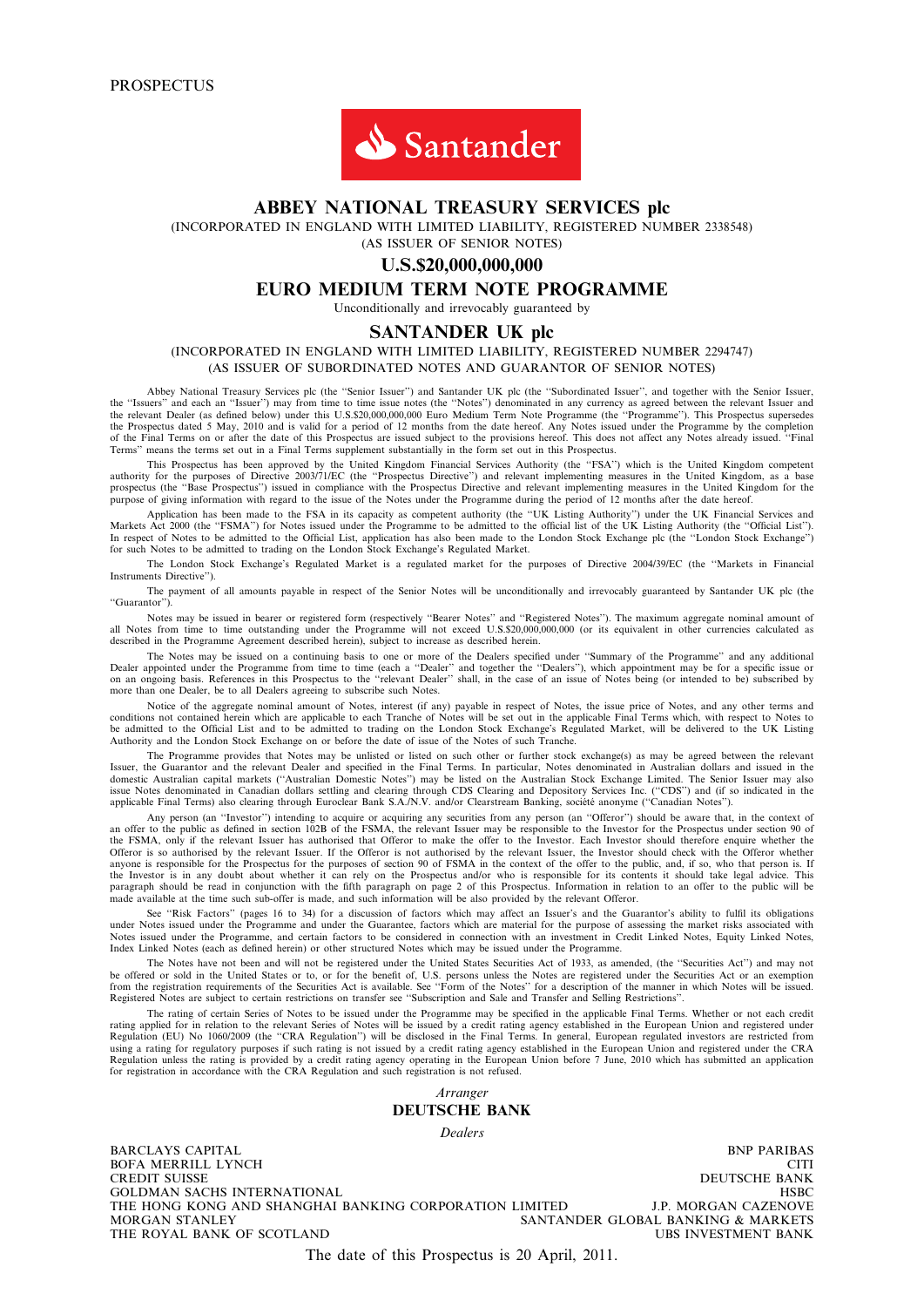

# ABBEY NATIONAL TREASURY SERVICES plc

(INCORPORATED IN ENGLAND WITH LIMITED LIABILITY, REGISTERED NUMBER 2338548)

(AS ISSUER OF SENIOR NOTES)

# U.S.\$20,000,000,000

# EURO MEDIUM TERM NOTE PROGRAMME

Unconditionally and irrevocably guaranteed by

### SANTANDER UK plc

(INCORPORATED IN ENGLAND WITH LIMITED LIABILITY, REGISTERED NUMBER 2294747) (AS ISSUER OF SUBORDINATED NOTES AND GUARANTOR OF SENIOR NOTES)

Abbey National Treasury Services plc (the "Senior Issuer") and Santander UK plc (the "Subordinated Issuer", and together with the Senior Issuer, the "Issuers" and each an "Issuer") may from time to time issue notes (the "N the Prospectus dated 5 May, 2010 and is valid for a period of 12 months from the date hereof. Any Notes issued under the Programme by the completion<br>of the Final Terms on or after the date of this Prospectus are issued sub

This Prospectus has been approved by the United Kingdom Financial Services Authority (the "FSA") which is the United Kingdom competent authority for the purposes of Directive 2003/71/EC (the "Prospectus Directive") and rel prospectus (the "Base Prospectus") issued in compliance with the Prospectus Directive and relevant implementing measures in the United Kingdom for the prospectus Oirective and relevant implementing measures in the United K purpose of giving information with regard to the issue of the Notes under the Programme during the period of 12 months after the date hereof.

Application has been made to the FSA in its capacity as competent authority (the ''UK Listing Authority'') under the UK Financial Services and Markets Act 2000 (the ''FSMA'') for Notes issued under the Programme to be admitted to the official list of the UK Listing Authority (the ''Official List''). In respect of Notes to be admitted to the Official List, application has also been made to the London Stock Exchange plc (the "London Stock Exchange")<br>for such Notes to be admitted to trading on the London Stock Exchange's

The London Stock Exchange's Regulated Market is a regulated market for the purposes of Directive 2004/39/EC (the ''Markets in Financial Instruments Directive'').

The payment of all amounts payable in respect of the Senior Notes will be unconditionally and irrevocably guaranteed by Santander UK plc (the ''Guarantor'').

Notes may be issued in bearer or registered form (respectively "Bearer Notes" and "Registered Notes"). The maximum aggregate nominal amount of<br>all Notes from time to time outstanding under the Programme will not exceed U.S described in the Programme Agreement described herein), subject to increase as described herein.

The Notes may be issued on a continuing basis to one or more of the Dealers specified under "Summary of the Programme" and any additional<br>Dealer appointed under the Programme from time to time (each a "Dealer" and together more than one Dealer, be to all Dealers agreeing to subscribe such Notes.

Notice of the aggregate nominal amount of Notes, interest (if any) payable in respect of Notes, the issue price of Notes, and any other terms and conditions not contained herein which are applicable to each Tranche of Notes will be set out in the applicable Final Terms which, with respect to Notes to be admitted to the Official List and to be admitted to trading on the London Stock Exchange's Regulated Market, will be delivered to the UK Listing<br>Authority and the London Stock Exchange on or before the date of issue of

The Programme provides that Notes may be unlisted or listed on such other or further stock exchange(s) as may be agreed between the relevant Issuer, the Guarantor and the relevant Dealer and specified in the Final Terms. In particular, Notes denominated in Australian dollars and issued in the domestic Australian capital markets ("Australian Domestic Notes") may be listed on the Australian Stock Exchange Limited. The Senior Issuer may also<br>issue Notes denominated in Canadian dollars settling and clearing through

Any person (an "Investor") intending to acquire or acquiring any securities from any person (an "Offeror") should be aware that, in the context of an offer to the public as defined in section 102B of the FSMA, the relevant the FSMA, only if the relevant Issuer has authorised that Offeror to make the offer to the Investor. Each Investor should therefore enquire whether the Offeror is so authorised by the relevant Issuer. If the Offeror is not authorised by the relevant Issuer, the Investor should check with the Offeror whether<br>anyone is responsible for the Prospectus for the purposes of sect the Investor is in any doubt about whether it can rely on the Prospectus and/or who is responsible for its contents it should take legal advice. This paragraph should be read in conjunction with the fifth paragraph on page 2 of this Prospectus. Information in relation to an offer to the public will be<br>made available at the time such sub-offer is made, and such informati

See "Risk Factors" (pages 16 to 34) for a discussion of factors which may affect an Issuer's and the Guarantor's ability to fulfil its obligations under Notes issued under the Programme and under the Guarantee, factors which are material for the purpose of assessing the market risks associated with<br>Notes issued under the Programme, and certain factors to be considere Index Linked Notes (each as defined herein) or other structured Notes which may be issued under the Programme.

The Notes have not been and will not be registered under the United States Securities Act of 1933, as amended, (the ''Securities Act'') and may not be offered or sold in the United States or to, or for the benefit of, U.S. persons unless the Notes are registered under the Securities Act or an exemption from the registration requirements of the Securities Act is available. See "Form of the Notes" for a description of the manner in which Notes will be issued.<br>Registered Notes are subject to certain restrictions on transfer

The rating of certain Series of Notes to be issued under the Programme may be specified in the applicable Final Terms. Whether or not each credit rating applied for in relation to the relevant Series of Notes will be issued by a credit rating agency established in the European Union and registered under<br>Regulation (EU) No 1060/2009 (the "CRA Regulation") will be dis using a rating for regulatory purposes if such rating is not issued by a credit rating agency established in the European Union and registered under the CRA<br>Regulation unless the rating is provided by a credit rating agenc

> Arranger DEUTSCHE BANK

**Dealers** 

BARCLAYS CAPITAL BNP PARIBAS BOFA MERRILL LYNCH<br>CREDIT SUISSE DEUTSCHE BANK GOLDMAN SACHS INTERNATIONAL HERCOLDMAN SACHS INTERNATIONAL HERCOLDMAN SACHS INTERNATIONAL HERCOLDMAN CORPORATION LIMITED THE HONG KONG AND SHANGHAI BANKING CORPORATION LIMITED J.P. MORGAN CAZENOVE THE HONG KONG AND SHANGHAI BANKING CORPORATION LIMITED MORGAN STANLEY **SANTA** SANTANDER GLOBAL BANKING & MARKETS<br>UBS INVESTMENT BANK THE ROYAL BANK OF SCOTLAND

The date of this Prospectus is 20 April, 2011.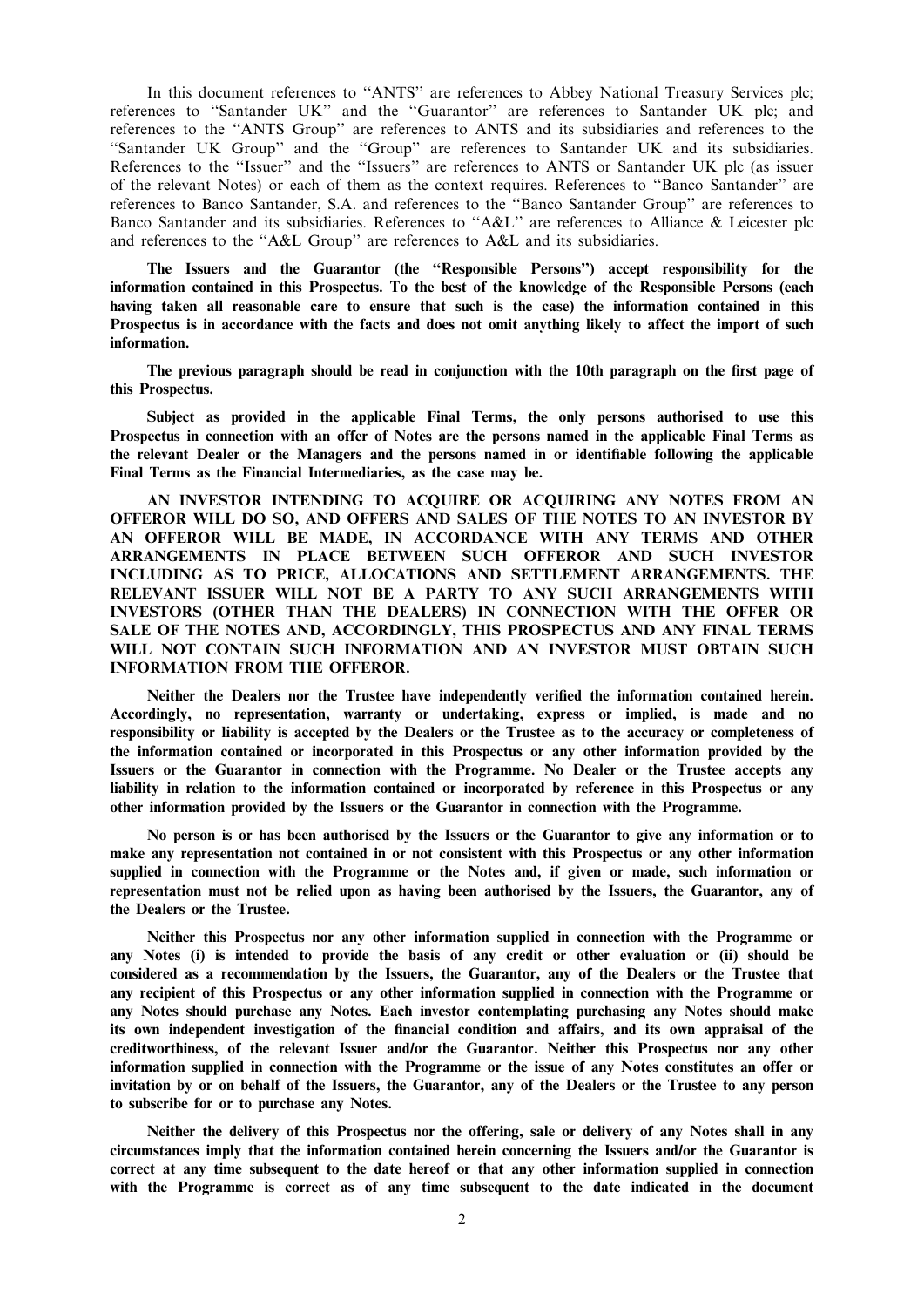In this document references to ''ANTS'' are references to Abbey National Treasury Services plc; references to ''Santander UK'' and the ''Guarantor'' are references to Santander UK plc; and references to the ''ANTS Group'' are references to ANTS and its subsidiaries and references to the "Santander UK Group" and the "Group" are references to Santander UK and its subsidiaries. References to the "Issuer" and the "Issuers" are references to ANTS or Santander UK plc (as issuer of the relevant Notes) or each of them as the context requires. References to ''Banco Santander'' are references to Banco Santander, S.A. and references to the ''Banco Santander Group'' are references to Banco Santander and its subsidiaries. References to "A&L" are references to Alliance & Leicester plc and references to the ''A&L Group'' are references to A&L and its subsidiaries.

The Issuers and the Guarantor (the ''Responsible Persons'') accept responsibility for the information contained in this Prospectus. To the best of the knowledge of the Responsible Persons (each having taken all reasonable care to ensure that such is the case) the information contained in this Prospectus is in accordance with the facts and does not omit anything likely to affect the import of such information.

The previous paragraph should be read in conjunction with the 10th paragraph on the first page of this Prospectus.

Subject as provided in the applicable Final Terms, the only persons authorised to use this Prospectus in connection with an offer of Notes are the persons named in the applicable Final Terms as the relevant Dealer or the Managers and the persons named in or identifiable following the applicable Final Terms as the Financial Intermediaries, as the case may be.

AN INVESTOR INTENDING TO ACQUIRE OR ACQUIRING ANY NOTES FROM AN OFFEROR WILL DO SO, AND OFFERS AND SALES OF THE NOTES TO AN INVESTOR BY AN OFFEROR WILL BE MADE, IN ACCORDANCE WITH ANY TERMS AND OTHER ARRANGEMENTS IN PLACE BETWEEN SUCH OFFEROR AND SUCH INVESTOR INCLUDING AS TO PRICE, ALLOCATIONS AND SETTLEMENT ARRANGEMENTS. THE RELEVANT ISSUER WILL NOT BE A PARTY TO ANY SUCH ARRANGEMENTS WITH INVESTORS (OTHER THAN THE DEALERS) IN CONNECTION WITH THE OFFER OR SALE OF THE NOTES AND, ACCORDINGLY, THIS PROSPECTUS AND ANY FINAL TERMS WILL NOT CONTAIN SUCH INFORMATION AND AN INVESTOR MUST OBTAIN SUCH INFORMATION FROM THE OFFEROR.

Neither the Dealers nor the Trustee have independently verified the information contained herein. Accordingly, no representation, warranty or undertaking, express or implied, is made and no responsibility or liability is accepted by the Dealers or the Trustee as to the accuracy or completeness of the information contained or incorporated in this Prospectus or any other information provided by the Issuers or the Guarantor in connection with the Programme. No Dealer or the Trustee accepts any liability in relation to the information contained or incorporated by reference in this Prospectus or any other information provided by the Issuers or the Guarantor in connection with the Programme.

No person is or has been authorised by the Issuers or the Guarantor to give any information or to make any representation not contained in or not consistent with this Prospectus or any other information supplied in connection with the Programme or the Notes and, if given or made, such information or representation must not be relied upon as having been authorised by the Issuers, the Guarantor, any of the Dealers or the Trustee.

Neither this Prospectus nor any other information supplied in connection with the Programme or any Notes (i) is intended to provide the basis of any credit or other evaluation or (ii) should be considered as a recommendation by the Issuers, the Guarantor, any of the Dealers or the Trustee that any recipient of this Prospectus or any other information supplied in connection with the Programme or any Notes should purchase any Notes. Each investor contemplating purchasing any Notes should make its own independent investigation of the financial condition and affairs, and its own appraisal of the creditworthiness, of the relevant Issuer and/or the Guarantor. Neither this Prospectus nor any other information supplied in connection with the Programme or the issue of any Notes constitutes an offer or invitation by or on behalf of the Issuers, the Guarantor, any of the Dealers or the Trustee to any person to subscribe for or to purchase any Notes.

Neither the delivery of this Prospectus nor the offering, sale or delivery of any Notes shall in any circumstances imply that the information contained herein concerning the Issuers and/or the Guarantor is correct at any time subsequent to the date hereof or that any other information supplied in connection with the Programme is correct as of any time subsequent to the date indicated in the document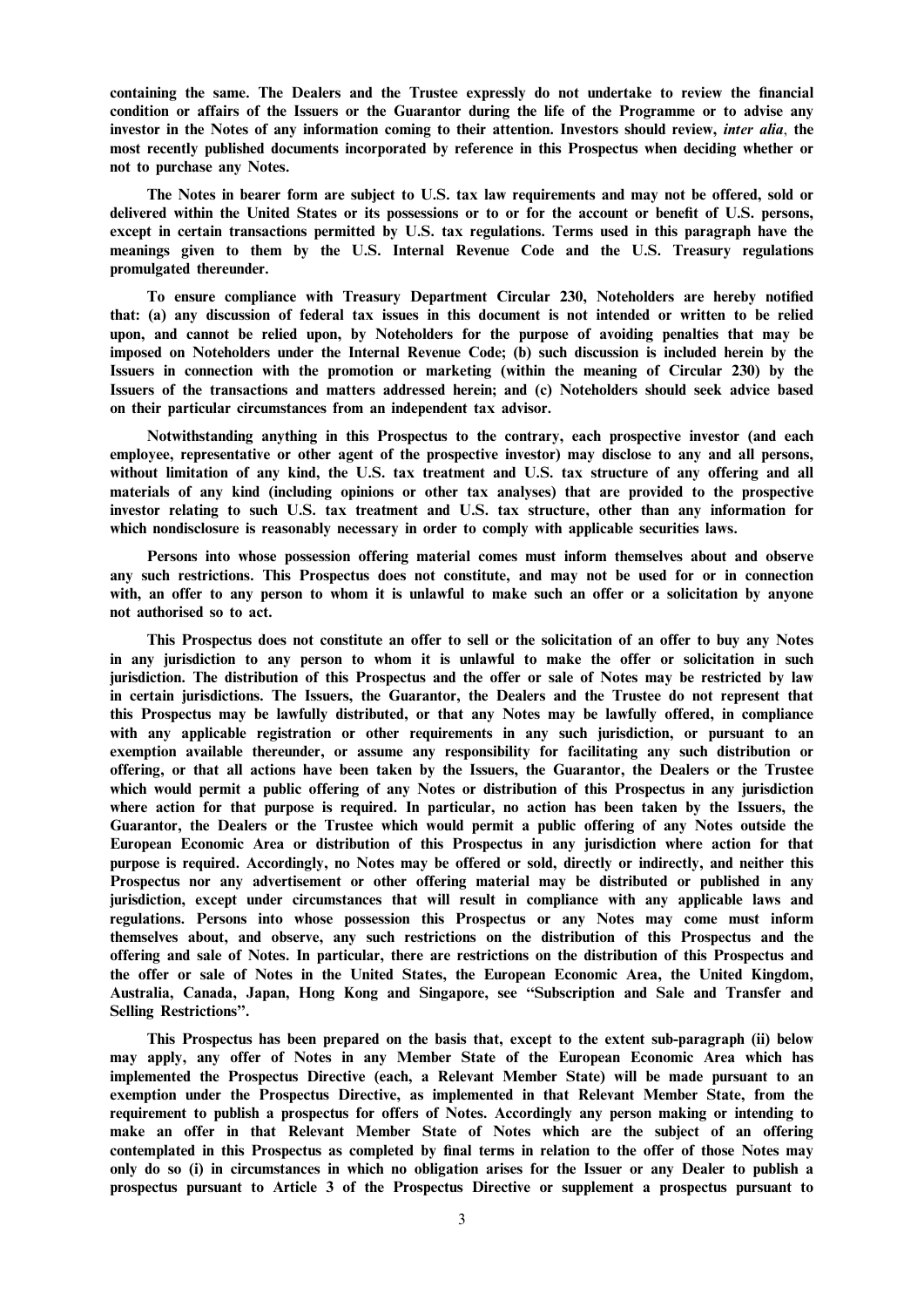containing the same. The Dealers and the Trustee expressly do not undertake to review the financial condition or affairs of the Issuers or the Guarantor during the life of the Programme or to advise any investor in the Notes of any information coming to their attention. Investors should review, *inter alia*, the most recently published documents incorporated by reference in this Prospectus when deciding whether or not to purchase any Notes.

The Notes in bearer form are subject to U.S. tax law requirements and may not be offered, sold or delivered within the United States or its possessions or to or for the account or benefit of U.S. persons, except in certain transactions permitted by U.S. tax regulations. Terms used in this paragraph have the meanings given to them by the U.S. Internal Revenue Code and the U.S. Treasury regulations promulgated thereunder.

To ensure compliance with Treasury Department Circular 230, Noteholders are hereby notified that: (a) any discussion of federal tax issues in this document is not intended or written to be relied upon, and cannot be relied upon, by Noteholders for the purpose of avoiding penalties that may be imposed on Noteholders under the Internal Revenue Code; (b) such discussion is included herein by the Issuers in connection with the promotion or marketing (within the meaning of Circular 230) by the Issuers of the transactions and matters addressed herein; and (c) Noteholders should seek advice based on their particular circumstances from an independent tax advisor.

Notwithstanding anything in this Prospectus to the contrary, each prospective investor (and each employee, representative or other agent of the prospective investor) may disclose to any and all persons, without limitation of any kind, the U.S. tax treatment and U.S. tax structure of any offering and all materials of any kind (including opinions or other tax analyses) that are provided to the prospective investor relating to such U.S. tax treatment and U.S. tax structure, other than any information for which nondisclosure is reasonably necessary in order to comply with applicable securities laws.

Persons into whose possession offering material comes must inform themselves about and observe any such restrictions. This Prospectus does not constitute, and may not be used for or in connection with, an offer to any person to whom it is unlawful to make such an offer or a solicitation by anyone not authorised so to act.

This Prospectus does not constitute an offer to sell or the solicitation of an offer to buy any Notes in any jurisdiction to any person to whom it is unlawful to make the offer or solicitation in such jurisdiction. The distribution of this Prospectus and the offer or sale of Notes may be restricted by law in certain jurisdictions. The Issuers, the Guarantor, the Dealers and the Trustee do not represent that this Prospectus may be lawfully distributed, or that any Notes may be lawfully offered, in compliance with any applicable registration or other requirements in any such jurisdiction, or pursuant to an exemption available thereunder, or assume any responsibility for facilitating any such distribution or offering, or that all actions have been taken by the Issuers, the Guarantor, the Dealers or the Trustee which would permit a public offering of any Notes or distribution of this Prospectus in any jurisdiction where action for that purpose is required. In particular, no action has been taken by the Issuers, the Guarantor, the Dealers or the Trustee which would permit a public offering of any Notes outside the European Economic Area or distribution of this Prospectus in any jurisdiction where action for that purpose is required. Accordingly, no Notes may be offered or sold, directly or indirectly, and neither this Prospectus nor any advertisement or other offering material may be distributed or published in any jurisdiction, except under circumstances that will result in compliance with any applicable laws and regulations. Persons into whose possession this Prospectus or any Notes may come must inform themselves about, and observe, any such restrictions on the distribution of this Prospectus and the offering and sale of Notes. In particular, there are restrictions on the distribution of this Prospectus and the offer or sale of Notes in the United States, the European Economic Area, the United Kingdom, Australia, Canada, Japan, Hong Kong and Singapore, see ''Subscription and Sale and Transfer and Selling Restrictions''.

This Prospectus has been prepared on the basis that, except to the extent sub-paragraph (ii) below may apply, any offer of Notes in any Member State of the European Economic Area which has implemented the Prospectus Directive (each, a Relevant Member State) will be made pursuant to an exemption under the Prospectus Directive, as implemented in that Relevant Member State, from the requirement to publish a prospectus for offers of Notes. Accordingly any person making or intending to make an offer in that Relevant Member State of Notes which are the subject of an offering contemplated in this Prospectus as completed by final terms in relation to the offer of those Notes may only do so (i) in circumstances in which no obligation arises for the Issuer or any Dealer to publish a prospectus pursuant to Article 3 of the Prospectus Directive or supplement a prospectus pursuant to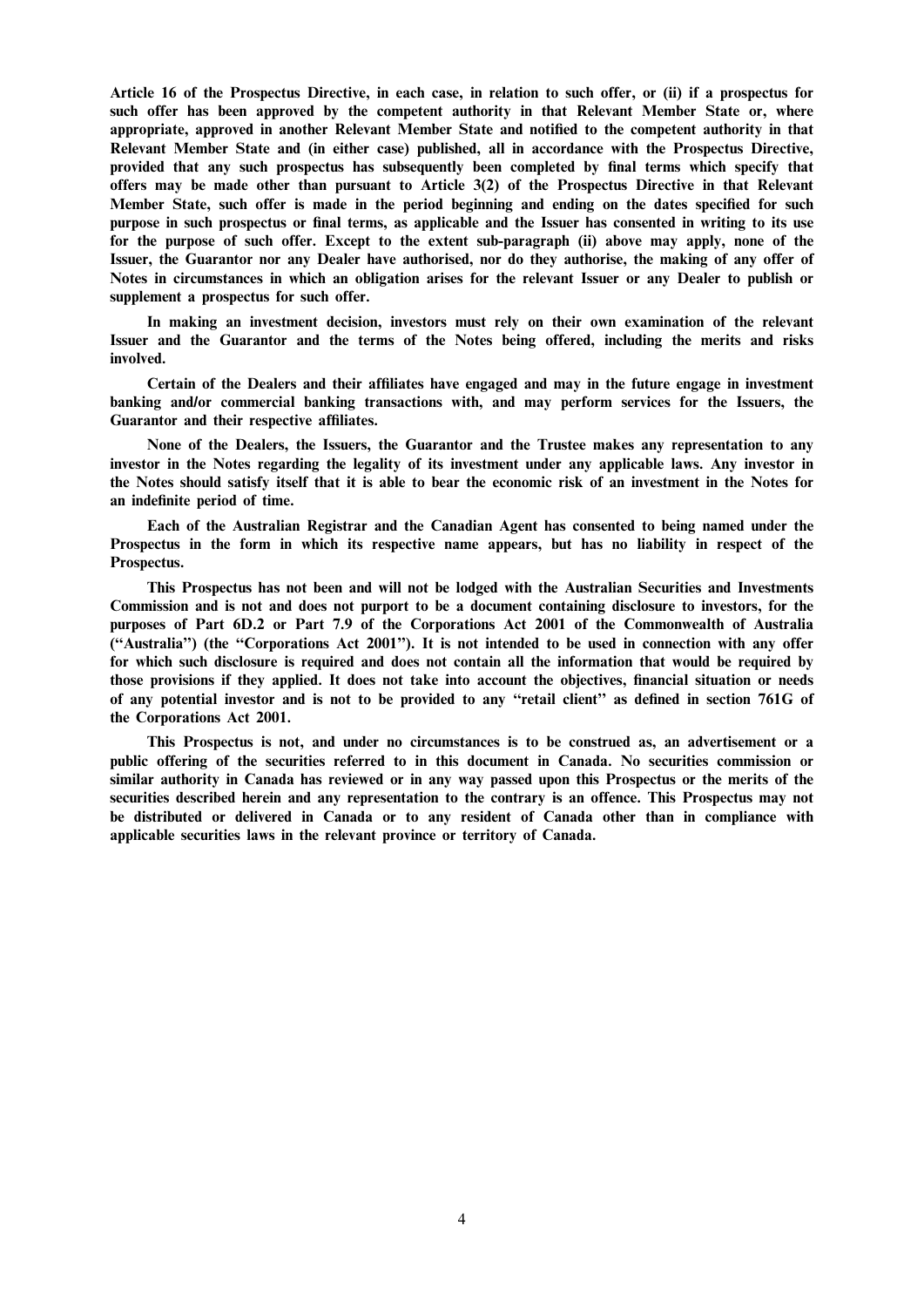Article 16 of the Prospectus Directive, in each case, in relation to such offer, or (ii) if a prospectus for such offer has been approved by the competent authority in that Relevant Member State or, where appropriate, approved in another Relevant Member State and notified to the competent authority in that Relevant Member State and (in either case) published, all in accordance with the Prospectus Directive, provided that any such prospectus has subsequently been completed by final terms which specify that offers may be made other than pursuant to Article 3(2) of the Prospectus Directive in that Relevant Member State, such offer is made in the period beginning and ending on the dates specified for such purpose in such prospectus or final terms, as applicable and the Issuer has consented in writing to its use for the purpose of such offer. Except to the extent sub-paragraph (ii) above may apply, none of the Issuer, the Guarantor nor any Dealer have authorised, nor do they authorise, the making of any offer of Notes in circumstances in which an obligation arises for the relevant Issuer or any Dealer to publish or supplement a prospectus for such offer.

In making an investment decision, investors must rely on their own examination of the relevant Issuer and the Guarantor and the terms of the Notes being offered, including the merits and risks involved.

Certain of the Dealers and their affiliates have engaged and may in the future engage in investment banking and/or commercial banking transactions with, and may perform services for the Issuers, the Guarantor and their respective affiliates.

None of the Dealers, the Issuers, the Guarantor and the Trustee makes any representation to any investor in the Notes regarding the legality of its investment under any applicable laws. Any investor in the Notes should satisfy itself that it is able to bear the economic risk of an investment in the Notes for an indefinite period of time.

Each of the Australian Registrar and the Canadian Agent has consented to being named under the Prospectus in the form in which its respective name appears, but has no liability in respect of the Prospectus.

This Prospectus has not been and will not be lodged with the Australian Securities and Investments Commission and is not and does not purport to be a document containing disclosure to investors, for the purposes of Part 6D.2 or Part 7.9 of the Corporations Act 2001 of the Commonwealth of Australia (''Australia'') (the ''Corporations Act 2001''). It is not intended to be used in connection with any offer for which such disclosure is required and does not contain all the information that would be required by those provisions if they applied. It does not take into account the objectives, financial situation or needs of any potential investor and is not to be provided to any ''retail client'' as defined in section 761G of the Corporations Act 2001.

This Prospectus is not, and under no circumstances is to be construed as, an advertisement or a public offering of the securities referred to in this document in Canada. No securities commission or similar authority in Canada has reviewed or in any way passed upon this Prospectus or the merits of the securities described herein and any representation to the contrary is an offence. This Prospectus may not be distributed or delivered in Canada or to any resident of Canada other than in compliance with applicable securities laws in the relevant province or territory of Canada.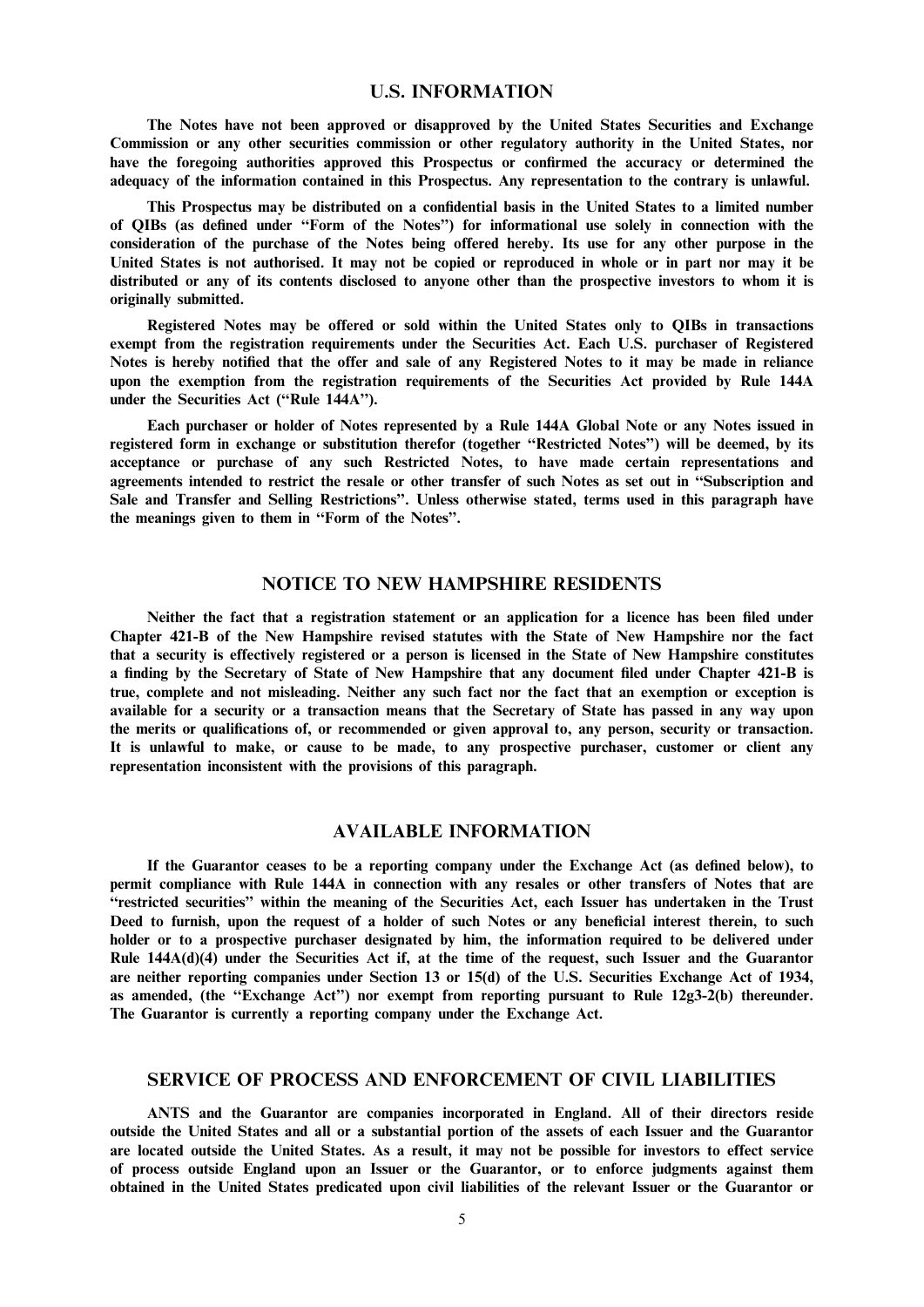## U.S. INFORMATION

The Notes have not been approved or disapproved by the United States Securities and Exchange Commission or any other securities commission or other regulatory authority in the United States, nor have the foregoing authorities approved this Prospectus or confirmed the accuracy or determined the adequacy of the information contained in this Prospectus. Any representation to the contrary is unlawful.

This Prospectus may be distributed on a confidential basis in the United States to a limited number of QIBs (as defined under ''Form of the Notes'') for informational use solely in connection with the consideration of the purchase of the Notes being offered hereby. Its use for any other purpose in the United States is not authorised. It may not be copied or reproduced in whole or in part nor may it be distributed or any of its contents disclosed to anyone other than the prospective investors to whom it is originally submitted.

Registered Notes may be offered or sold within the United States only to QIBs in transactions exempt from the registration requirements under the Securities Act. Each U.S. purchaser of Registered Notes is hereby notified that the offer and sale of any Registered Notes to it may be made in reliance upon the exemption from the registration requirements of the Securities Act provided by Rule 144A under the Securities Act (''Rule 144A'').

Each purchaser or holder of Notes represented by a Rule 144A Global Note or any Notes issued in registered form in exchange or substitution therefor (together ''Restricted Notes'') will be deemed, by its acceptance or purchase of any such Restricted Notes, to have made certain representations and agreements intended to restrict the resale or other transfer of such Notes as set out in ''Subscription and Sale and Transfer and Selling Restrictions''. Unless otherwise stated, terms used in this paragraph have the meanings given to them in ''Form of the Notes''.

# NOTICE TO NEW HAMPSHIRE RESIDENTS

Neither the fact that a registration statement or an application for a licence has been filed under Chapter 421-B of the New Hampshire revised statutes with the State of New Hampshire nor the fact that a security is effectively registered or a person is licensed in the State of New Hampshire constitutes a finding by the Secretary of State of New Hampshire that any document filed under Chapter 421-B is true, complete and not misleading. Neither any such fact nor the fact that an exemption or exception is available for a security or a transaction means that the Secretary of State has passed in any way upon the merits or qualifications of, or recommended or given approval to, any person, security or transaction. It is unlawful to make, or cause to be made, to any prospective purchaser, customer or client any representation inconsistent with the provisions of this paragraph.

# AVAILABLE INFORMATION

If the Guarantor ceases to be a reporting company under the Exchange Act (as defined below), to permit compliance with Rule 144A in connection with any resales or other transfers of Notes that are ''restricted securities'' within the meaning of the Securities Act, each Issuer has undertaken in the Trust Deed to furnish, upon the request of a holder of such Notes or any beneficial interest therein, to such holder or to a prospective purchaser designated by him, the information required to be delivered under Rule 144A(d)(4) under the Securities Act if, at the time of the request, such Issuer and the Guarantor are neither reporting companies under Section 13 or 15(d) of the U.S. Securities Exchange Act of 1934, as amended, (the ''Exchange Act'') nor exempt from reporting pursuant to Rule 12g3-2(b) thereunder. The Guarantor is currently a reporting company under the Exchange Act.

## SERVICE OF PROCESS AND ENFORCEMENT OF CIVIL LIABILITIES

ANTS and the Guarantor are companies incorporated in England. All of their directors reside outside the United States and all or a substantial portion of the assets of each Issuer and the Guarantor are located outside the United States. As a result, it may not be possible for investors to effect service of process outside England upon an Issuer or the Guarantor, or to enforce judgments against them obtained in the United States predicated upon civil liabilities of the relevant Issuer or the Guarantor or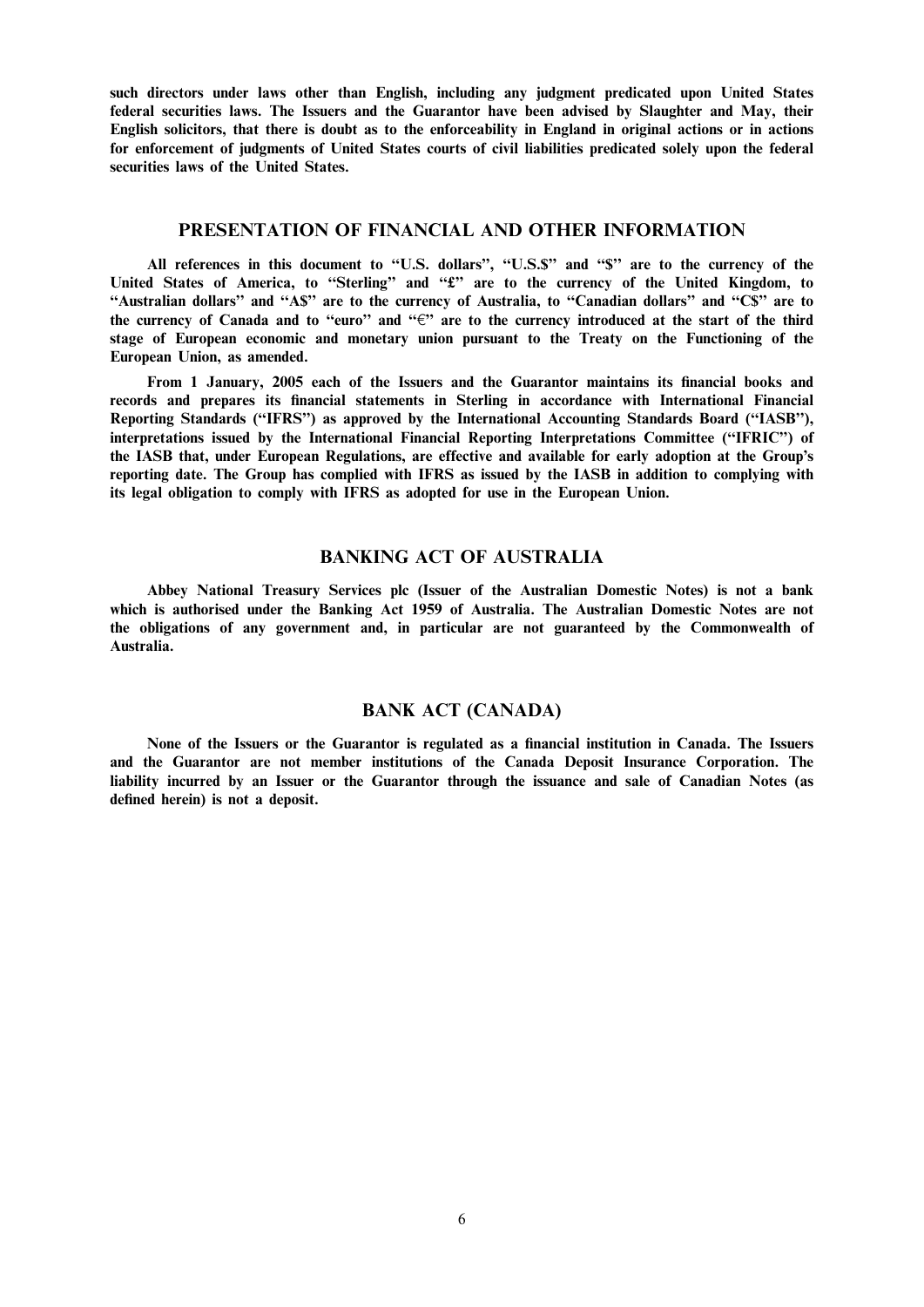such directors under laws other than English, including any judgment predicated upon United States federal securities laws. The Issuers and the Guarantor have been advised by Slaughter and May, their English solicitors, that there is doubt as to the enforceability in England in original actions or in actions for enforcement of judgments of United States courts of civil liabilities predicated solely upon the federal securities laws of the United States.

### PRESENTATION OF FINANCIAL AND OTHER INFORMATION

All references in this document to "U.S. dollars", "U.S.\$" and "\$" are to the currency of the United States of America, to "Sterling" and "£" are to the currency of the United Kingdom, to ''Australian dollars'' and ''A\$'' are to the currency of Australia, to ''Canadian dollars'' and ''C\$'' are to the currency of Canada and to "euro" and " $\epsilon$ " are to the currency introduced at the start of the third stage of European economic and monetary union pursuant to the Treaty on the Functioning of the European Union, as amended.

From 1 January, 2005 each of the Issuers and the Guarantor maintains its financial books and records and prepares its financial statements in Sterling in accordance with International Financial Reporting Standards (''IFRS'') as approved by the International Accounting Standards Board (''IASB''), interpretations issued by the International Financial Reporting Interpretations Committee (''IFRIC'') of the IASB that, under European Regulations, are effective and available for early adoption at the Group's reporting date. The Group has complied with IFRS as issued by the IASB in addition to complying with its legal obligation to comply with IFRS as adopted for use in the European Union.

# BANKING ACT OF AUSTRALIA

Abbey National Treasury Services plc (Issuer of the Australian Domestic Notes) is not a bank which is authorised under the Banking Act 1959 of Australia. The Australian Domestic Notes are not the obligations of any government and, in particular are not guaranteed by the Commonwealth of Australia.

## BANK ACT (CANADA)

None of the Issuers or the Guarantor is regulated as a financial institution in Canada. The Issuers and the Guarantor are not member institutions of the Canada Deposit Insurance Corporation. The liability incurred by an Issuer or the Guarantor through the issuance and sale of Canadian Notes (as defined herein) is not a deposit.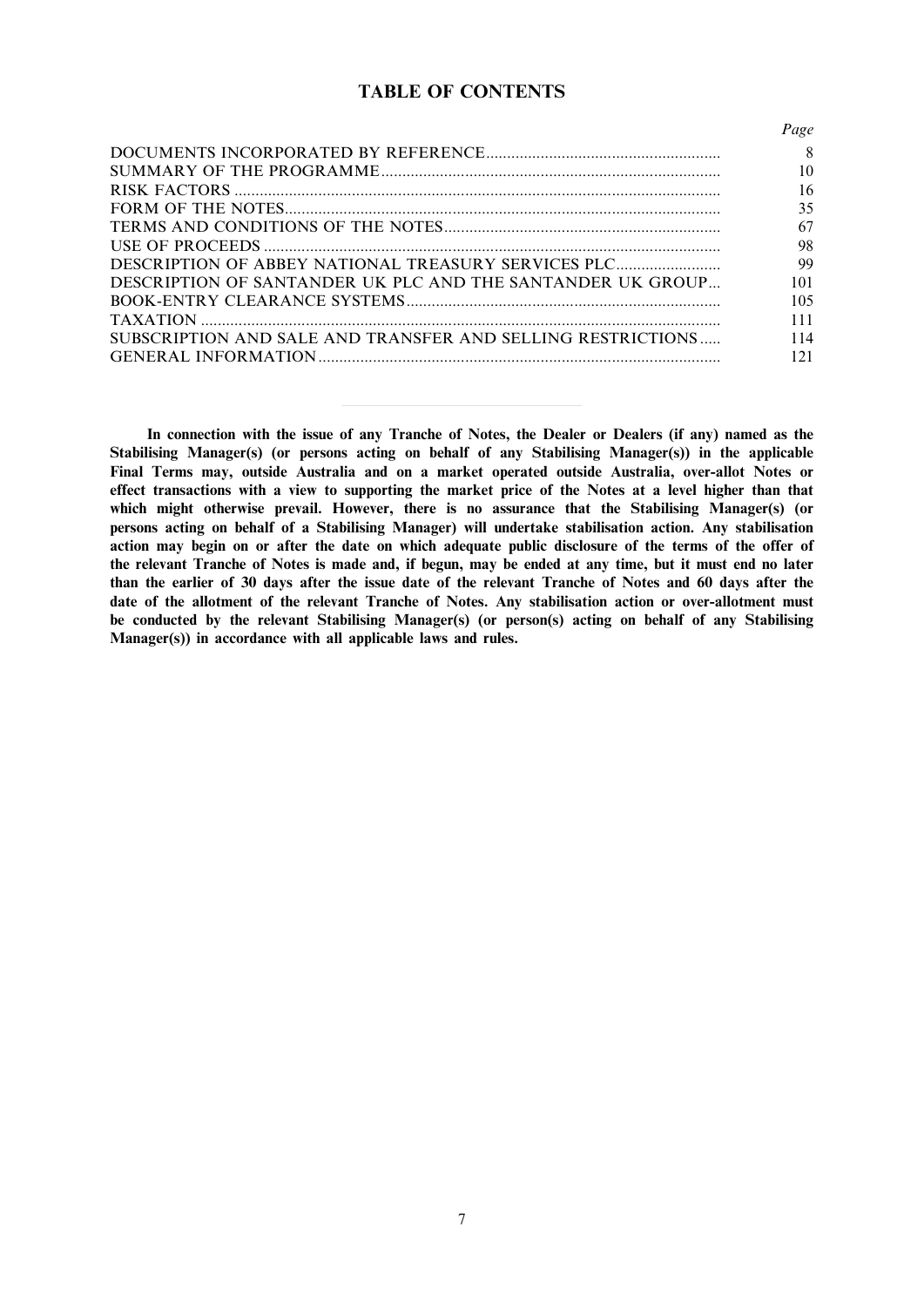# TABLE OF CONTENTS

|                                                             | Page |
|-------------------------------------------------------------|------|
|                                                             | 8    |
|                                                             | 10   |
|                                                             | 16   |
|                                                             | 35   |
|                                                             | 67   |
|                                                             | 98   |
| DESCRIPTION OF ABBEY NATIONAL TREASURY SERVICES PLC         | 99   |
| DESCRIPTION OF SANTANDER UK PLC AND THE SANTANDER UK GROUP  | 101  |
|                                                             | 105  |
|                                                             | 111  |
| SUBSCRIPTION AND SALE AND TRANSFER AND SELLING RESTRICTIONS | 114  |
|                                                             | 121  |

In connection with the issue of any Tranche of Notes, the Dealer or Dealers (if any) named as the Stabilising Manager(s) (or persons acting on behalf of any Stabilising Manager(s)) in the applicable Final Terms may, outside Australia and on a market operated outside Australia, over-allot Notes or effect transactions with a view to supporting the market price of the Notes at a level higher than that which might otherwise prevail. However, there is no assurance that the Stabilising Manager(s) (or persons acting on behalf of a Stabilising Manager) will undertake stabilisation action. Any stabilisation action may begin on or after the date on which adequate public disclosure of the terms of the offer of the relevant Tranche of Notes is made and, if begun, may be ended at any time, but it must end no later than the earlier of 30 days after the issue date of the relevant Tranche of Notes and 60 days after the date of the allotment of the relevant Tranche of Notes. Any stabilisation action or over-allotment must be conducted by the relevant Stabilising Manager(s) (or person(s) acting on behalf of any Stabilising Manager(s)) in accordance with all applicable laws and rules.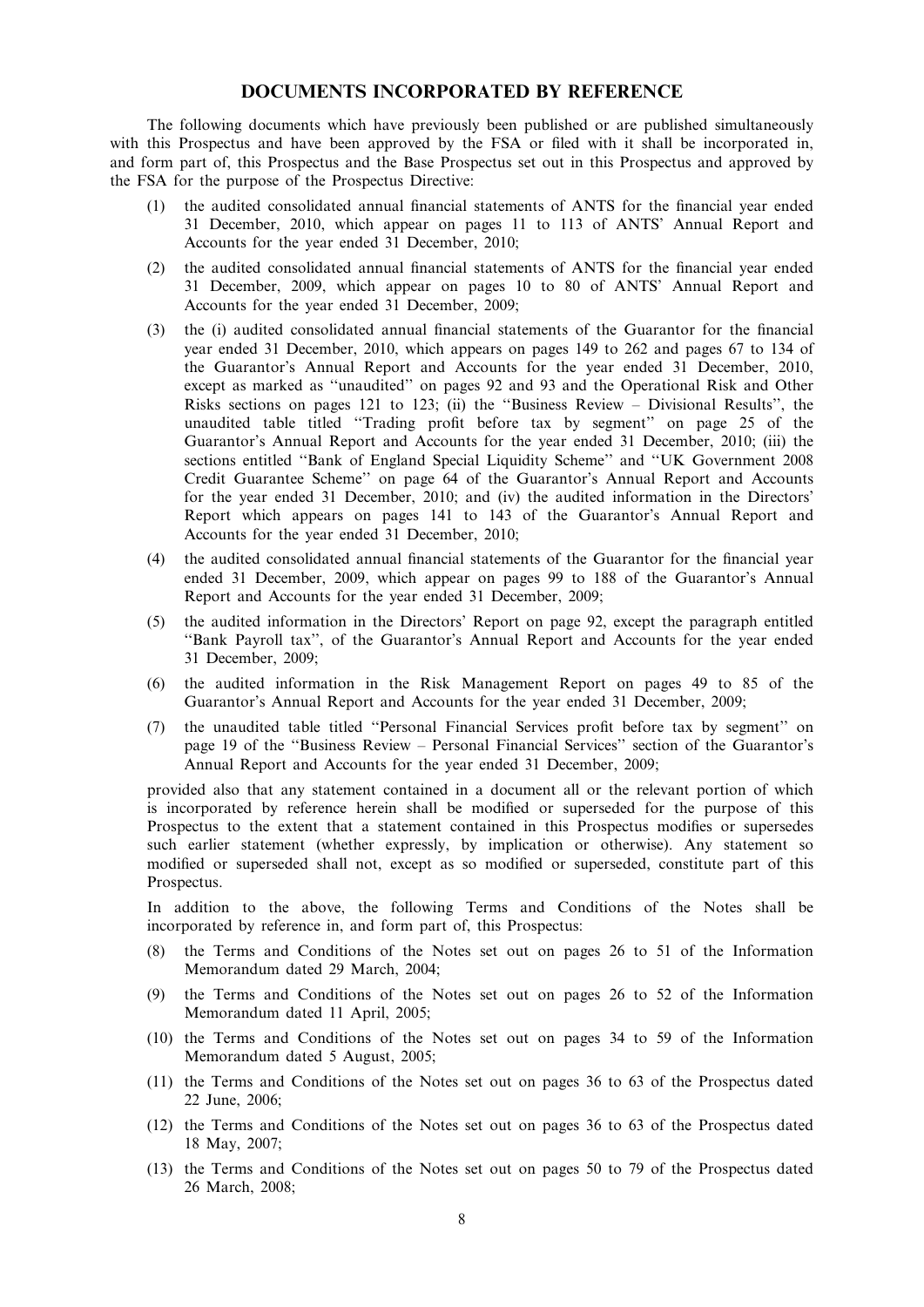# DOCUMENTS INCORPORATED BY REFERENCE

The following documents which have previously been published or are published simultaneously with this Prospectus and have been approved by the FSA or filed with it shall be incorporated in, and form part of, this Prospectus and the Base Prospectus set out in this Prospectus and approved by the FSA for the purpose of the Prospectus Directive:

- (1) the audited consolidated annual financial statements of ANTS for the financial year ended 31 December, 2010, which appear on pages 11 to 113 of ANTS' Annual Report and Accounts for the year ended 31 December, 2010;
- (2) the audited consolidated annual financial statements of ANTS for the financial year ended 31 December, 2009, which appear on pages 10 to 80 of ANTS' Annual Report and Accounts for the year ended 31 December, 2009;
- (3) the (i) audited consolidated annual financial statements of the Guarantor for the financial year ended 31 December, 2010, which appears on pages 149 to 262 and pages 67 to 134 of the Guarantor's Annual Report and Accounts for the year ended 31 December, 2010, except as marked as ''unaudited'' on pages 92 and 93 and the Operational Risk and Other Risks sections on pages 121 to 123; (ii) the ''Business Review – Divisional Results'', the unaudited table titled ''Trading profit before tax by segment'' on page 25 of the Guarantor's Annual Report and Accounts for the year ended 31 December, 2010; (iii) the sections entitled ''Bank of England Special Liquidity Scheme'' and ''UK Government 2008 Credit Guarantee Scheme'' on page 64 of the Guarantor's Annual Report and Accounts for the year ended 31 December, 2010; and (iv) the audited information in the Directors' Report which appears on pages 141 to 143 of the Guarantor's Annual Report and Accounts for the year ended 31 December, 2010;
- (4) the audited consolidated annual financial statements of the Guarantor for the financial year ended 31 December, 2009, which appear on pages 99 to 188 of the Guarantor's Annual Report and Accounts for the year ended 31 December, 2009;
- (5) the audited information in the Directors' Report on page 92, except the paragraph entitled ''Bank Payroll tax'', of the Guarantor's Annual Report and Accounts for the year ended 31 December, 2009;
- (6) the audited information in the Risk Management Report on pages 49 to 85 of the Guarantor's Annual Report and Accounts for the year ended 31 December, 2009;
- (7) the unaudited table titled ''Personal Financial Services profit before tax by segment'' on page 19 of the ''Business Review – Personal Financial Services'' section of the Guarantor's Annual Report and Accounts for the year ended 31 December, 2009;

provided also that any statement contained in a document all or the relevant portion of which is incorporated by reference herein shall be modified or superseded for the purpose of this Prospectus to the extent that a statement contained in this Prospectus modifies or supersedes such earlier statement (whether expressly, by implication or otherwise). Any statement so modified or superseded shall not, except as so modified or superseded, constitute part of this Prospectus.

In addition to the above, the following Terms and Conditions of the Notes shall be incorporated by reference in, and form part of, this Prospectus:

- (8) the Terms and Conditions of the Notes set out on pages 26 to 51 of the Information Memorandum dated 29 March, 2004;
- (9) the Terms and Conditions of the Notes set out on pages 26 to 52 of the Information Memorandum dated 11 April, 2005;
- (10) the Terms and Conditions of the Notes set out on pages 34 to 59 of the Information Memorandum dated 5 August, 2005;
- (11) the Terms and Conditions of the Notes set out on pages 36 to 63 of the Prospectus dated 22 June, 2006;
- (12) the Terms and Conditions of the Notes set out on pages 36 to 63 of the Prospectus dated 18 May, 2007;
- (13) the Terms and Conditions of the Notes set out on pages 50 to 79 of the Prospectus dated 26 March, 2008;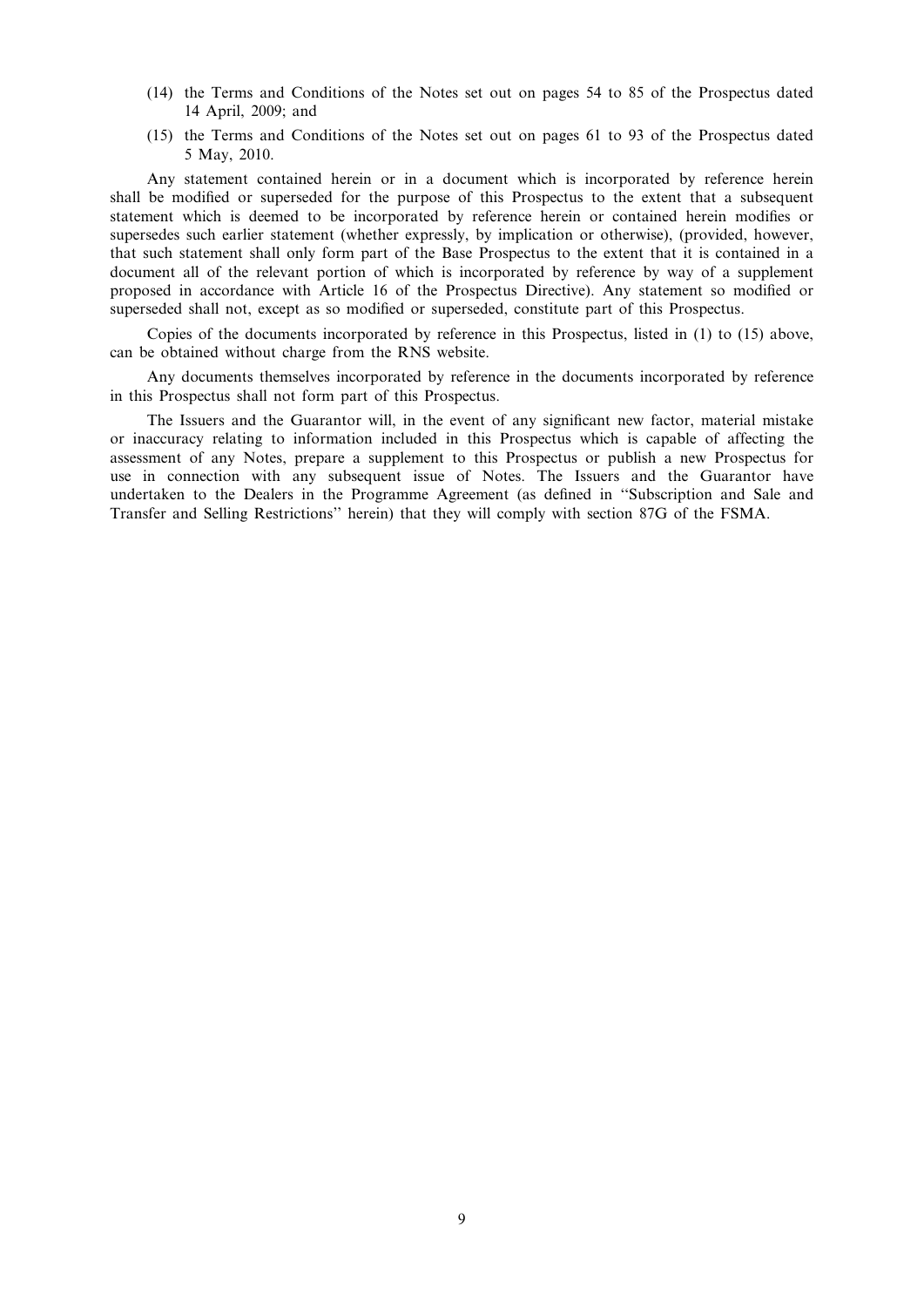- (14) the Terms and Conditions of the Notes set out on pages 54 to 85 of the Prospectus dated 14 April, 2009; and
- (15) the Terms and Conditions of the Notes set out on pages 61 to 93 of the Prospectus dated 5 May, 2010.

Any statement contained herein or in a document which is incorporated by reference herein shall be modified or superseded for the purpose of this Prospectus to the extent that a subsequent statement which is deemed to be incorporated by reference herein or contained herein modifies or supersedes such earlier statement (whether expressly, by implication or otherwise), (provided, however, that such statement shall only form part of the Base Prospectus to the extent that it is contained in a document all of the relevant portion of which is incorporated by reference by way of a supplement proposed in accordance with Article 16 of the Prospectus Directive). Any statement so modified or superseded shall not, except as so modified or superseded, constitute part of this Prospectus.

Copies of the documents incorporated by reference in this Prospectus, listed in (1) to (15) above, can be obtained without charge from the RNS website.

Any documents themselves incorporated by reference in the documents incorporated by reference in this Prospectus shall not form part of this Prospectus.

The Issuers and the Guarantor will, in the event of any significant new factor, material mistake or inaccuracy relating to information included in this Prospectus which is capable of affecting the assessment of any Notes, prepare a supplement to this Prospectus or publish a new Prospectus for use in connection with any subsequent issue of Notes. The Issuers and the Guarantor have undertaken to the Dealers in the Programme Agreement (as defined in ''Subscription and Sale and Transfer and Selling Restrictions'' herein) that they will comply with section 87G of the FSMA.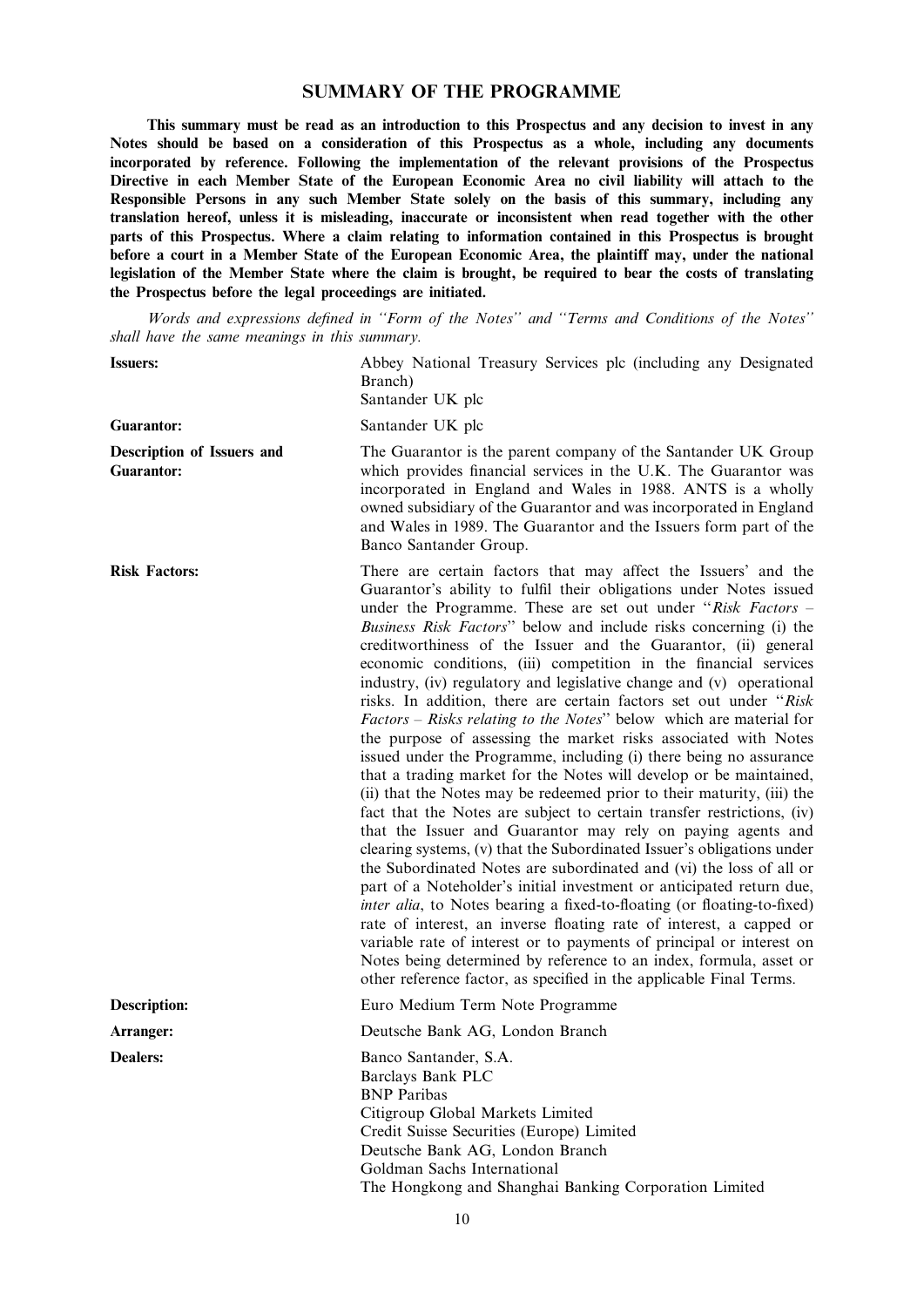## SUMMARY OF THE PROGRAMME

This summary must be read as an introduction to this Prospectus and any decision to invest in any Notes should be based on a consideration of this Prospectus as a whole, including any documents incorporated by reference. Following the implementation of the relevant provisions of the Prospectus Directive in each Member State of the European Economic Area no civil liability will attach to the Responsible Persons in any such Member State solely on the basis of this summary, including any translation hereof, unless it is misleading, inaccurate or inconsistent when read together with the other parts of this Prospectus. Where a claim relating to information contained in this Prospectus is brought before a court in a Member State of the European Economic Area, the plaintiff may, under the national legislation of the Member State where the claim is brought, be required to bear the costs of translating the Prospectus before the legal proceedings are initiated.

Words and expressions defined in ''Form of the Notes'' and ''Terms and Conditions of the Notes'' shall have the same meanings in this summary.

Issuers: Abbey National Treasury Services plc (including any Designated

| Guarantor:     |  |
|----------------|--|
| Description of |  |

**Issuers and** Guarantor:

Branch) Santander UK plc Santander UK plc The Guarantor is the parent company of the Santander UK Group which provides financial services in the U.K. The Guarantor was incorporated in England and Wales in 1988. ANTS is a wholly owned subsidiary of the Guarantor and was incorporated in England and Wales in 1989. The Guarantor and the Issuers form part of the Banco Santander Group. Risk Factors: There are certain factors that may affect the Issuers' and the Guarantor's ability to fulfil their obligations under Notes issued under the Programme. These are set out under "Risk Factors – Business Risk Factors'' below and include risks concerning (i) the creditworthiness of the Issuer and the Guarantor, (ii) general

economic conditions, (iii) competition in the financial services industry, (iv) regulatory and legislative change and (v) operational risks. In addition, there are certain factors set out under ''Risk Factors – Risks relating to the Notes'' below which are material for the purpose of assessing the market risks associated with Notes issued under the Programme, including (i) there being no assurance that a trading market for the Notes will develop or be maintained, (ii) that the Notes may be redeemed prior to their maturity, (iii) the fact that the Notes are subject to certain transfer restrictions, (iv) that the Issuer and Guarantor may rely on paying agents and clearing systems, (v) that the Subordinated Issuer's obligations under the Subordinated Notes are subordinated and (vi) the loss of all or part of a Noteholder's initial investment or anticipated return due, inter alia, to Notes bearing a fixed-to-floating (or floating-to-fixed) rate of interest, an inverse floating rate of interest, a capped or variable rate of interest or to payments of principal or interest on Notes being determined by reference to an index, formula, asset or other reference factor, as specified in the applicable Final Terms.

Description: Euro Medium Term Note Programme

Arranger: Deutsche Bank AG, London Branch

Dealers: Banco Santander, S.A. Barclays Bank PLC BNP Paribas Citigroup Global Markets Limited Credit Suisse Securities (Europe) Limited Deutsche Bank AG, London Branch Goldman Sachs International The Hongkong and Shanghai Banking Corporation Limited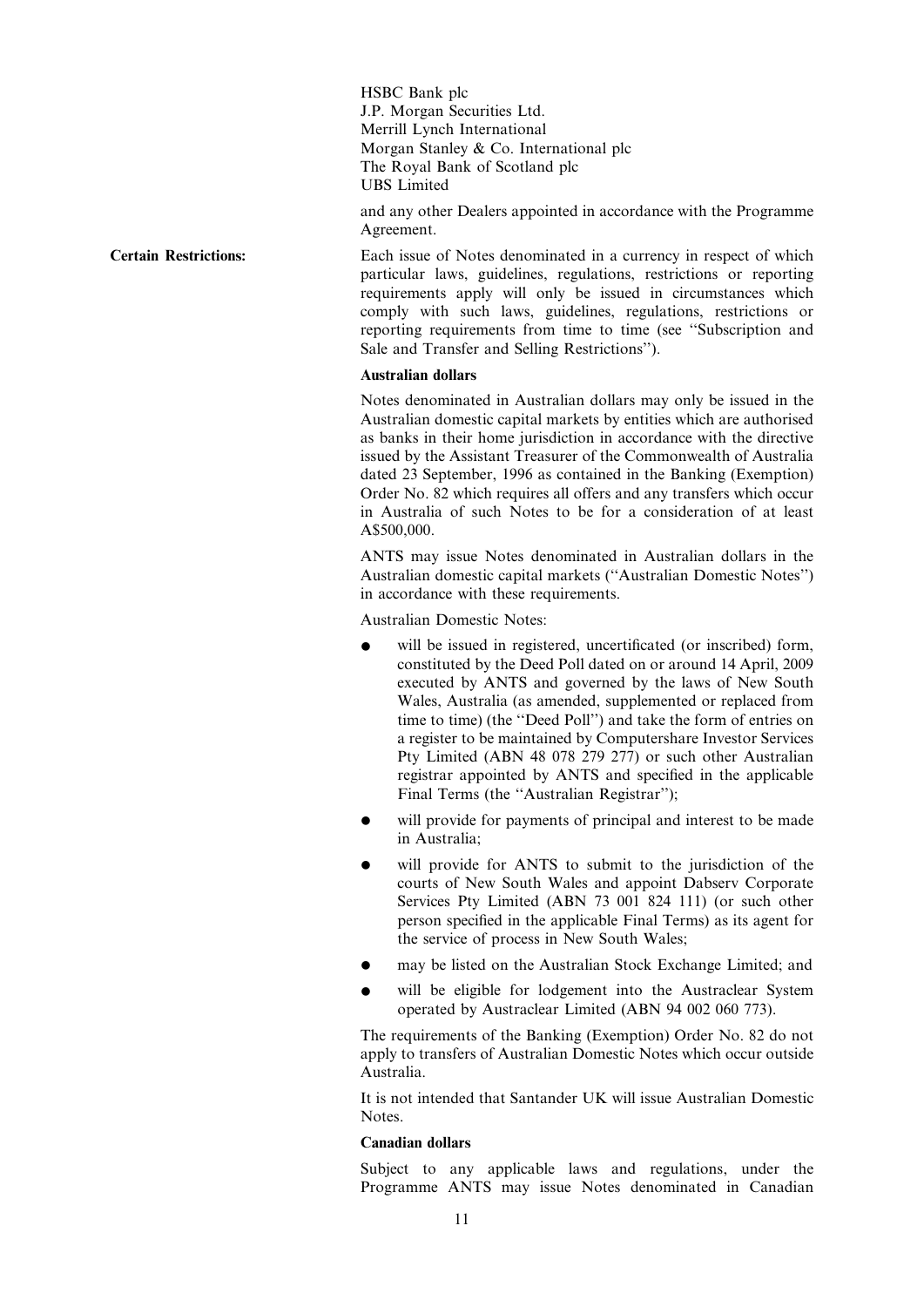HSBC Bank plc J.P. Morgan Securities Ltd. Merrill Lynch International Morgan Stanley & Co. International plc The Royal Bank of Scotland plc UBS Limited

and any other Dealers appointed in accordance with the Programme Agreement.

Certain Restrictions: Each issue of Notes denominated in a currency in respect of which particular laws, guidelines, regulations, restrictions or reporting requirements apply will only be issued in circumstances which comply with such laws, guidelines, regulations, restrictions or reporting requirements from time to time (see ''Subscription and Sale and Transfer and Selling Restrictions'').

#### Australian dollars

Notes denominated in Australian dollars may only be issued in the Australian domestic capital markets by entities which are authorised as banks in their home jurisdiction in accordance with the directive issued by the Assistant Treasurer of the Commonwealth of Australia dated 23 September, 1996 as contained in the Banking (Exemption) Order No. 82 which requires all offers and any transfers which occur in Australia of such Notes to be for a consideration of at least A\$500,000.

ANTS may issue Notes denominated in Australian dollars in the Australian domestic capital markets (''Australian Domestic Notes'') in accordance with these requirements.

Australian Domestic Notes:

- will be issued in registered, uncertificated (or inscribed) form, constituted by the Deed Poll dated on or around 14 April, 2009 executed by ANTS and governed by the laws of New South Wales, Australia (as amended, supplemented or replaced from time to time) (the ''Deed Poll'') and take the form of entries on a register to be maintained by Computershare Investor Services Pty Limited (ABN 48 078 279 277) or such other Australian registrar appointed by ANTS and specified in the applicable Final Terms (the ''Australian Registrar'');
- will provide for payments of principal and interest to be made in Australia;
- will provide for ANTS to submit to the jurisdiction of the courts of New South Wales and appoint Dabserv Corporate Services Pty Limited (ABN 73 001 824 111) (or such other person specified in the applicable Final Terms) as its agent for the service of process in New South Wales;
- may be listed on the Australian Stock Exchange Limited; and
- will be eligible for lodgement into the Austraclear System operated by Austraclear Limited (ABN 94 002 060 773).

The requirements of the Banking (Exemption) Order No. 82 do not apply to transfers of Australian Domestic Notes which occur outside Australia.

It is not intended that Santander UK will issue Australian Domestic **Notes**.

### Canadian dollars

Subject to any applicable laws and regulations, under the Programme ANTS may issue Notes denominated in Canadian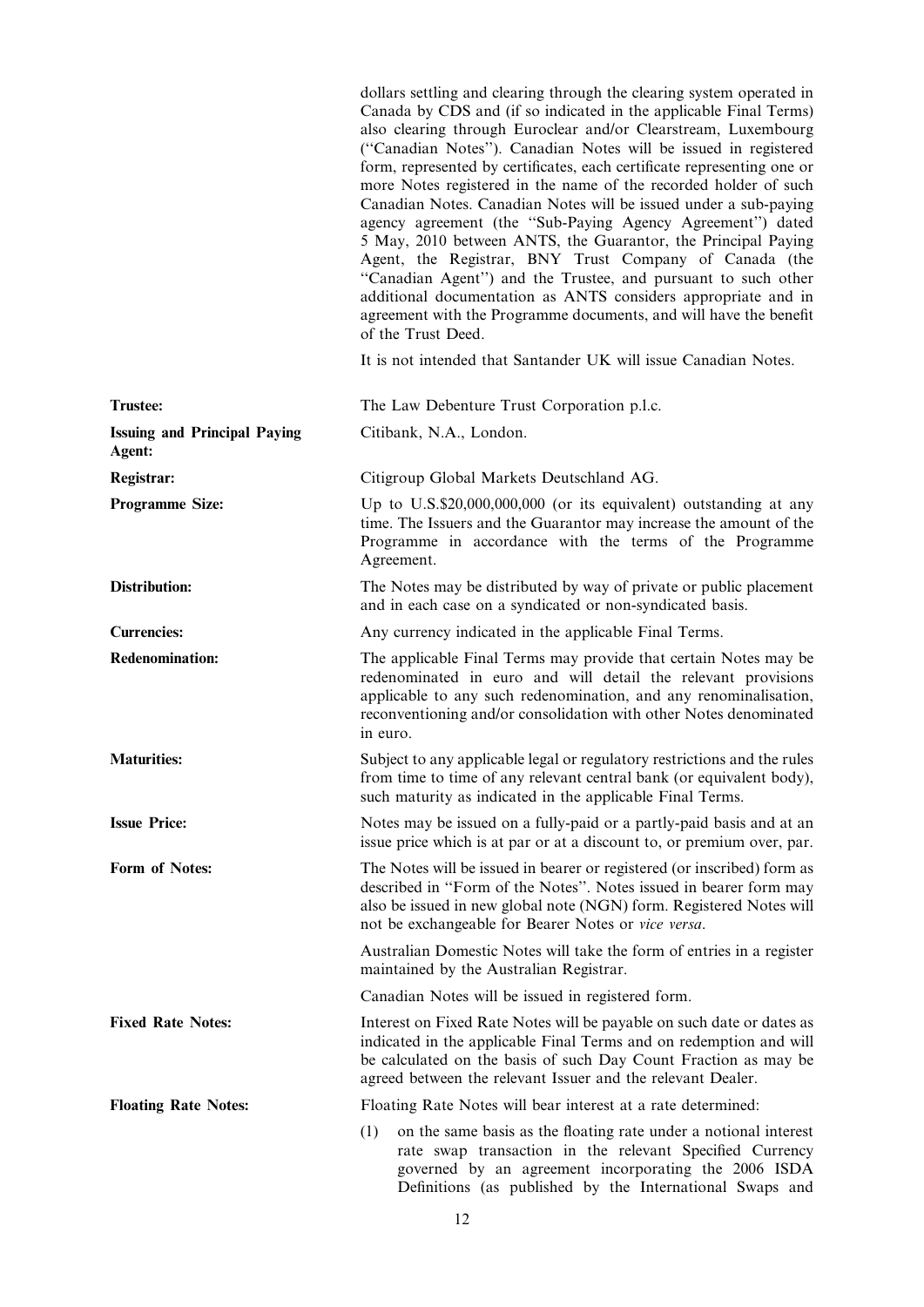|                                               | dollars settling and clearing through the clearing system operated in<br>Canada by CDS and (if so indicated in the applicable Final Terms)<br>also clearing through Euroclear and/or Clearstream, Luxembourg<br>("Canadian Notes"). Canadian Notes will be issued in registered<br>form, represented by certificates, each certificate representing one or<br>more Notes registered in the name of the recorded holder of such<br>Canadian Notes. Canadian Notes will be issued under a sub-paying<br>agency agreement (the "Sub-Paying Agency Agreement") dated<br>5 May, 2010 between ANTS, the Guarantor, the Principal Paying<br>Agent, the Registrar, BNY Trust Company of Canada (the<br>"Canadian Agent") and the Trustee, and pursuant to such other<br>additional documentation as ANTS considers appropriate and in<br>agreement with the Programme documents, and will have the benefit<br>of the Trust Deed. |
|-----------------------------------------------|--------------------------------------------------------------------------------------------------------------------------------------------------------------------------------------------------------------------------------------------------------------------------------------------------------------------------------------------------------------------------------------------------------------------------------------------------------------------------------------------------------------------------------------------------------------------------------------------------------------------------------------------------------------------------------------------------------------------------------------------------------------------------------------------------------------------------------------------------------------------------------------------------------------------------|
|                                               | It is not intended that Santander UK will issue Canadian Notes.                                                                                                                                                                                                                                                                                                                                                                                                                                                                                                                                                                                                                                                                                                                                                                                                                                                          |
| <b>Trustee:</b>                               | The Law Debenture Trust Corporation p.l.c.                                                                                                                                                                                                                                                                                                                                                                                                                                                                                                                                                                                                                                                                                                                                                                                                                                                                               |
| <b>Issuing and Principal Paying</b><br>Agent: | Citibank, N.A., London.                                                                                                                                                                                                                                                                                                                                                                                                                                                                                                                                                                                                                                                                                                                                                                                                                                                                                                  |
| Registrar:                                    | Citigroup Global Markets Deutschland AG.                                                                                                                                                                                                                                                                                                                                                                                                                                                                                                                                                                                                                                                                                                                                                                                                                                                                                 |
| <b>Programme Size:</b>                        | Up to U.S.\$20,000,000,000 (or its equivalent) outstanding at any<br>time. The Issuers and the Guarantor may increase the amount of the<br>Programme in accordance with the terms of the Programme<br>Agreement.                                                                                                                                                                                                                                                                                                                                                                                                                                                                                                                                                                                                                                                                                                         |
| Distribution:                                 | The Notes may be distributed by way of private or public placement<br>and in each case on a syndicated or non-syndicated basis.                                                                                                                                                                                                                                                                                                                                                                                                                                                                                                                                                                                                                                                                                                                                                                                          |
| <b>Currencies:</b>                            | Any currency indicated in the applicable Final Terms.                                                                                                                                                                                                                                                                                                                                                                                                                                                                                                                                                                                                                                                                                                                                                                                                                                                                    |
| <b>Redenomination:</b>                        | The applicable Final Terms may provide that certain Notes may be<br>redenominated in euro and will detail the relevant provisions<br>applicable to any such redenomination, and any renominalisation,<br>reconventioning and/or consolidation with other Notes denominated<br>in euro.                                                                                                                                                                                                                                                                                                                                                                                                                                                                                                                                                                                                                                   |
| <b>Maturities:</b>                            | Subject to any applicable legal or regulatory restrictions and the rules<br>from time to time of any relevant central bank (or equivalent body),<br>such maturity as indicated in the applicable Final Terms.                                                                                                                                                                                                                                                                                                                                                                                                                                                                                                                                                                                                                                                                                                            |
| <b>Issue Price:</b>                           | Notes may be issued on a fully-paid or a partly-paid basis and at an<br>issue price which is at par or at a discount to, or premium over, par.                                                                                                                                                                                                                                                                                                                                                                                                                                                                                                                                                                                                                                                                                                                                                                           |
| Form of Notes:                                | The Notes will be issued in bearer or registered (or inscribed) form as<br>described in "Form of the Notes". Notes issued in bearer form may<br>also be issued in new global note (NGN) form. Registered Notes will<br>not be exchangeable for Bearer Notes or vice versa.                                                                                                                                                                                                                                                                                                                                                                                                                                                                                                                                                                                                                                               |
|                                               | Australian Domestic Notes will take the form of entries in a register<br>maintained by the Australian Registrar.                                                                                                                                                                                                                                                                                                                                                                                                                                                                                                                                                                                                                                                                                                                                                                                                         |
|                                               | Canadian Notes will be issued in registered form.                                                                                                                                                                                                                                                                                                                                                                                                                                                                                                                                                                                                                                                                                                                                                                                                                                                                        |
| <b>Fixed Rate Notes:</b>                      | Interest on Fixed Rate Notes will be payable on such date or dates as<br>indicated in the applicable Final Terms and on redemption and will<br>be calculated on the basis of such Day Count Fraction as may be<br>agreed between the relevant Issuer and the relevant Dealer.                                                                                                                                                                                                                                                                                                                                                                                                                                                                                                                                                                                                                                            |
| <b>Floating Rate Notes:</b>                   | Floating Rate Notes will bear interest at a rate determined:                                                                                                                                                                                                                                                                                                                                                                                                                                                                                                                                                                                                                                                                                                                                                                                                                                                             |
|                                               | on the same basis as the floating rate under a notional interest<br>(1)<br>rate swap transaction in the relevant Specified Currency<br>governed by an agreement incorporating the 2006 ISDA                                                                                                                                                                                                                                                                                                                                                                                                                                                                                                                                                                                                                                                                                                                              |

Definitions (as published by the International Swaps and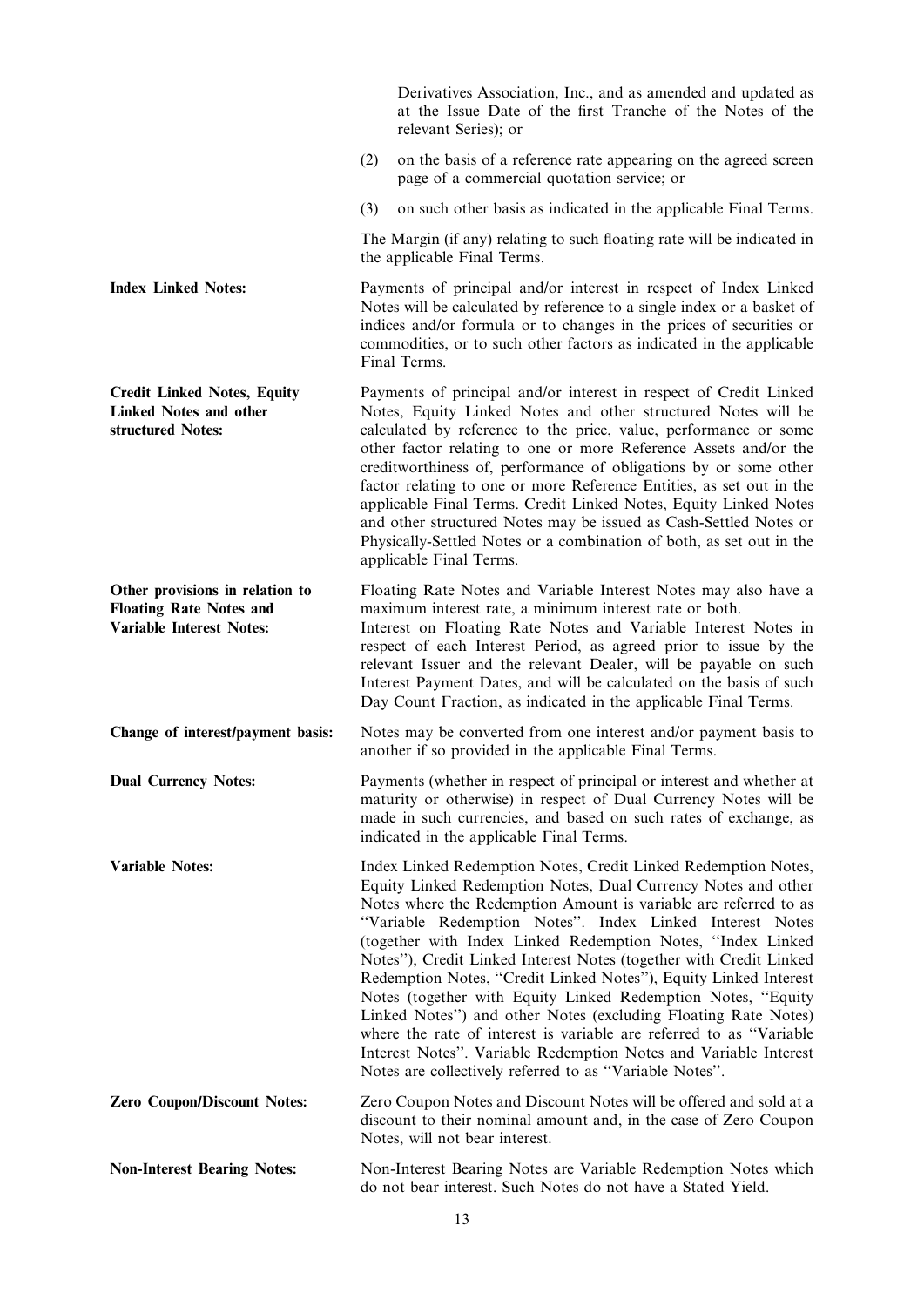|                                                                                                      | Derivatives Association, Inc., and as amended and updated as<br>at the Issue Date of the first Tranche of the Notes of the<br>relevant Series); or                                                                                                                                                                                                                                                                                                                                                                                                                                                                                                                                                                                                                                                               |
|------------------------------------------------------------------------------------------------------|------------------------------------------------------------------------------------------------------------------------------------------------------------------------------------------------------------------------------------------------------------------------------------------------------------------------------------------------------------------------------------------------------------------------------------------------------------------------------------------------------------------------------------------------------------------------------------------------------------------------------------------------------------------------------------------------------------------------------------------------------------------------------------------------------------------|
|                                                                                                      | on the basis of a reference rate appearing on the agreed screen<br>(2)<br>page of a commercial quotation service; or                                                                                                                                                                                                                                                                                                                                                                                                                                                                                                                                                                                                                                                                                             |
|                                                                                                      | (3)<br>on such other basis as indicated in the applicable Final Terms.                                                                                                                                                                                                                                                                                                                                                                                                                                                                                                                                                                                                                                                                                                                                           |
|                                                                                                      | The Margin (if any) relating to such floating rate will be indicated in<br>the applicable Final Terms.                                                                                                                                                                                                                                                                                                                                                                                                                                                                                                                                                                                                                                                                                                           |
| <b>Index Linked Notes:</b>                                                                           | Payments of principal and/or interest in respect of Index Linked<br>Notes will be calculated by reference to a single index or a basket of<br>indices and/or formula or to changes in the prices of securities or<br>commodities, or to such other factors as indicated in the applicable<br>Final Terms.                                                                                                                                                                                                                                                                                                                                                                                                                                                                                                        |
| <b>Credit Linked Notes, Equity</b><br><b>Linked Notes and other</b><br>structured Notes:             | Payments of principal and/or interest in respect of Credit Linked<br>Notes, Equity Linked Notes and other structured Notes will be<br>calculated by reference to the price, value, performance or some<br>other factor relating to one or more Reference Assets and/or the<br>creditworthiness of, performance of obligations by or some other<br>factor relating to one or more Reference Entities, as set out in the<br>applicable Final Terms. Credit Linked Notes, Equity Linked Notes<br>and other structured Notes may be issued as Cash-Settled Notes or<br>Physically-Settled Notes or a combination of both, as set out in the<br>applicable Final Terms.                                                                                                                                               |
| Other provisions in relation to<br><b>Floating Rate Notes and</b><br><b>Variable Interest Notes:</b> | Floating Rate Notes and Variable Interest Notes may also have a<br>maximum interest rate, a minimum interest rate or both.<br>Interest on Floating Rate Notes and Variable Interest Notes in<br>respect of each Interest Period, as agreed prior to issue by the<br>relevant Issuer and the relevant Dealer, will be payable on such<br>Interest Payment Dates, and will be calculated on the basis of such<br>Day Count Fraction, as indicated in the applicable Final Terms.                                                                                                                                                                                                                                                                                                                                   |
| Change of interest/payment basis:                                                                    | Notes may be converted from one interest and/or payment basis to<br>another if so provided in the applicable Final Terms.                                                                                                                                                                                                                                                                                                                                                                                                                                                                                                                                                                                                                                                                                        |
| <b>Dual Currency Notes:</b>                                                                          | Payments (whether in respect of principal or interest and whether at<br>maturity or otherwise) in respect of Dual Currency Notes will be<br>made in such currencies, and based on such rates of exchange, as<br>indicated in the applicable Final Terms.                                                                                                                                                                                                                                                                                                                                                                                                                                                                                                                                                         |
| <b>Variable Notes:</b>                                                                               | Index Linked Redemption Notes, Credit Linked Redemption Notes,<br>Equity Linked Redemption Notes, Dual Currency Notes and other<br>Notes where the Redemption Amount is variable are referred to as<br>"Variable Redemption Notes". Index Linked Interest Notes<br>(together with Index Linked Redemption Notes, "Index Linked<br>Notes"), Credit Linked Interest Notes (together with Credit Linked<br>Redemption Notes, "Credit Linked Notes"), Equity Linked Interest<br>Notes (together with Equity Linked Redemption Notes, "Equity<br>Linked Notes") and other Notes (excluding Floating Rate Notes)<br>where the rate of interest is variable are referred to as "Variable<br>Interest Notes". Variable Redemption Notes and Variable Interest<br>Notes are collectively referred to as "Variable Notes". |
| <b>Zero Coupon/Discount Notes:</b>                                                                   | Zero Coupon Notes and Discount Notes will be offered and sold at a<br>discount to their nominal amount and, in the case of Zero Coupon<br>Notes, will not bear interest.                                                                                                                                                                                                                                                                                                                                                                                                                                                                                                                                                                                                                                         |
| <b>Non-Interest Bearing Notes:</b>                                                                   | Non-Interest Bearing Notes are Variable Redemption Notes which<br>do not bear interest. Such Notes do not have a Stated Yield.                                                                                                                                                                                                                                                                                                                                                                                                                                                                                                                                                                                                                                                                                   |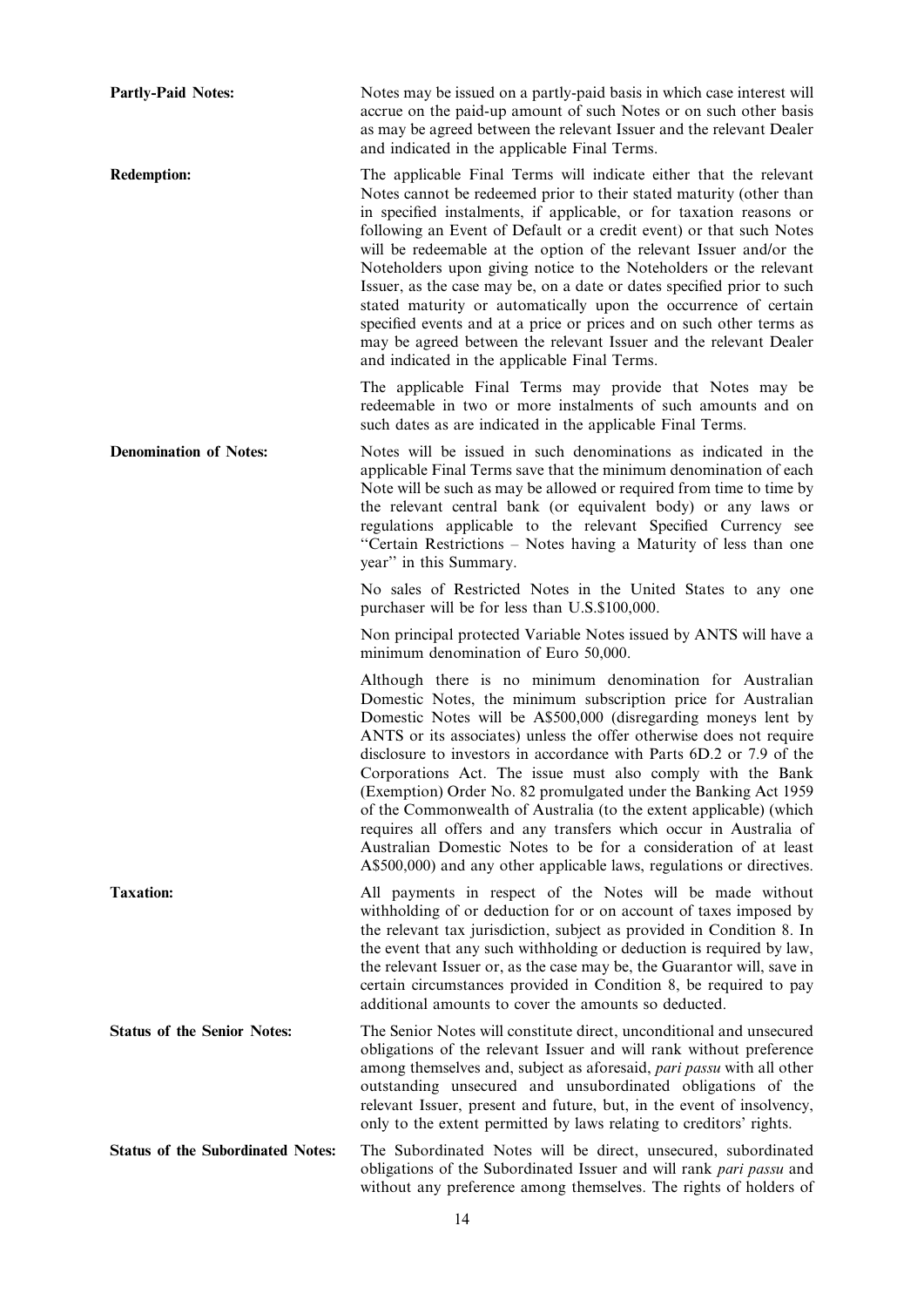Partly-Paid Notes: Notes may be issued on a partly-paid basis in which case interest will accrue on the paid-up amount of such Notes or on such other basis as may be agreed between the relevant Issuer and the relevant Dealer and indicated in the applicable Final Terms. Redemption: The applicable Final Terms will indicate either that the relevant Notes cannot be redeemed prior to their stated maturity (other than in specified instalments, if applicable, or for taxation reasons or following an Event of Default or a credit event) or that such Notes will be redeemable at the option of the relevant Issuer and/or the Noteholders upon giving notice to the Noteholders or the relevant Issuer, as the case may be, on a date or dates specified prior to such stated maturity or automatically upon the occurrence of certain specified events and at a price or prices and on such other terms as may be agreed between the relevant Issuer and the relevant Dealer and indicated in the applicable Final Terms. The applicable Final Terms may provide that Notes may be redeemable in two or more instalments of such amounts and on such dates as are indicated in the applicable Final Terms. Denomination of Notes: Notes will be issued in such denominations as indicated in the applicable Final Terms save that the minimum denomination of each Note will be such as may be allowed or required from time to time by the relevant central bank (or equivalent body) or any laws or regulations applicable to the relevant Specified Currency see ''Certain Restrictions – Notes having a Maturity of less than one year'' in this Summary. No sales of Restricted Notes in the United States to any one purchaser will be for less than U.S.\$100,000. Non principal protected Variable Notes issued by ANTS will have a minimum denomination of Euro 50,000. Although there is no minimum denomination for Australian Domestic Notes, the minimum subscription price for Australian Domestic Notes will be A\$500,000 (disregarding moneys lent by ANTS or its associates) unless the offer otherwise does not require disclosure to investors in accordance with Parts 6D.2 or 7.9 of the Corporations Act. The issue must also comply with the Bank (Exemption) Order No. 82 promulgated under the Banking Act 1959 of the Commonwealth of Australia (to the extent applicable) (which requires all offers and any transfers which occur in Australia of Australian Domestic Notes to be for a consideration of at least A\$500,000) and any other applicable laws, regulations or directives. Taxation: All payments in respect of the Notes will be made without withholding of or deduction for or on account of taxes imposed by the relevant tax jurisdiction, subject as provided in Condition 8. In the event that any such withholding or deduction is required by law, the relevant Issuer or, as the case may be, the Guarantor will, save in certain circumstances provided in Condition 8, be required to pay additional amounts to cover the amounts so deducted. Status of the Senior Notes: The Senior Notes will constitute direct, unconditional and unsecured obligations of the relevant Issuer and will rank without preference among themselves and, subject as aforesaid, pari passu with all other outstanding unsecured and unsubordinated obligations of the relevant Issuer, present and future, but, in the event of insolvency, only to the extent permitted by laws relating to creditors' rights. Status of the Subordinated Notes: The Subordinated Notes will be direct, unsecured, subordinated obligations of the Subordinated Issuer and will rank pari passu and without any preference among themselves. The rights of holders of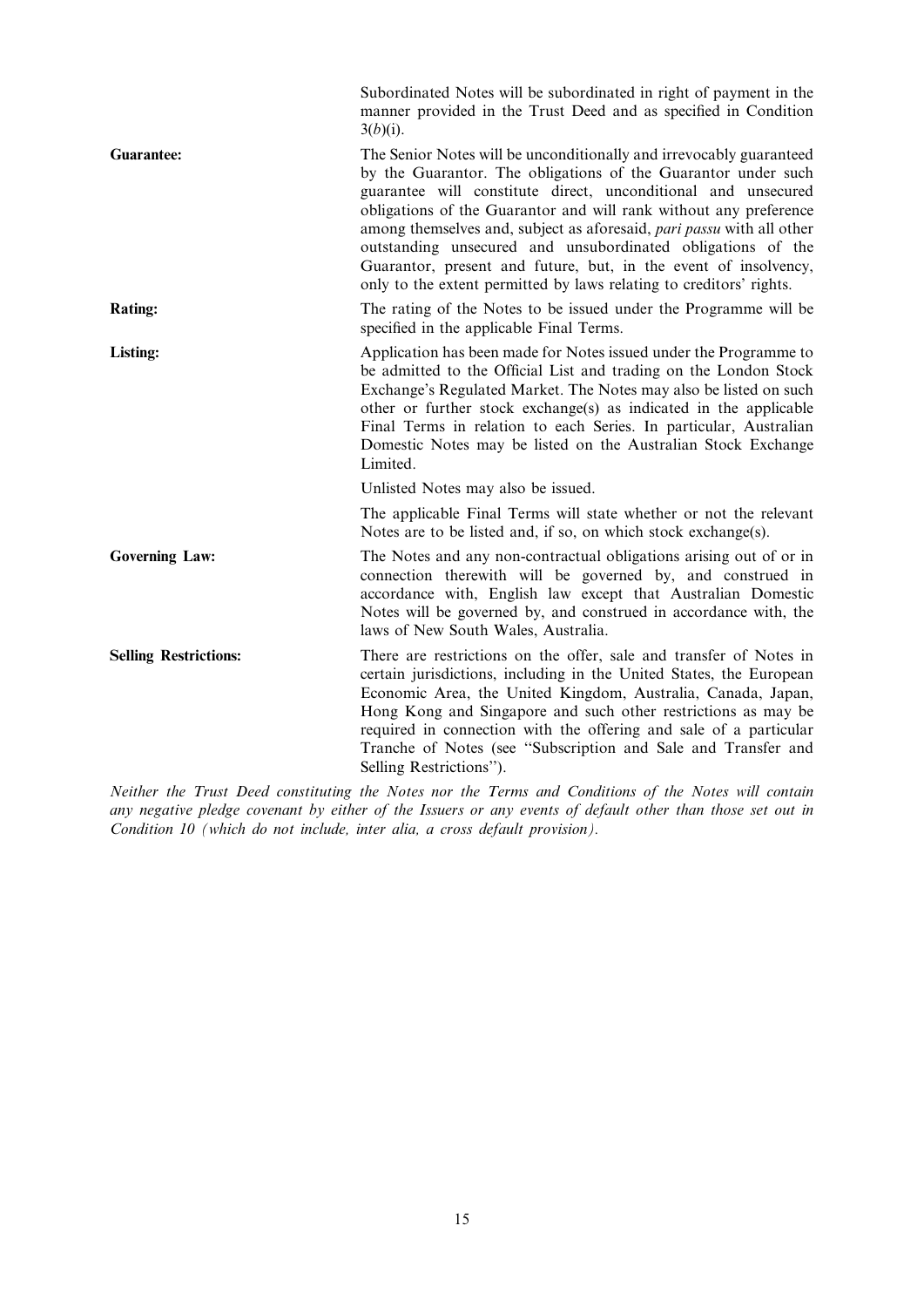|                              | Subordinated Notes will be subordinated in right of payment in the<br>manner provided in the Trust Deed and as specified in Condition<br>$3(b)(i)$ .                                                                                                                                                                                                                                                                                                                                                                                                         |
|------------------------------|--------------------------------------------------------------------------------------------------------------------------------------------------------------------------------------------------------------------------------------------------------------------------------------------------------------------------------------------------------------------------------------------------------------------------------------------------------------------------------------------------------------------------------------------------------------|
| <b>Guarantee:</b>            | The Senior Notes will be unconditionally and irrevocably guaranteed<br>by the Guarantor. The obligations of the Guarantor under such<br>guarantee will constitute direct, unconditional and unsecured<br>obligations of the Guarantor and will rank without any preference<br>among themselves and, subject as aforesaid, pari passu with all other<br>outstanding unsecured and unsubordinated obligations of the<br>Guarantor, present and future, but, in the event of insolvency,<br>only to the extent permitted by laws relating to creditors' rights. |
| <b>Rating:</b>               | The rating of the Notes to be issued under the Programme will be<br>specified in the applicable Final Terms.                                                                                                                                                                                                                                                                                                                                                                                                                                                 |
| Listing:                     | Application has been made for Notes issued under the Programme to<br>be admitted to the Official List and trading on the London Stock<br>Exchange's Regulated Market. The Notes may also be listed on such<br>other or further stock exchange(s) as indicated in the applicable<br>Final Terms in relation to each Series. In particular, Australian<br>Domestic Notes may be listed on the Australian Stock Exchange<br>Limited.                                                                                                                            |
|                              | Unlisted Notes may also be issued.                                                                                                                                                                                                                                                                                                                                                                                                                                                                                                                           |
|                              | The applicable Final Terms will state whether or not the relevant<br>Notes are to be listed and, if so, on which stock exchange(s).                                                                                                                                                                                                                                                                                                                                                                                                                          |
| <b>Governing Law:</b>        | The Notes and any non-contractual obligations arising out of or in<br>connection therewith will be governed by, and construed in<br>accordance with, English law except that Australian Domestic<br>Notes will be governed by, and construed in accordance with, the<br>laws of New South Wales, Australia.                                                                                                                                                                                                                                                  |
| <b>Selling Restrictions:</b> | There are restrictions on the offer, sale and transfer of Notes in<br>certain jurisdictions, including in the United States, the European<br>Economic Area, the United Kingdom, Australia, Canada, Japan,<br>Hong Kong and Singapore and such other restrictions as may be<br>required in connection with the offering and sale of a particular<br>Tranche of Notes (see "Subscription and Sale and Transfer and<br>Selling Restrictions").                                                                                                                  |

Neither the Trust Deed constituting the Notes nor the Terms and Conditions of the Notes will contain any negative pledge covenant by either of the Issuers or any events of default other than those set out in Condition 10 (which do not include, inter alia, a cross default provision).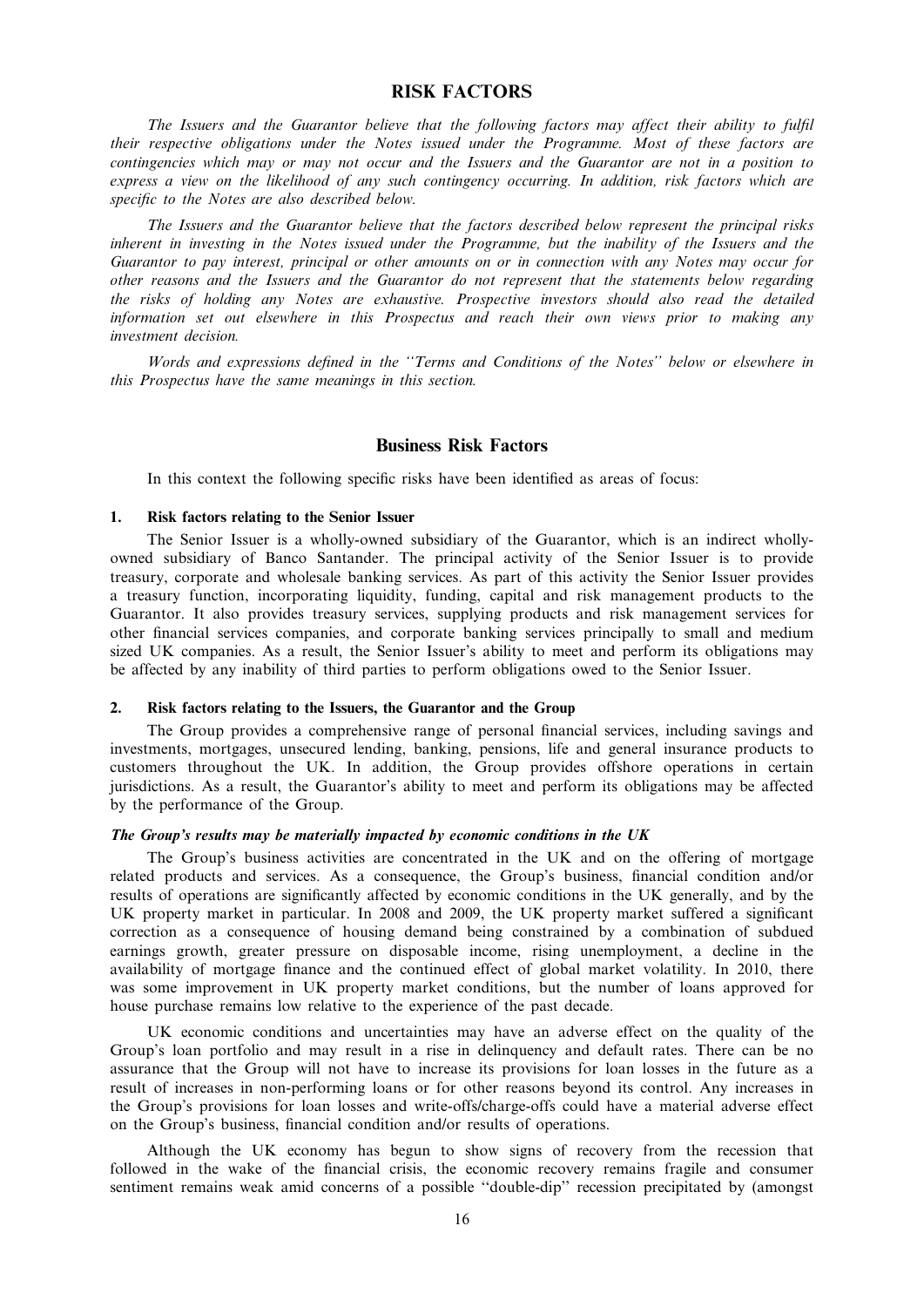# RISK FACTORS

The Issuers and the Guarantor believe that the following factors may affect their ability to fulfil their respective obligations under the Notes issued under the Programme. Most of these factors are contingencies which may or may not occur and the Issuers and the Guarantor are not in a position to express a view on the likelihood of any such contingency occurring. In addition, risk factors which are specific to the Notes are also described below.

The Issuers and the Guarantor believe that the factors described below represent the principal risks inherent in investing in the Notes issued under the Programme, but the inability of the Issuers and the Guarantor to pay interest, principal or other amounts on or in connection with any Notes may occur for other reasons and the Issuers and the Guarantor do not represent that the statements below regarding the risks of holding any Notes are exhaustive. Prospective investors should also read the detailed information set out elsewhere in this Prospectus and reach their own views prior to making any investment decision.

Words and expressions defined in the ''Terms and Conditions of the Notes'' below or elsewhere in this Prospectus have the same meanings in this section.

# Business Risk Factors

In this context the following specific risks have been identified as areas of focus:

# 1. Risk factors relating to the Senior Issuer

The Senior Issuer is a wholly-owned subsidiary of the Guarantor, which is an indirect whollyowned subsidiary of Banco Santander. The principal activity of the Senior Issuer is to provide treasury, corporate and wholesale banking services. As part of this activity the Senior Issuer provides a treasury function, incorporating liquidity, funding, capital and risk management products to the Guarantor. It also provides treasury services, supplying products and risk management services for other financial services companies, and corporate banking services principally to small and medium sized UK companies. As a result, the Senior Issuer's ability to meet and perform its obligations may be affected by any inability of third parties to perform obligations owed to the Senior Issuer.

# 2. Risk factors relating to the Issuers, the Guarantor and the Group

The Group provides a comprehensive range of personal financial services, including savings and investments, mortgages, unsecured lending, banking, pensions, life and general insurance products to customers throughout the UK. In addition, the Group provides offshore operations in certain jurisdictions. As a result, the Guarantor's ability to meet and perform its obligations may be affected by the performance of the Group.

#### The Group's results may be materially impacted by economic conditions in the UK

The Group's business activities are concentrated in the UK and on the offering of mortgage related products and services. As a consequence, the Group's business, financial condition and/or results of operations are significantly affected by economic conditions in the UK generally, and by the UK property market in particular. In 2008 and 2009, the UK property market suffered a significant correction as a consequence of housing demand being constrained by a combination of subdued earnings growth, greater pressure on disposable income, rising unemployment, a decline in the availability of mortgage finance and the continued effect of global market volatility. In 2010, there was some improvement in UK property market conditions, but the number of loans approved for house purchase remains low relative to the experience of the past decade.

UK economic conditions and uncertainties may have an adverse effect on the quality of the Group's loan portfolio and may result in a rise in delinquency and default rates. There can be no assurance that the Group will not have to increase its provisions for loan losses in the future as a result of increases in non-performing loans or for other reasons beyond its control. Any increases in the Group's provisions for loan losses and write-offs/charge-offs could have a material adverse effect on the Group's business, financial condition and/or results of operations.

Although the UK economy has begun to show signs of recovery from the recession that followed in the wake of the financial crisis, the economic recovery remains fragile and consumer sentiment remains weak amid concerns of a possible "double-dip" recession precipitated by (amongst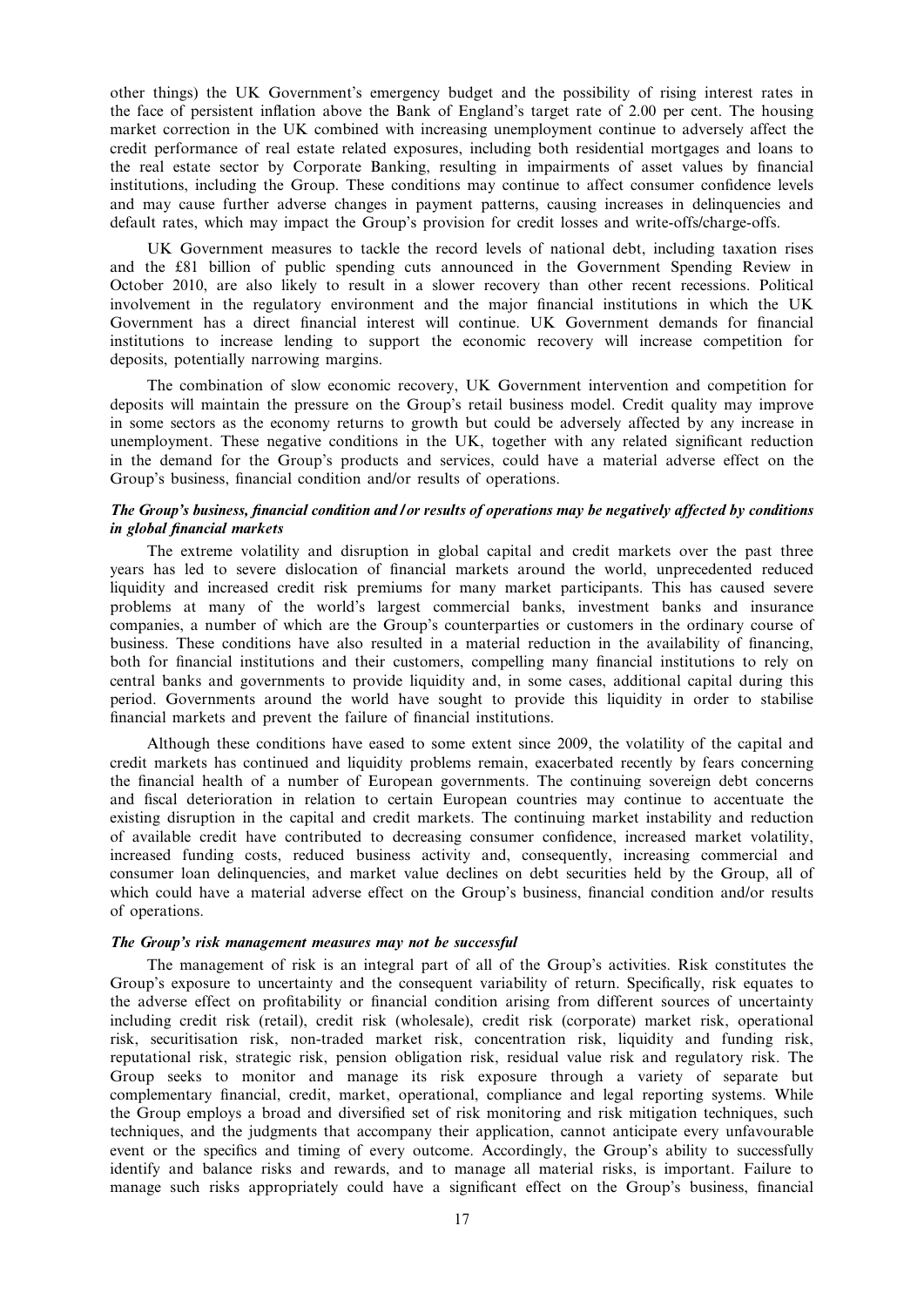other things) the UK Government's emergency budget and the possibility of rising interest rates in the face of persistent inflation above the Bank of England's target rate of 2.00 per cent. The housing market correction in the UK combined with increasing unemployment continue to adversely affect the credit performance of real estate related exposures, including both residential mortgages and loans to the real estate sector by Corporate Banking, resulting in impairments of asset values by financial institutions, including the Group. These conditions may continue to affect consumer confidence levels and may cause further adverse changes in payment patterns, causing increases in delinquencies and default rates, which may impact the Group's provision for credit losses and write-offs/charge-offs.

UK Government measures to tackle the record levels of national debt, including taxation rises and the £81 billion of public spending cuts announced in the Government Spending Review in October 2010, are also likely to result in a slower recovery than other recent recessions. Political involvement in the regulatory environment and the major financial institutions in which the UK Government has a direct financial interest will continue. UK Government demands for financial institutions to increase lending to support the economic recovery will increase competition for deposits, potentially narrowing margins.

The combination of slow economic recovery, UK Government intervention and competition for deposits will maintain the pressure on the Group's retail business model. Credit quality may improve in some sectors as the economy returns to growth but could be adversely affected by any increase in unemployment. These negative conditions in the UK, together with any related significant reduction in the demand for the Group's products and services, could have a material adverse effect on the Group's business, financial condition and/or results of operations.

# The Group's business, financial condition and / or results of operations may be negatively affected by conditions in global financial markets

The extreme volatility and disruption in global capital and credit markets over the past three years has led to severe dislocation of financial markets around the world, unprecedented reduced liquidity and increased credit risk premiums for many market participants. This has caused severe problems at many of the world's largest commercial banks, investment banks and insurance companies, a number of which are the Group's counterparties or customers in the ordinary course of business. These conditions have also resulted in a material reduction in the availability of financing, both for financial institutions and their customers, compelling many financial institutions to rely on central banks and governments to provide liquidity and, in some cases, additional capital during this period. Governments around the world have sought to provide this liquidity in order to stabilise financial markets and prevent the failure of financial institutions.

Although these conditions have eased to some extent since 2009, the volatility of the capital and credit markets has continued and liquidity problems remain, exacerbated recently by fears concerning the financial health of a number of European governments. The continuing sovereign debt concerns and fiscal deterioration in relation to certain European countries may continue to accentuate the existing disruption in the capital and credit markets. The continuing market instability and reduction of available credit have contributed to decreasing consumer confidence, increased market volatility, increased funding costs, reduced business activity and, consequently, increasing commercial and consumer loan delinquencies, and market value declines on debt securities held by the Group, all of which could have a material adverse effect on the Group's business, financial condition and/or results of operations.

## The Group's risk management measures may not be successful

The management of risk is an integral part of all of the Group's activities. Risk constitutes the Group's exposure to uncertainty and the consequent variability of return. Specifically, risk equates to the adverse effect on profitability or financial condition arising from different sources of uncertainty including credit risk (retail), credit risk (wholesale), credit risk (corporate) market risk, operational risk, securitisation risk, non-traded market risk, concentration risk, liquidity and funding risk, reputational risk, strategic risk, pension obligation risk, residual value risk and regulatory risk. The Group seeks to monitor and manage its risk exposure through a variety of separate but complementary financial, credit, market, operational, compliance and legal reporting systems. While the Group employs a broad and diversified set of risk monitoring and risk mitigation techniques, such techniques, and the judgments that accompany their application, cannot anticipate every unfavourable event or the specifics and timing of every outcome. Accordingly, the Group's ability to successfully identify and balance risks and rewards, and to manage all material risks, is important. Failure to manage such risks appropriately could have a significant effect on the Group's business, financial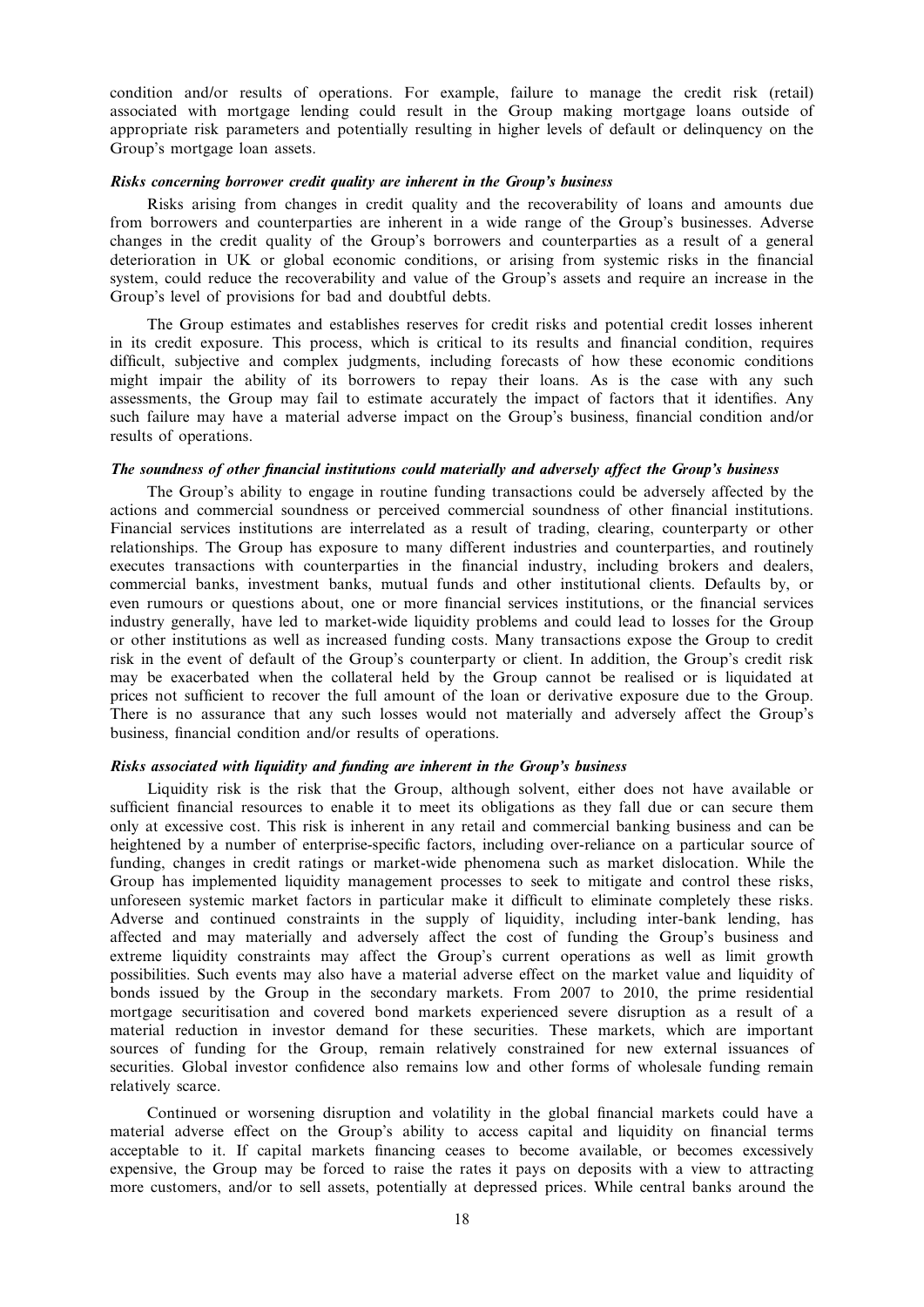condition and/or results of operations. For example, failure to manage the credit risk (retail) associated with mortgage lending could result in the Group making mortgage loans outside of appropriate risk parameters and potentially resulting in higher levels of default or delinquency on the Group's mortgage loan assets.

### Risks concerning borrower credit quality are inherent in the Group's business

Risks arising from changes in credit quality and the recoverability of loans and amounts due from borrowers and counterparties are inherent in a wide range of the Group's businesses. Adverse changes in the credit quality of the Group's borrowers and counterparties as a result of a general deterioration in UK or global economic conditions, or arising from systemic risks in the financial system, could reduce the recoverability and value of the Group's assets and require an increase in the Group's level of provisions for bad and doubtful debts.

The Group estimates and establishes reserves for credit risks and potential credit losses inherent in its credit exposure. This process, which is critical to its results and financial condition, requires difficult, subjective and complex judgments, including forecasts of how these economic conditions might impair the ability of its borrowers to repay their loans. As is the case with any such assessments, the Group may fail to estimate accurately the impact of factors that it identifies. Any such failure may have a material adverse impact on the Group's business, financial condition and/or results of operations.

### The soundness of other financial institutions could materially and adversely affect the Group's business

The Group's ability to engage in routine funding transactions could be adversely affected by the actions and commercial soundness or perceived commercial soundness of other financial institutions. Financial services institutions are interrelated as a result of trading, clearing, counterparty or other relationships. The Group has exposure to many different industries and counterparties, and routinely executes transactions with counterparties in the financial industry, including brokers and dealers, commercial banks, investment banks, mutual funds and other institutional clients. Defaults by, or even rumours or questions about, one or more financial services institutions, or the financial services industry generally, have led to market-wide liquidity problems and could lead to losses for the Group or other institutions as well as increased funding costs. Many transactions expose the Group to credit risk in the event of default of the Group's counterparty or client. In addition, the Group's credit risk may be exacerbated when the collateral held by the Group cannot be realised or is liquidated at prices not sufficient to recover the full amount of the loan or derivative exposure due to the Group. There is no assurance that any such losses would not materially and adversely affect the Group's business, financial condition and/or results of operations.

#### Risks associated with liquidity and funding are inherent in the Group's business

Liquidity risk is the risk that the Group, although solvent, either does not have available or sufficient financial resources to enable it to meet its obligations as they fall due or can secure them only at excessive cost. This risk is inherent in any retail and commercial banking business and can be heightened by a number of enterprise-specific factors, including over-reliance on a particular source of funding, changes in credit ratings or market-wide phenomena such as market dislocation. While the Group has implemented liquidity management processes to seek to mitigate and control these risks, unforeseen systemic market factors in particular make it difficult to eliminate completely these risks. Adverse and continued constraints in the supply of liquidity, including inter-bank lending, has affected and may materially and adversely affect the cost of funding the Group's business and extreme liquidity constraints may affect the Group's current operations as well as limit growth possibilities. Such events may also have a material adverse effect on the market value and liquidity of bonds issued by the Group in the secondary markets. From 2007 to 2010, the prime residential mortgage securitisation and covered bond markets experienced severe disruption as a result of a material reduction in investor demand for these securities. These markets, which are important sources of funding for the Group, remain relatively constrained for new external issuances of securities. Global investor confidence also remains low and other forms of wholesale funding remain relatively scarce.

Continued or worsening disruption and volatility in the global financial markets could have a material adverse effect on the Group's ability to access capital and liquidity on financial terms acceptable to it. If capital markets financing ceases to become available, or becomes excessively expensive, the Group may be forced to raise the rates it pays on deposits with a view to attracting more customers, and/or to sell assets, potentially at depressed prices. While central banks around the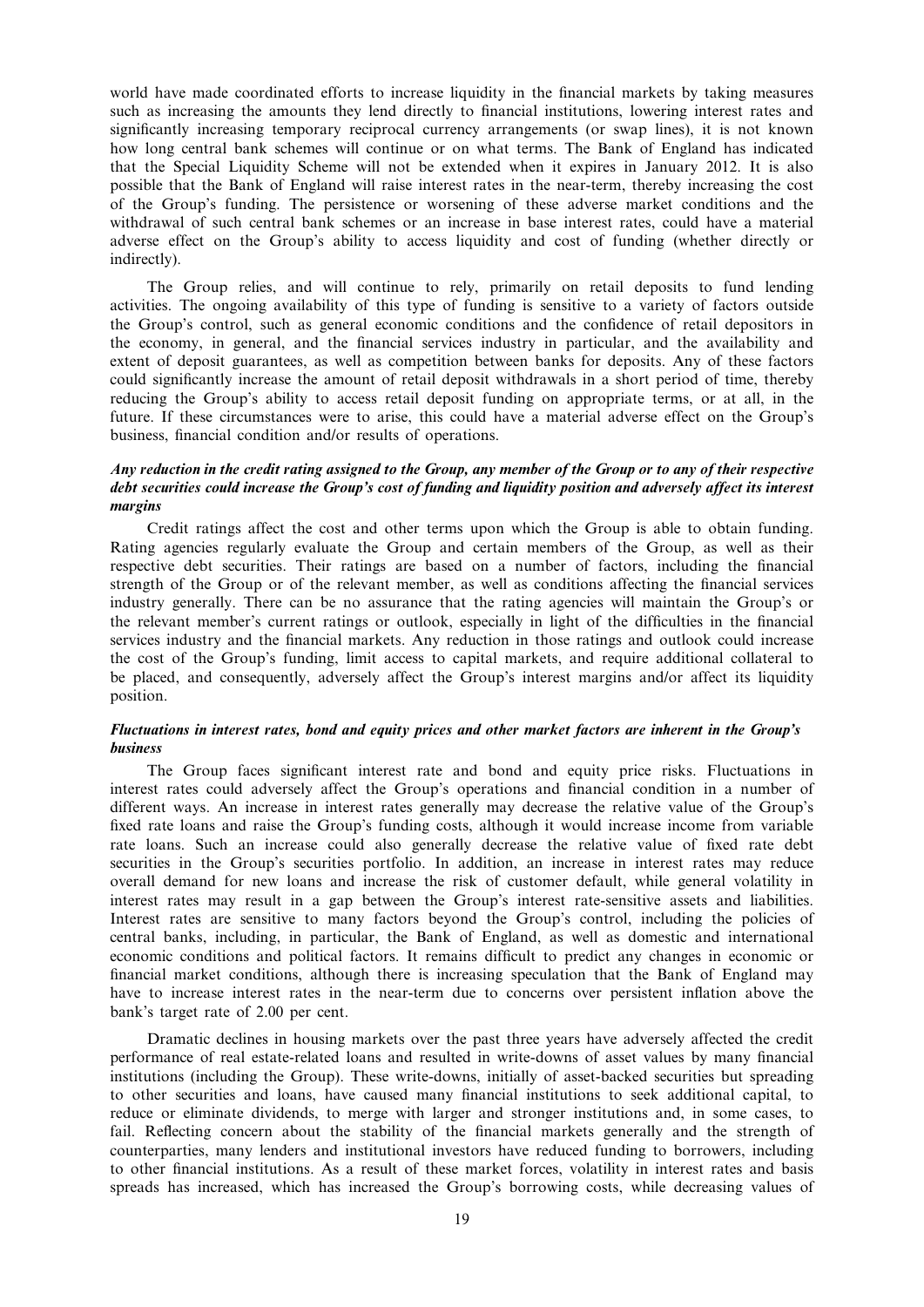world have made coordinated efforts to increase liquidity in the financial markets by taking measures such as increasing the amounts they lend directly to financial institutions, lowering interest rates and significantly increasing temporary reciprocal currency arrangements (or swap lines), it is not known how long central bank schemes will continue or on what terms. The Bank of England has indicated that the Special Liquidity Scheme will not be extended when it expires in January 2012. It is also possible that the Bank of England will raise interest rates in the near-term, thereby increasing the cost of the Group's funding. The persistence or worsening of these adverse market conditions and the withdrawal of such central bank schemes or an increase in base interest rates, could have a material adverse effect on the Group's ability to access liquidity and cost of funding (whether directly or indirectly).

The Group relies, and will continue to rely, primarily on retail deposits to fund lending activities. The ongoing availability of this type of funding is sensitive to a variety of factors outside the Group's control, such as general economic conditions and the confidence of retail depositors in the economy, in general, and the financial services industry in particular, and the availability and extent of deposit guarantees, as well as competition between banks for deposits. Any of these factors could significantly increase the amount of retail deposit withdrawals in a short period of time, thereby reducing the Group's ability to access retail deposit funding on appropriate terms, or at all, in the future. If these circumstances were to arise, this could have a material adverse effect on the Group's business, financial condition and/or results of operations.

# Any reduction in the credit rating assigned to the Group, any member of the Group or to any of their respective debt securities could increase the Group's cost of funding and liquidity position and adversely affect its interest margins

Credit ratings affect the cost and other terms upon which the Group is able to obtain funding. Rating agencies regularly evaluate the Group and certain members of the Group, as well as their respective debt securities. Their ratings are based on a number of factors, including the financial strength of the Group or of the relevant member, as well as conditions affecting the financial services industry generally. There can be no assurance that the rating agencies will maintain the Group's or the relevant member's current ratings or outlook, especially in light of the difficulties in the financial services industry and the financial markets. Any reduction in those ratings and outlook could increase the cost of the Group's funding, limit access to capital markets, and require additional collateral to be placed, and consequently, adversely affect the Group's interest margins and/or affect its liquidity position.

# Fluctuations in interest rates, bond and equity prices and other market factors are inherent in the Group's business

The Group faces significant interest rate and bond and equity price risks. Fluctuations in interest rates could adversely affect the Group's operations and financial condition in a number of different ways. An increase in interest rates generally may decrease the relative value of the Group's fixed rate loans and raise the Group's funding costs, although it would increase income from variable rate loans. Such an increase could also generally decrease the relative value of fixed rate debt securities in the Group's securities portfolio. In addition, an increase in interest rates may reduce overall demand for new loans and increase the risk of customer default, while general volatility in interest rates may result in a gap between the Group's interest rate-sensitive assets and liabilities. Interest rates are sensitive to many factors beyond the Group's control, including the policies of central banks, including, in particular, the Bank of England, as well as domestic and international economic conditions and political factors. It remains difficult to predict any changes in economic or financial market conditions, although there is increasing speculation that the Bank of England may have to increase interest rates in the near-term due to concerns over persistent inflation above the bank's target rate of 2.00 per cent.

Dramatic declines in housing markets over the past three years have adversely affected the credit performance of real estate-related loans and resulted in write-downs of asset values by many financial institutions (including the Group). These write-downs, initially of asset-backed securities but spreading to other securities and loans, have caused many financial institutions to seek additional capital, to reduce or eliminate dividends, to merge with larger and stronger institutions and, in some cases, to fail. Reflecting concern about the stability of the financial markets generally and the strength of counterparties, many lenders and institutional investors have reduced funding to borrowers, including to other financial institutions. As a result of these market forces, volatility in interest rates and basis spreads has increased, which has increased the Group's borrowing costs, while decreasing values of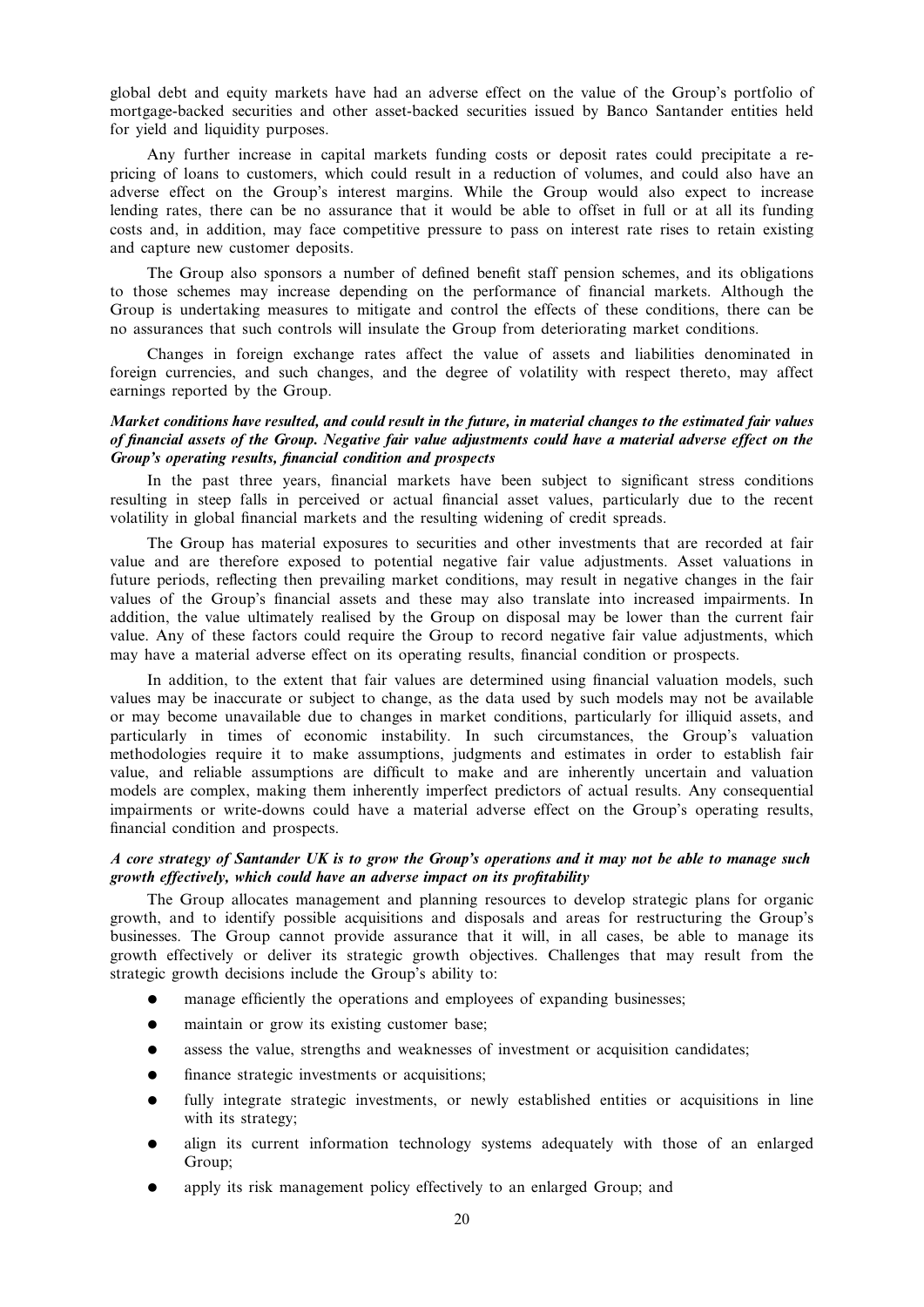global debt and equity markets have had an adverse effect on the value of the Group's portfolio of mortgage-backed securities and other asset-backed securities issued by Banco Santander entities held for yield and liquidity purposes.

Any further increase in capital markets funding costs or deposit rates could precipitate a repricing of loans to customers, which could result in a reduction of volumes, and could also have an adverse effect on the Group's interest margins. While the Group would also expect to increase lending rates, there can be no assurance that it would be able to offset in full or at all its funding costs and, in addition, may face competitive pressure to pass on interest rate rises to retain existing and capture new customer deposits.

The Group also sponsors a number of defined benefit staff pension schemes, and its obligations to those schemes may increase depending on the performance of financial markets. Although the Group is undertaking measures to mitigate and control the effects of these conditions, there can be no assurances that such controls will insulate the Group from deteriorating market conditions.

Changes in foreign exchange rates affect the value of assets and liabilities denominated in foreign currencies, and such changes, and the degree of volatility with respect thereto, may affect earnings reported by the Group.

# Market conditions have resulted, and could result in the future, in material changes to the estimated fair values of financial assets of the Group. Negative fair value adjustments could have a material adverse effect on the Group's operating results, financial condition and prospects

In the past three years, financial markets have been subject to significant stress conditions resulting in steep falls in perceived or actual financial asset values, particularly due to the recent volatility in global financial markets and the resulting widening of credit spreads.

The Group has material exposures to securities and other investments that are recorded at fair value and are therefore exposed to potential negative fair value adjustments. Asset valuations in future periods, reflecting then prevailing market conditions, may result in negative changes in the fair values of the Group's financial assets and these may also translate into increased impairments. In addition, the value ultimately realised by the Group on disposal may be lower than the current fair value. Any of these factors could require the Group to record negative fair value adjustments, which may have a material adverse effect on its operating results, financial condition or prospects.

In addition, to the extent that fair values are determined using financial valuation models, such values may be inaccurate or subject to change, as the data used by such models may not be available or may become unavailable due to changes in market conditions, particularly for illiquid assets, and particularly in times of economic instability. In such circumstances, the Group's valuation methodologies require it to make assumptions, judgments and estimates in order to establish fair value, and reliable assumptions are difficult to make and are inherently uncertain and valuation models are complex, making them inherently imperfect predictors of actual results. Any consequential impairments or write-downs could have a material adverse effect on the Group's operating results, financial condition and prospects.

# A core strategy of Santander UK is to grow the Group's operations and it may not be able to manage such growth effectively, which could have an adverse impact on its profitability

The Group allocates management and planning resources to develop strategic plans for organic growth, and to identify possible acquisitions and disposals and areas for restructuring the Group's businesses. The Group cannot provide assurance that it will, in all cases, be able to manage its growth effectively or deliver its strategic growth objectives. Challenges that may result from the strategic growth decisions include the Group's ability to:

- manage efficiently the operations and employees of expanding businesses;
- maintain or grow its existing customer base:
- assess the value, strengths and weaknesses of investment or acquisition candidates;
- finance strategic investments or acquisitions;
- fully integrate strategic investments, or newly established entities or acquisitions in line with its strategy;
- align its current information technology systems adequately with those of an enlarged Group;
- apply its risk management policy effectively to an enlarged Group; and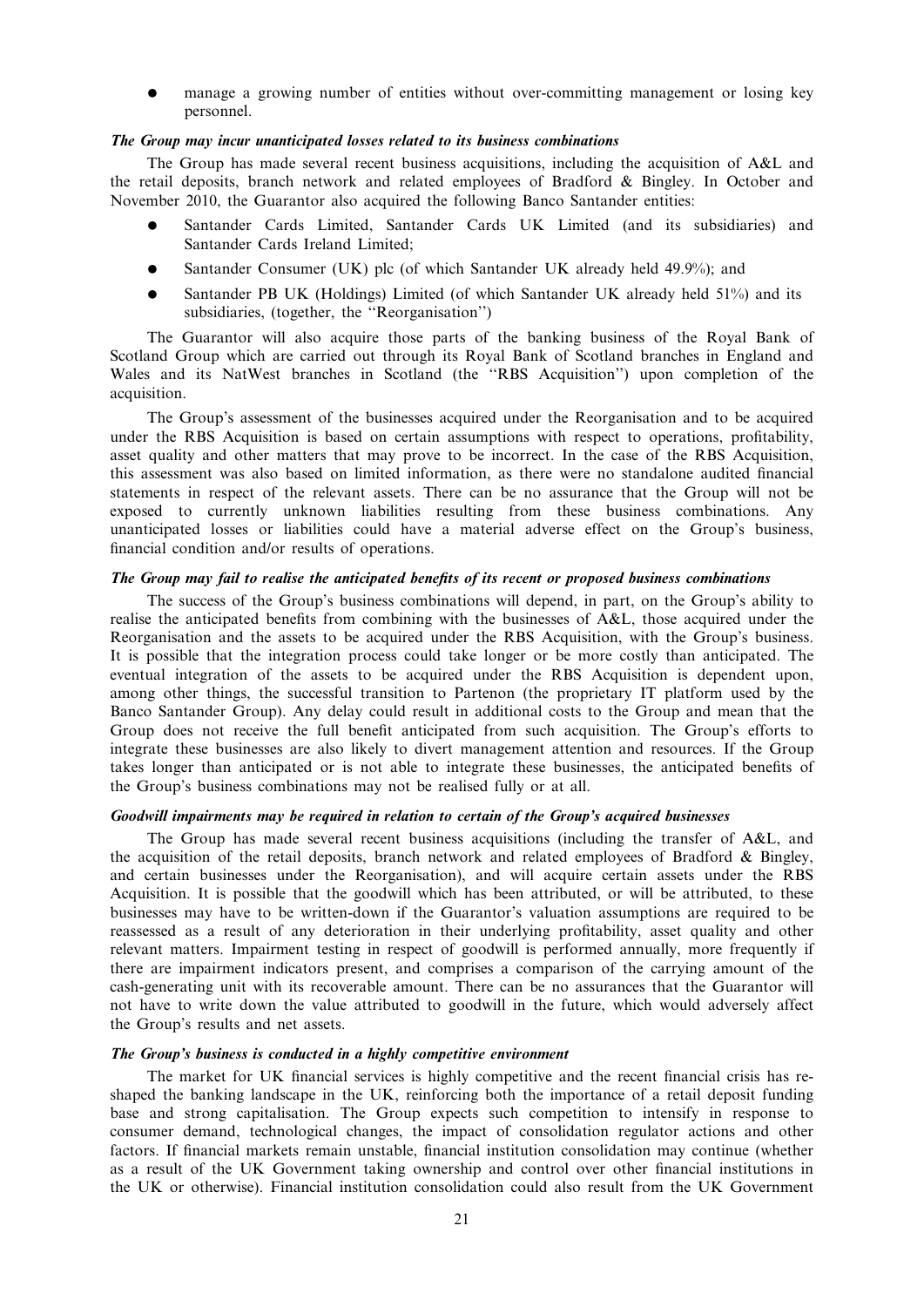manage a growing number of entities without over-committing management or losing key personnel.

#### The Group may incur unanticipated losses related to its business combinations

The Group has made several recent business acquisitions, including the acquisition of A&L and the retail deposits, branch network and related employees of Bradford & Bingley. In October and November 2010, the Guarantor also acquired the following Banco Santander entities:

- Santander Cards Limited, Santander Cards UK Limited (and its subsidiaries) and Santander Cards Ireland Limited;
- Santander Consumer (UK) plc (of which Santander UK already held 49.9%); and
- Santander PB UK (Holdings) Limited (of which Santander UK already held 51%) and its subsidiaries, (together, the ''Reorganisation'')

The Guarantor will also acquire those parts of the banking business of the Royal Bank of Scotland Group which are carried out through its Royal Bank of Scotland branches in England and Wales and its NatWest branches in Scotland (the ''RBS Acquisition'') upon completion of the acquisition.

The Group's assessment of the businesses acquired under the Reorganisation and to be acquired under the RBS Acquisition is based on certain assumptions with respect to operations, profitability, asset quality and other matters that may prove to be incorrect. In the case of the RBS Acquisition, this assessment was also based on limited information, as there were no standalone audited financial statements in respect of the relevant assets. There can be no assurance that the Group will not be exposed to currently unknown liabilities resulting from these business combinations. Any unanticipated losses or liabilities could have a material adverse effect on the Group's business, financial condition and/or results of operations.

### The Group may fail to realise the anticipated benefits of its recent or proposed business combinations

The success of the Group's business combinations will depend, in part, on the Group's ability to realise the anticipated benefits from combining with the businesses of A&L, those acquired under the Reorganisation and the assets to be acquired under the RBS Acquisition, with the Group's business. It is possible that the integration process could take longer or be more costly than anticipated. The eventual integration of the assets to be acquired under the RBS Acquisition is dependent upon, among other things, the successful transition to Partenon (the proprietary IT platform used by the Banco Santander Group). Any delay could result in additional costs to the Group and mean that the Group does not receive the full benefit anticipated from such acquisition. The Group's efforts to integrate these businesses are also likely to divert management attention and resources. If the Group takes longer than anticipated or is not able to integrate these businesses, the anticipated benefits of the Group's business combinations may not be realised fully or at all.

## Goodwill impairments may be required in relation to certain of the Group's acquired businesses

The Group has made several recent business acquisitions (including the transfer of A&L, and the acquisition of the retail deposits, branch network and related employees of Bradford & Bingley, and certain businesses under the Reorganisation), and will acquire certain assets under the RBS Acquisition. It is possible that the goodwill which has been attributed, or will be attributed, to these businesses may have to be written-down if the Guarantor's valuation assumptions are required to be reassessed as a result of any deterioration in their underlying profitability, asset quality and other relevant matters. Impairment testing in respect of goodwill is performed annually, more frequently if there are impairment indicators present, and comprises a comparison of the carrying amount of the cash-generating unit with its recoverable amount. There can be no assurances that the Guarantor will not have to write down the value attributed to goodwill in the future, which would adversely affect the Group's results and net assets.

### The Group's business is conducted in a highly competitive environment

The market for UK financial services is highly competitive and the recent financial crisis has reshaped the banking landscape in the UK, reinforcing both the importance of a retail deposit funding base and strong capitalisation. The Group expects such competition to intensify in response to consumer demand, technological changes, the impact of consolidation regulator actions and other factors. If financial markets remain unstable, financial institution consolidation may continue (whether as a result of the UK Government taking ownership and control over other financial institutions in the UK or otherwise). Financial institution consolidation could also result from the UK Government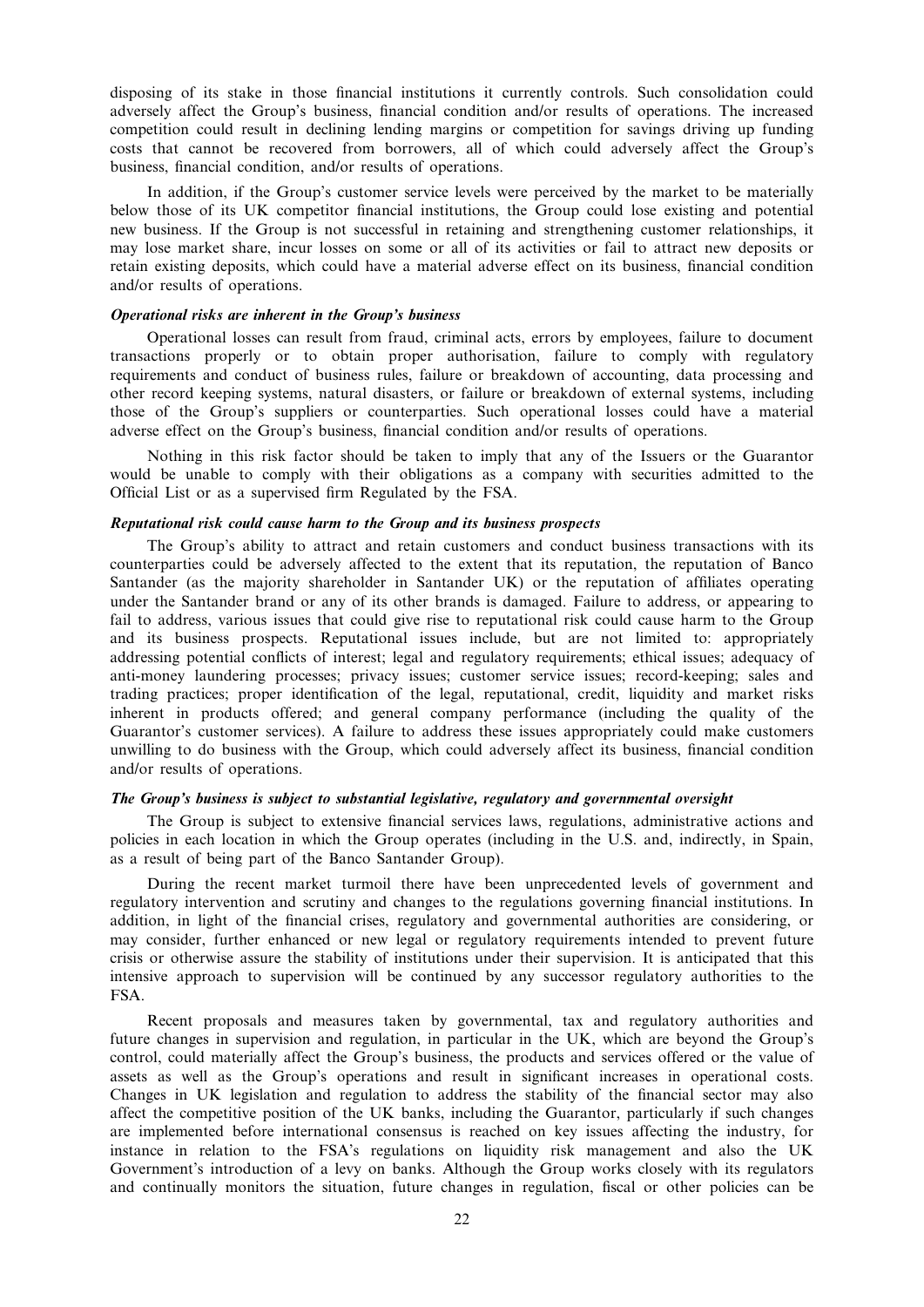disposing of its stake in those financial institutions it currently controls. Such consolidation could adversely affect the Group's business, financial condition and/or results of operations. The increased competition could result in declining lending margins or competition for savings driving up funding costs that cannot be recovered from borrowers, all of which could adversely affect the Group's business, financial condition, and/or results of operations.

In addition, if the Group's customer service levels were perceived by the market to be materially below those of its UK competitor financial institutions, the Group could lose existing and potential new business. If the Group is not successful in retaining and strengthening customer relationships, it may lose market share, incur losses on some or all of its activities or fail to attract new deposits or retain existing deposits, which could have a material adverse effect on its business, financial condition and/or results of operations.

# Operational risks are inherent in the Group's business

Operational losses can result from fraud, criminal acts, errors by employees, failure to document transactions properly or to obtain proper authorisation, failure to comply with regulatory requirements and conduct of business rules, failure or breakdown of accounting, data processing and other record keeping systems, natural disasters, or failure or breakdown of external systems, including those of the Group's suppliers or counterparties. Such operational losses could have a material adverse effect on the Group's business, financial condition and/or results of operations.

Nothing in this risk factor should be taken to imply that any of the Issuers or the Guarantor would be unable to comply with their obligations as a company with securities admitted to the Official List or as a supervised firm Regulated by the FSA.

## Reputational risk could cause harm to the Group and its business prospects

The Group's ability to attract and retain customers and conduct business transactions with its counterparties could be adversely affected to the extent that its reputation, the reputation of Banco Santander (as the majority shareholder in Santander UK) or the reputation of affiliates operating under the Santander brand or any of its other brands is damaged. Failure to address, or appearing to fail to address, various issues that could give rise to reputational risk could cause harm to the Group and its business prospects. Reputational issues include, but are not limited to: appropriately addressing potential conflicts of interest; legal and regulatory requirements; ethical issues; adequacy of anti-money laundering processes; privacy issues; customer service issues; record-keeping; sales and trading practices; proper identification of the legal, reputational, credit, liquidity and market risks inherent in products offered; and general company performance (including the quality of the Guarantor's customer services). A failure to address these issues appropriately could make customers unwilling to do business with the Group, which could adversely affect its business, financial condition and/or results of operations.

# The Group's business is subject to substantial legislative, regulatory and governmental oversight

The Group is subject to extensive financial services laws, regulations, administrative actions and policies in each location in which the Group operates (including in the U.S. and, indirectly, in Spain, as a result of being part of the Banco Santander Group).

During the recent market turmoil there have been unprecedented levels of government and regulatory intervention and scrutiny and changes to the regulations governing financial institutions. In addition, in light of the financial crises, regulatory and governmental authorities are considering, or may consider, further enhanced or new legal or regulatory requirements intended to prevent future crisis or otherwise assure the stability of institutions under their supervision. It is anticipated that this intensive approach to supervision will be continued by any successor regulatory authorities to the FSA.

Recent proposals and measures taken by governmental, tax and regulatory authorities and future changes in supervision and regulation, in particular in the UK, which are beyond the Group's control, could materially affect the Group's business, the products and services offered or the value of assets as well as the Group's operations and result in significant increases in operational costs. Changes in UK legislation and regulation to address the stability of the financial sector may also affect the competitive position of the UK banks, including the Guarantor, particularly if such changes are implemented before international consensus is reached on key issues affecting the industry, for instance in relation to the FSA's regulations on liquidity risk management and also the UK Government's introduction of a levy on banks. Although the Group works closely with its regulators and continually monitors the situation, future changes in regulation, fiscal or other policies can be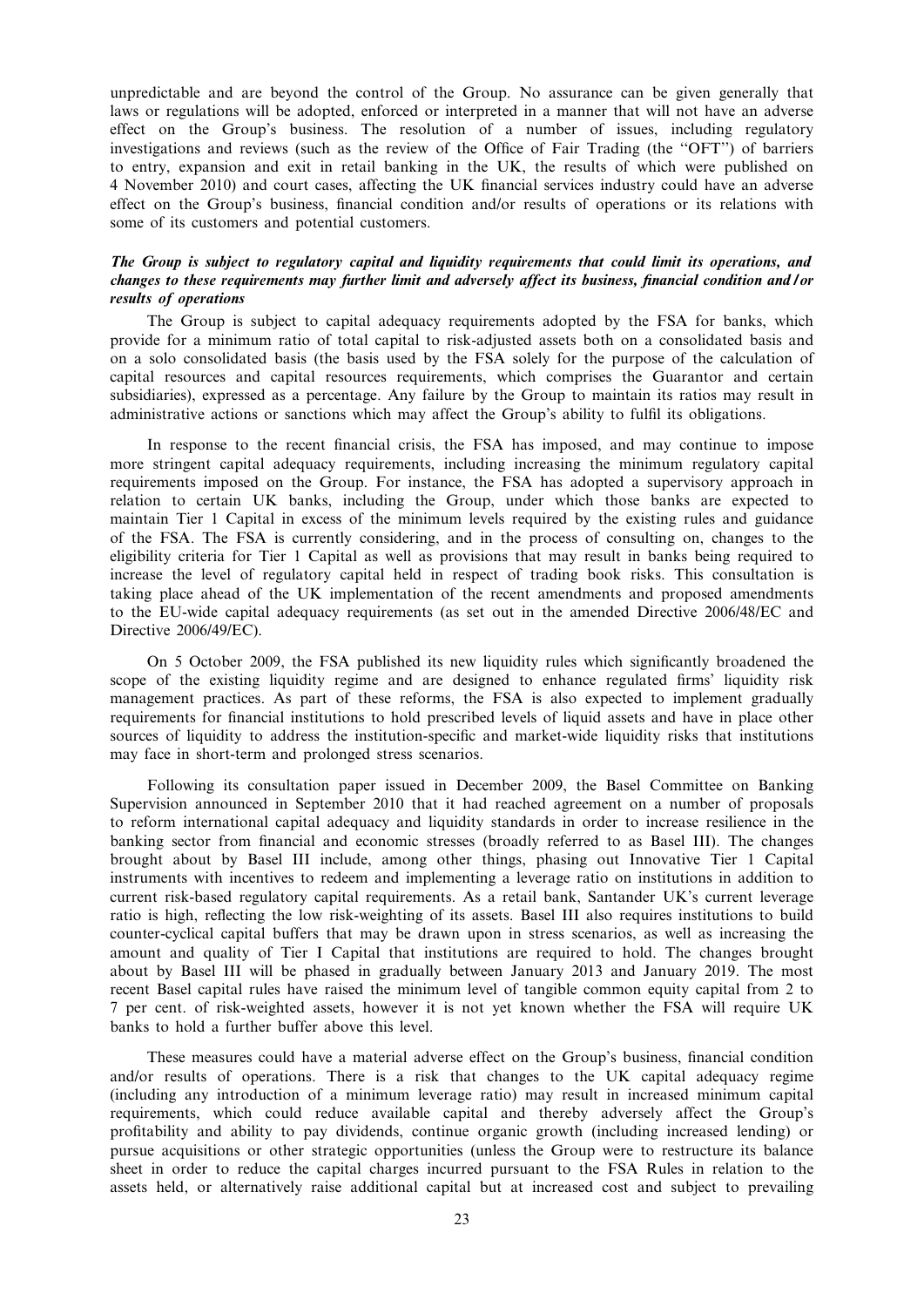unpredictable and are beyond the control of the Group. No assurance can be given generally that laws or regulations will be adopted, enforced or interpreted in a manner that will not have an adverse effect on the Group's business. The resolution of a number of issues, including regulatory investigations and reviews (such as the review of the Office of Fair Trading (the "OFT") of barriers to entry, expansion and exit in retail banking in the UK, the results of which were published on 4 November 2010) and court cases, affecting the UK financial services industry could have an adverse effect on the Group's business, financial condition and/or results of operations or its relations with some of its customers and potential customers.

# The Group is subject to regulatory capital and liquidity requirements that could limit its operations, and changes to these requirements may further limit and adversely affect its business, financial condition and / or results of operations

The Group is subject to capital adequacy requirements adopted by the FSA for banks, which provide for a minimum ratio of total capital to risk-adjusted assets both on a consolidated basis and on a solo consolidated basis (the basis used by the FSA solely for the purpose of the calculation of capital resources and capital resources requirements, which comprises the Guarantor and certain subsidiaries), expressed as a percentage. Any failure by the Group to maintain its ratios may result in administrative actions or sanctions which may affect the Group's ability to fulfil its obligations.

In response to the recent financial crisis, the FSA has imposed, and may continue to impose more stringent capital adequacy requirements, including increasing the minimum regulatory capital requirements imposed on the Group. For instance, the FSA has adopted a supervisory approach in relation to certain UK banks, including the Group, under which those banks are expected to maintain Tier 1 Capital in excess of the minimum levels required by the existing rules and guidance of the FSA. The FSA is currently considering, and in the process of consulting on, changes to the eligibility criteria for Tier 1 Capital as well as provisions that may result in banks being required to increase the level of regulatory capital held in respect of trading book risks. This consultation is taking place ahead of the UK implementation of the recent amendments and proposed amendments to the EU-wide capital adequacy requirements (as set out in the amended Directive 2006/48/EC and Directive 2006/49/EC).

On 5 October 2009, the FSA published its new liquidity rules which significantly broadened the scope of the existing liquidity regime and are designed to enhance regulated firms' liquidity risk management practices. As part of these reforms, the FSA is also expected to implement gradually requirements for financial institutions to hold prescribed levels of liquid assets and have in place other sources of liquidity to address the institution-specific and market-wide liquidity risks that institutions may face in short-term and prolonged stress scenarios.

Following its consultation paper issued in December 2009, the Basel Committee on Banking Supervision announced in September 2010 that it had reached agreement on a number of proposals to reform international capital adequacy and liquidity standards in order to increase resilience in the banking sector from financial and economic stresses (broadly referred to as Basel III). The changes brought about by Basel III include, among other things, phasing out Innovative Tier 1 Capital instruments with incentives to redeem and implementing a leverage ratio on institutions in addition to current risk-based regulatory capital requirements. As a retail bank, Santander UK's current leverage ratio is high, reflecting the low risk-weighting of its assets. Basel III also requires institutions to build counter-cyclical capital buffers that may be drawn upon in stress scenarios, as well as increasing the amount and quality of Tier I Capital that institutions are required to hold. The changes brought about by Basel III will be phased in gradually between January 2013 and January 2019. The most recent Basel capital rules have raised the minimum level of tangible common equity capital from 2 to 7 per cent. of risk-weighted assets, however it is not yet known whether the FSA will require UK banks to hold a further buffer above this level.

These measures could have a material adverse effect on the Group's business, financial condition and/or results of operations. There is a risk that changes to the UK capital adequacy regime (including any introduction of a minimum leverage ratio) may result in increased minimum capital requirements, which could reduce available capital and thereby adversely affect the Group's profitability and ability to pay dividends, continue organic growth (including increased lending) or pursue acquisitions or other strategic opportunities (unless the Group were to restructure its balance sheet in order to reduce the capital charges incurred pursuant to the FSA Rules in relation to the assets held, or alternatively raise additional capital but at increased cost and subject to prevailing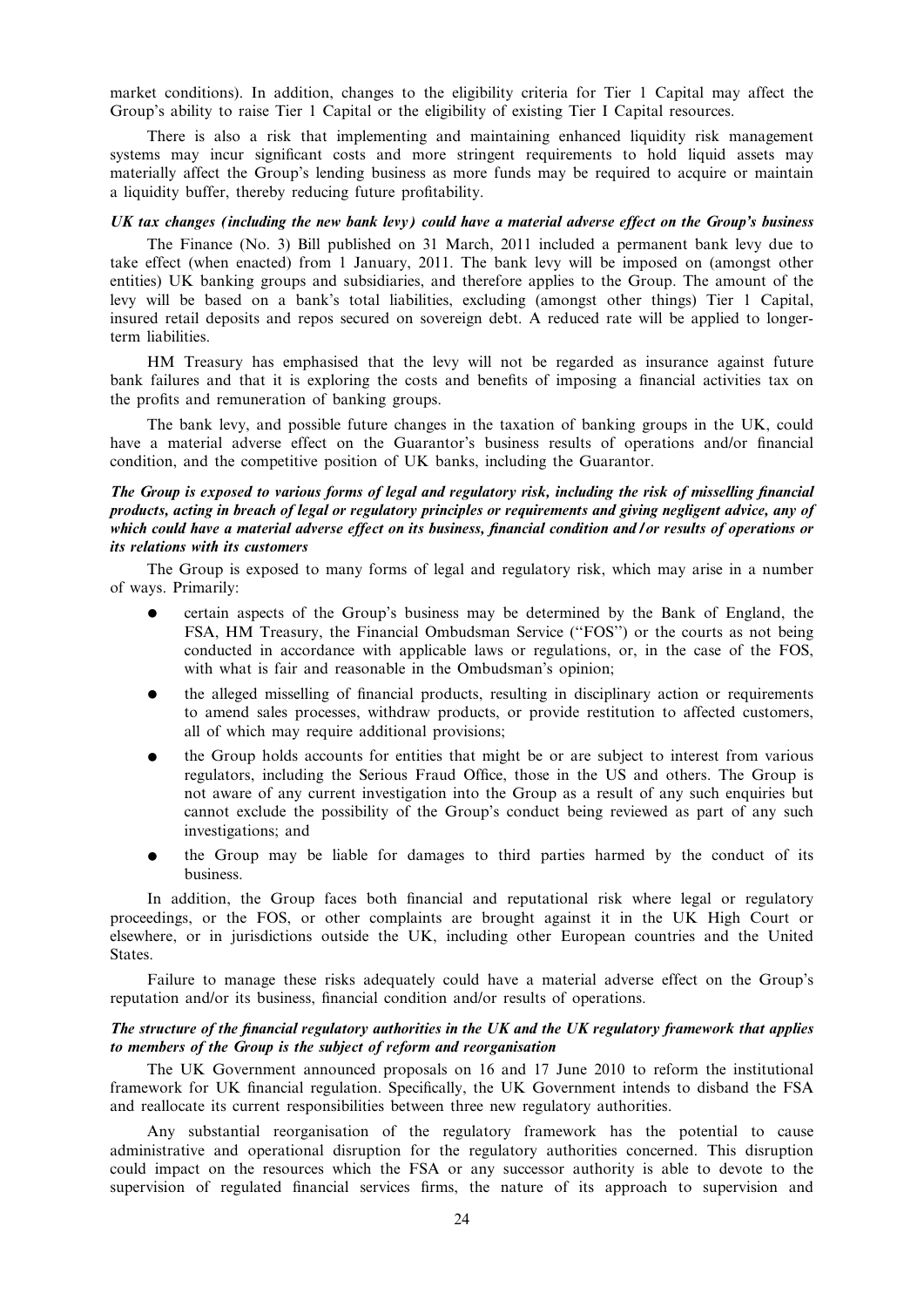market conditions). In addition, changes to the eligibility criteria for Tier 1 Capital may affect the Group's ability to raise Tier 1 Capital or the eligibility of existing Tier I Capital resources.

There is also a risk that implementing and maintaining enhanced liquidity risk management systems may incur significant costs and more stringent requirements to hold liquid assets may materially affect the Group's lending business as more funds may be required to acquire or maintain a liquidity buffer, thereby reducing future profitability.

### UK tax changes (including the new bank levy) could have a material adverse effect on the Group's business

The Finance (No. 3) Bill published on 31 March, 2011 included a permanent bank levy due to take effect (when enacted) from 1 January, 2011. The bank levy will be imposed on (amongst other entities) UK banking groups and subsidiaries, and therefore applies to the Group. The amount of the levy will be based on a bank's total liabilities, excluding (amongst other things) Tier 1 Capital, insured retail deposits and repos secured on sovereign debt. A reduced rate will be applied to longerterm liabilities.

HM Treasury has emphasised that the levy will not be regarded as insurance against future bank failures and that it is exploring the costs and benefits of imposing a financial activities tax on the profits and remuneration of banking groups.

The bank levy, and possible future changes in the taxation of banking groups in the UK, could have a material adverse effect on the Guarantor's business results of operations and/or financial condition, and the competitive position of UK banks, including the Guarantor.

# The Group is exposed to various forms of legal and regulatory risk, including the risk of misselling financial products, acting in breach of legal or regulatory principles or requirements and giving negligent advice, any of which could have a material adverse effect on its business, financial condition and / or results of operations or its relations with its customers

The Group is exposed to many forms of legal and regulatory risk, which may arise in a number of ways. Primarily:

- certain aspects of the Group's business may be determined by the Bank of England, the FSA, HM Treasury, the Financial Ombudsman Service (''FOS'') or the courts as not being conducted in accordance with applicable laws or regulations, or, in the case of the FOS, with what is fair and reasonable in the Ombudsman's opinion;
- the alleged misselling of financial products, resulting in disciplinary action or requirements to amend sales processes, withdraw products, or provide restitution to affected customers, all of which may require additional provisions;
- the Group holds accounts for entities that might be or are subject to interest from various regulators, including the Serious Fraud Office, those in the US and others. The Group is not aware of any current investigation into the Group as a result of any such enquiries but cannot exclude the possibility of the Group's conduct being reviewed as part of any such investigations; and
- the Group may be liable for damages to third parties harmed by the conduct of its business.

In addition, the Group faces both financial and reputational risk where legal or regulatory proceedings, or the FOS, or other complaints are brought against it in the UK High Court or elsewhere, or in jurisdictions outside the UK, including other European countries and the United States.

Failure to manage these risks adequately could have a material adverse effect on the Group's reputation and/or its business, financial condition and/or results of operations.

# The structure of the financial regulatory authorities in the UK and the UK regulatory framework that applies to members of the Group is the subject of reform and reorganisation

The UK Government announced proposals on 16 and 17 June 2010 to reform the institutional framework for UK financial regulation. Specifically, the UK Government intends to disband the FSA and reallocate its current responsibilities between three new regulatory authorities.

Any substantial reorganisation of the regulatory framework has the potential to cause administrative and operational disruption for the regulatory authorities concerned. This disruption could impact on the resources which the FSA or any successor authority is able to devote to the supervision of regulated financial services firms, the nature of its approach to supervision and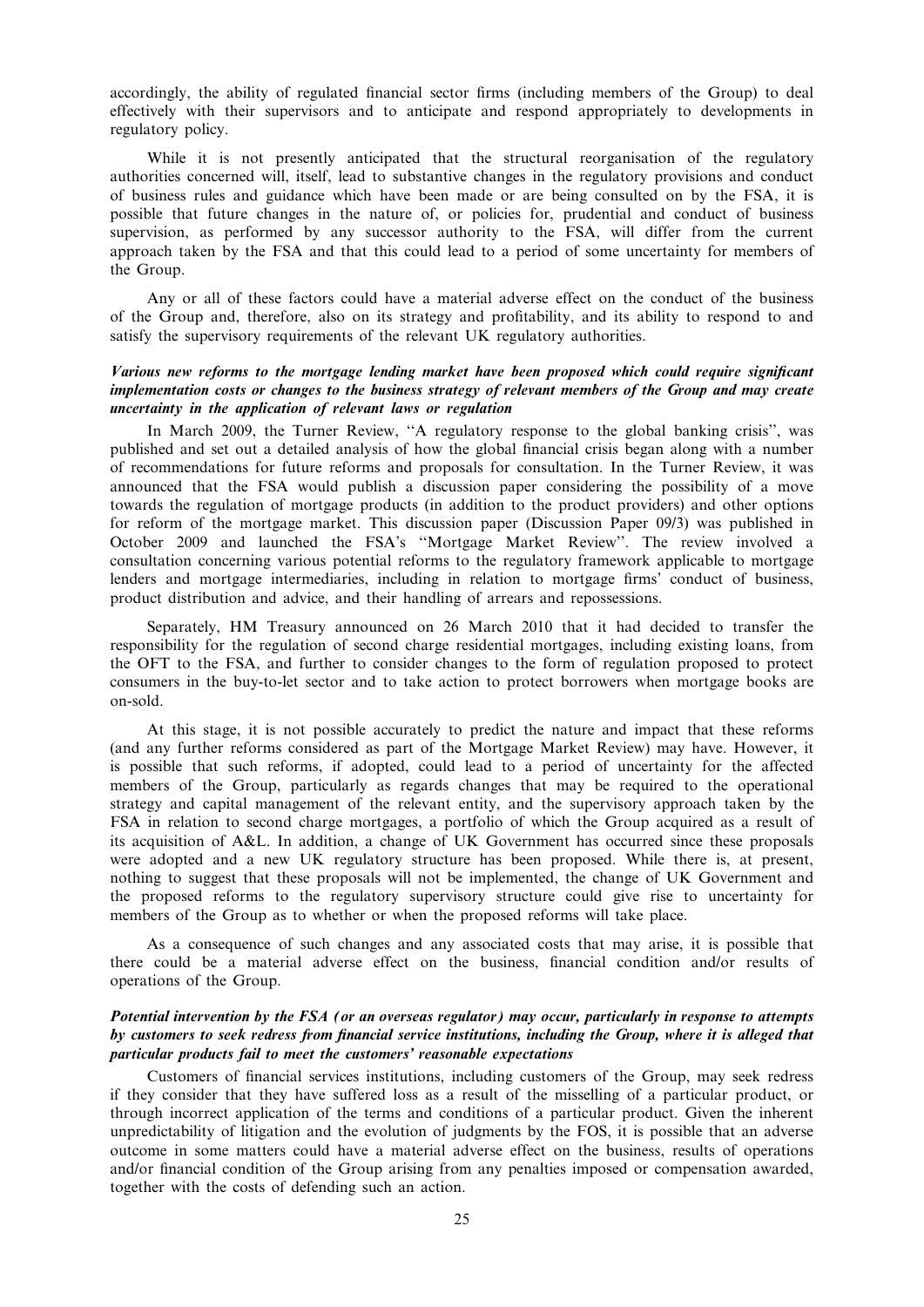accordingly, the ability of regulated financial sector firms (including members of the Group) to deal effectively with their supervisors and to anticipate and respond appropriately to developments in regulatory policy.

While it is not presently anticipated that the structural reorganisation of the regulatory authorities concerned will, itself, lead to substantive changes in the regulatory provisions and conduct of business rules and guidance which have been made or are being consulted on by the FSA, it is possible that future changes in the nature of, or policies for, prudential and conduct of business supervision, as performed by any successor authority to the FSA, will differ from the current approach taken by the FSA and that this could lead to a period of some uncertainty for members of the Group.

Any or all of these factors could have a material adverse effect on the conduct of the business of the Group and, therefore, also on its strategy and profitability, and its ability to respond to and satisfy the supervisory requirements of the relevant UK regulatory authorities.

# Various new reforms to the mortgage lending market have been proposed which could require significant implementation costs or changes to the business strategy of relevant members of the Group and may create uncertainty in the application of relevant laws or regulation

In March 2009, the Turner Review, ''A regulatory response to the global banking crisis'', was published and set out a detailed analysis of how the global financial crisis began along with a number of recommendations for future reforms and proposals for consultation. In the Turner Review, it was announced that the FSA would publish a discussion paper considering the possibility of a move towards the regulation of mortgage products (in addition to the product providers) and other options for reform of the mortgage market. This discussion paper (Discussion Paper 09/3) was published in October 2009 and launched the FSA's ''Mortgage Market Review''. The review involved a consultation concerning various potential reforms to the regulatory framework applicable to mortgage lenders and mortgage intermediaries, including in relation to mortgage firms' conduct of business, product distribution and advice, and their handling of arrears and repossessions.

Separately, HM Treasury announced on 26 March 2010 that it had decided to transfer the responsibility for the regulation of second charge residential mortgages, including existing loans, from the OFT to the FSA, and further to consider changes to the form of regulation proposed to protect consumers in the buy-to-let sector and to take action to protect borrowers when mortgage books are on-sold.

At this stage, it is not possible accurately to predict the nature and impact that these reforms (and any further reforms considered as part of the Mortgage Market Review) may have. However, it is possible that such reforms, if adopted, could lead to a period of uncertainty for the affected members of the Group, particularly as regards changes that may be required to the operational strategy and capital management of the relevant entity, and the supervisory approach taken by the FSA in relation to second charge mortgages, a portfolio of which the Group acquired as a result of its acquisition of A&L. In addition, a change of UK Government has occurred since these proposals were adopted and a new UK regulatory structure has been proposed. While there is, at present, nothing to suggest that these proposals will not be implemented, the change of UK Government and the proposed reforms to the regulatory supervisory structure could give rise to uncertainty for members of the Group as to whether or when the proposed reforms will take place.

As a consequence of such changes and any associated costs that may arise, it is possible that there could be a material adverse effect on the business, financial condition and/or results of operations of the Group.

# Potential intervention by the FSA (or an overseas regulator) may occur, particularly in response to attempts by customers to seek redress from financial service institutions, including the Group, where it is alleged that particular products fail to meet the customers' reasonable expectations

Customers of financial services institutions, including customers of the Group, may seek redress if they consider that they have suffered loss as a result of the misselling of a particular product, or through incorrect application of the terms and conditions of a particular product. Given the inherent unpredictability of litigation and the evolution of judgments by the FOS, it is possible that an adverse outcome in some matters could have a material adverse effect on the business, results of operations and/or financial condition of the Group arising from any penalties imposed or compensation awarded, together with the costs of defending such an action.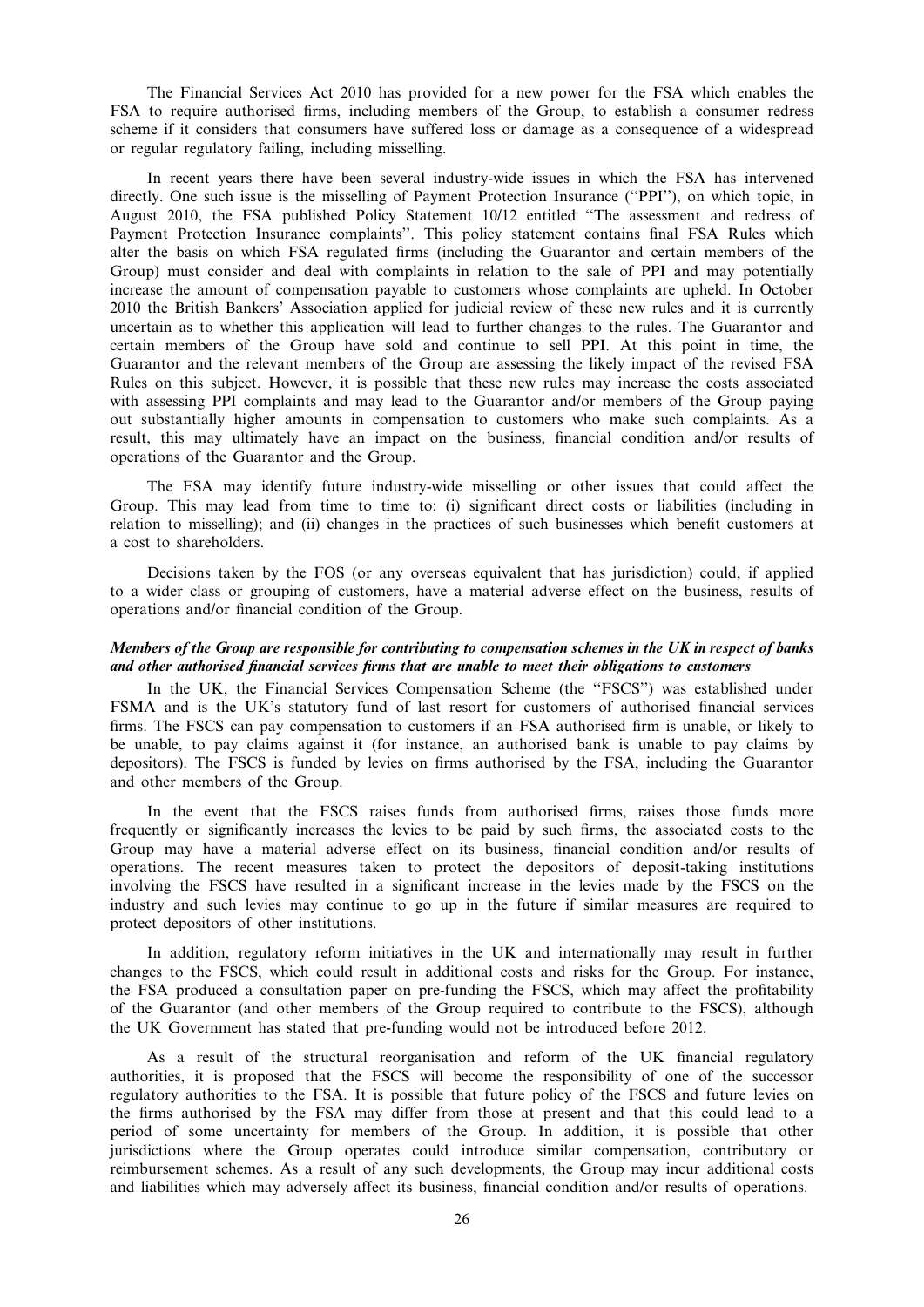The Financial Services Act 2010 has provided for a new power for the FSA which enables the FSA to require authorised firms, including members of the Group, to establish a consumer redress scheme if it considers that consumers have suffered loss or damage as a consequence of a widespread or regular regulatory failing, including misselling.

In recent years there have been several industry-wide issues in which the FSA has intervened directly. One such issue is the misselling of Payment Protection Insurance (''PPI''), on which topic, in August 2010, the FSA published Policy Statement 10/12 entitled ''The assessment and redress of Payment Protection Insurance complaints''. This policy statement contains final FSA Rules which alter the basis on which FSA regulated firms (including the Guarantor and certain members of the Group) must consider and deal with complaints in relation to the sale of PPI and may potentially increase the amount of compensation payable to customers whose complaints are upheld. In October 2010 the British Bankers' Association applied for judicial review of these new rules and it is currently uncertain as to whether this application will lead to further changes to the rules. The Guarantor and certain members of the Group have sold and continue to sell PPI. At this point in time, the Guarantor and the relevant members of the Group are assessing the likely impact of the revised FSA Rules on this subject. However, it is possible that these new rules may increase the costs associated with assessing PPI complaints and may lead to the Guarantor and/or members of the Group paying out substantially higher amounts in compensation to customers who make such complaints. As a result, this may ultimately have an impact on the business, financial condition and/or results of operations of the Guarantor and the Group.

The FSA may identify future industry-wide misselling or other issues that could affect the Group. This may lead from time to time to: (i) significant direct costs or liabilities (including in relation to misselling); and (ii) changes in the practices of such businesses which benefit customers at a cost to shareholders.

Decisions taken by the FOS (or any overseas equivalent that has jurisdiction) could, if applied to a wider class or grouping of customers, have a material adverse effect on the business, results of operations and/or financial condition of the Group.

# Members of the Group are responsible for contributing to compensation schemes in the UK in respect of banks and other authorised financial services firms that are unable to meet their obligations to customers

In the UK, the Financial Services Compensation Scheme (the "FSCS") was established under FSMA and is the UK's statutory fund of last resort for customers of authorised financial services firms. The FSCS can pay compensation to customers if an FSA authorised firm is unable, or likely to be unable, to pay claims against it (for instance, an authorised bank is unable to pay claims by depositors). The FSCS is funded by levies on firms authorised by the FSA, including the Guarantor and other members of the Group.

In the event that the FSCS raises funds from authorised firms, raises those funds more frequently or significantly increases the levies to be paid by such firms, the associated costs to the Group may have a material adverse effect on its business, financial condition and/or results of operations. The recent measures taken to protect the depositors of deposit-taking institutions involving the FSCS have resulted in a significant increase in the levies made by the FSCS on the industry and such levies may continue to go up in the future if similar measures are required to protect depositors of other institutions.

In addition, regulatory reform initiatives in the UK and internationally may result in further changes to the FSCS, which could result in additional costs and risks for the Group. For instance, the FSA produced a consultation paper on pre-funding the FSCS, which may affect the profitability of the Guarantor (and other members of the Group required to contribute to the FSCS), although the UK Government has stated that pre-funding would not be introduced before 2012.

As a result of the structural reorganisation and reform of the UK financial regulatory authorities, it is proposed that the FSCS will become the responsibility of one of the successor regulatory authorities to the FSA. It is possible that future policy of the FSCS and future levies on the firms authorised by the FSA may differ from those at present and that this could lead to a period of some uncertainty for members of the Group. In addition, it is possible that other jurisdictions where the Group operates could introduce similar compensation, contributory or reimbursement schemes. As a result of any such developments, the Group may incur additional costs and liabilities which may adversely affect its business, financial condition and/or results of operations.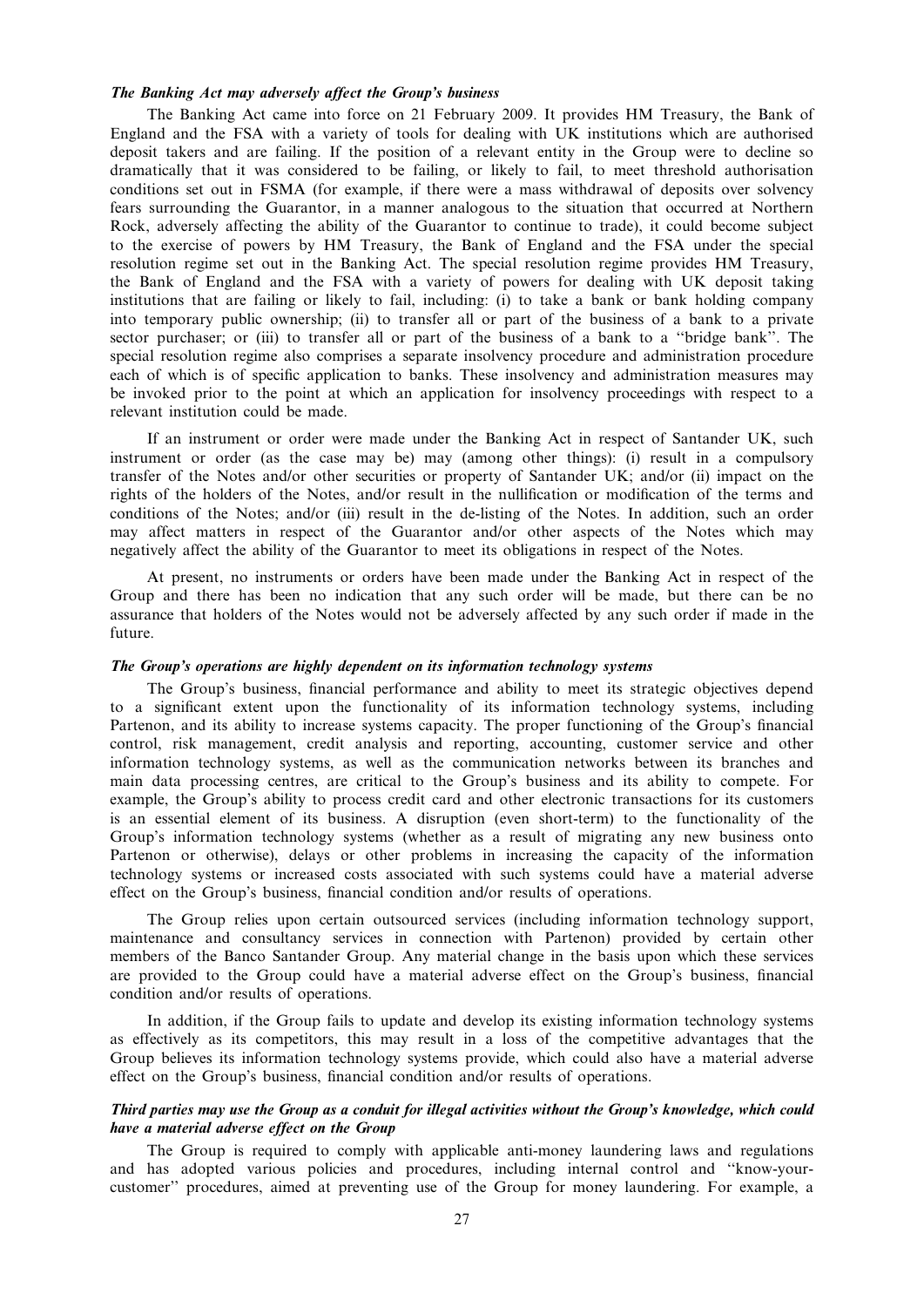# The Banking Act may adversely affect the Group's business

The Banking Act came into force on 21 February 2009. It provides HM Treasury, the Bank of England and the FSA with a variety of tools for dealing with UK institutions which are authorised deposit takers and are failing. If the position of a relevant entity in the Group were to decline so dramatically that it was considered to be failing, or likely to fail, to meet threshold authorisation conditions set out in FSMA (for example, if there were a mass withdrawal of deposits over solvency fears surrounding the Guarantor, in a manner analogous to the situation that occurred at Northern Rock, adversely affecting the ability of the Guarantor to continue to trade), it could become subject to the exercise of powers by HM Treasury, the Bank of England and the FSA under the special resolution regime set out in the Banking Act. The special resolution regime provides HM Treasury, the Bank of England and the FSA with a variety of powers for dealing with UK deposit taking institutions that are failing or likely to fail, including: (i) to take a bank or bank holding company into temporary public ownership; (ii) to transfer all or part of the business of a bank to a private sector purchaser; or (iii) to transfer all or part of the business of a bank to a ''bridge bank''. The special resolution regime also comprises a separate insolvency procedure and administration procedure each of which is of specific application to banks. These insolvency and administration measures may be invoked prior to the point at which an application for insolvency proceedings with respect to a relevant institution could be made.

If an instrument or order were made under the Banking Act in respect of Santander UK, such instrument or order (as the case may be) may (among other things): (i) result in a compulsory transfer of the Notes and/or other securities or property of Santander UK; and/or (ii) impact on the rights of the holders of the Notes, and/or result in the nullification or modification of the terms and conditions of the Notes; and/or (iii) result in the de-listing of the Notes. In addition, such an order may affect matters in respect of the Guarantor and/or other aspects of the Notes which may negatively affect the ability of the Guarantor to meet its obligations in respect of the Notes.

At present, no instruments or orders have been made under the Banking Act in respect of the Group and there has been no indication that any such order will be made, but there can be no assurance that holders of the Notes would not be adversely affected by any such order if made in the future.

#### The Group's operations are highly dependent on its information technology systems

The Group's business, financial performance and ability to meet its strategic objectives depend to a significant extent upon the functionality of its information technology systems, including Partenon, and its ability to increase systems capacity. The proper functioning of the Group's financial control, risk management, credit analysis and reporting, accounting, customer service and other information technology systems, as well as the communication networks between its branches and main data processing centres, are critical to the Group's business and its ability to compete. For example, the Group's ability to process credit card and other electronic transactions for its customers is an essential element of its business. A disruption (even short-term) to the functionality of the Group's information technology systems (whether as a result of migrating any new business onto Partenon or otherwise), delays or other problems in increasing the capacity of the information technology systems or increased costs associated with such systems could have a material adverse effect on the Group's business, financial condition and/or results of operations.

The Group relies upon certain outsourced services (including information technology support, maintenance and consultancy services in connection with Partenon) provided by certain other members of the Banco Santander Group. Any material change in the basis upon which these services are provided to the Group could have a material adverse effect on the Group's business, financial condition and/or results of operations.

In addition, if the Group fails to update and develop its existing information technology systems as effectively as its competitors, this may result in a loss of the competitive advantages that the Group believes its information technology systems provide, which could also have a material adverse effect on the Group's business, financial condition and/or results of operations.

# Third parties may use the Group as a conduit for illegal activities without the Group's knowledge, which could have a material adverse effect on the Group

The Group is required to comply with applicable anti-money laundering laws and regulations and has adopted various policies and procedures, including internal control and ''know-yourcustomer'' procedures, aimed at preventing use of the Group for money laundering. For example, a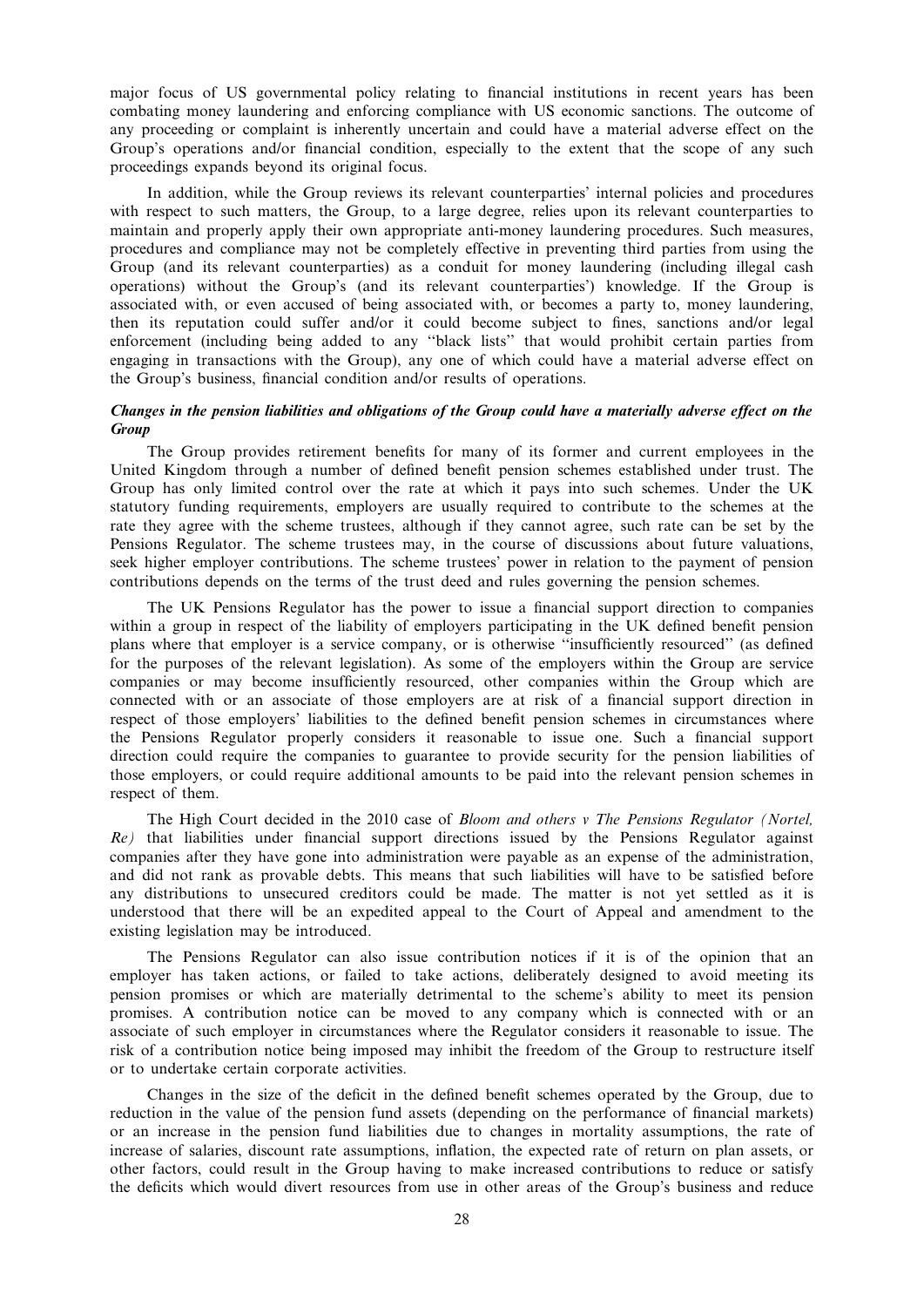major focus of US governmental policy relating to financial institutions in recent years has been combating money laundering and enforcing compliance with US economic sanctions. The outcome of any proceeding or complaint is inherently uncertain and could have a material adverse effect on the Group's operations and/or financial condition, especially to the extent that the scope of any such proceedings expands beyond its original focus.

In addition, while the Group reviews its relevant counterparties' internal policies and procedures with respect to such matters, the Group, to a large degree, relies upon its relevant counterparties to maintain and properly apply their own appropriate anti-money laundering procedures. Such measures, procedures and compliance may not be completely effective in preventing third parties from using the Group (and its relevant counterparties) as a conduit for money laundering (including illegal cash operations) without the Group's (and its relevant counterparties') knowledge. If the Group is associated with, or even accused of being associated with, or becomes a party to, money laundering, then its reputation could suffer and/or it could become subject to fines, sanctions and/or legal enforcement (including being added to any ''black lists'' that would prohibit certain parties from engaging in transactions with the Group), any one of which could have a material adverse effect on the Group's business, financial condition and/or results of operations.

# Changes in the pension liabilities and obligations of the Group could have a materially adverse effect on the **Group**

The Group provides retirement benefits for many of its former and current employees in the United Kingdom through a number of defined benefit pension schemes established under trust. The Group has only limited control over the rate at which it pays into such schemes. Under the UK statutory funding requirements, employers are usually required to contribute to the schemes at the rate they agree with the scheme trustees, although if they cannot agree, such rate can be set by the Pensions Regulator. The scheme trustees may, in the course of discussions about future valuations, seek higher employer contributions. The scheme trustees' power in relation to the payment of pension contributions depends on the terms of the trust deed and rules governing the pension schemes.

The UK Pensions Regulator has the power to issue a financial support direction to companies within a group in respect of the liability of employers participating in the UK defined benefit pension plans where that employer is a service company, or is otherwise ''insufficiently resourced'' (as defined for the purposes of the relevant legislation). As some of the employers within the Group are service companies or may become insufficiently resourced, other companies within the Group which are connected with or an associate of those employers are at risk of a financial support direction in respect of those employers' liabilities to the defined benefit pension schemes in circumstances where the Pensions Regulator properly considers it reasonable to issue one. Such a financial support direction could require the companies to guarantee to provide security for the pension liabilities of those employers, or could require additional amounts to be paid into the relevant pension schemes in respect of them.

The High Court decided in the 2010 case of Bloom and others v The Pensions Regulator (Nortel, Re) that liabilities under financial support directions issued by the Pensions Regulator against companies after they have gone into administration were payable as an expense of the administration, and did not rank as provable debts. This means that such liabilities will have to be satisfied before any distributions to unsecured creditors could be made. The matter is not yet settled as it is understood that there will be an expedited appeal to the Court of Appeal and amendment to the existing legislation may be introduced.

The Pensions Regulator can also issue contribution notices if it is of the opinion that an employer has taken actions, or failed to take actions, deliberately designed to avoid meeting its pension promises or which are materially detrimental to the scheme's ability to meet its pension promises. A contribution notice can be moved to any company which is connected with or an associate of such employer in circumstances where the Regulator considers it reasonable to issue. The risk of a contribution notice being imposed may inhibit the freedom of the Group to restructure itself or to undertake certain corporate activities.

Changes in the size of the deficit in the defined benefit schemes operated by the Group, due to reduction in the value of the pension fund assets (depending on the performance of financial markets) or an increase in the pension fund liabilities due to changes in mortality assumptions, the rate of increase of salaries, discount rate assumptions, inflation, the expected rate of return on plan assets, or other factors, could result in the Group having to make increased contributions to reduce or satisfy the deficits which would divert resources from use in other areas of the Group's business and reduce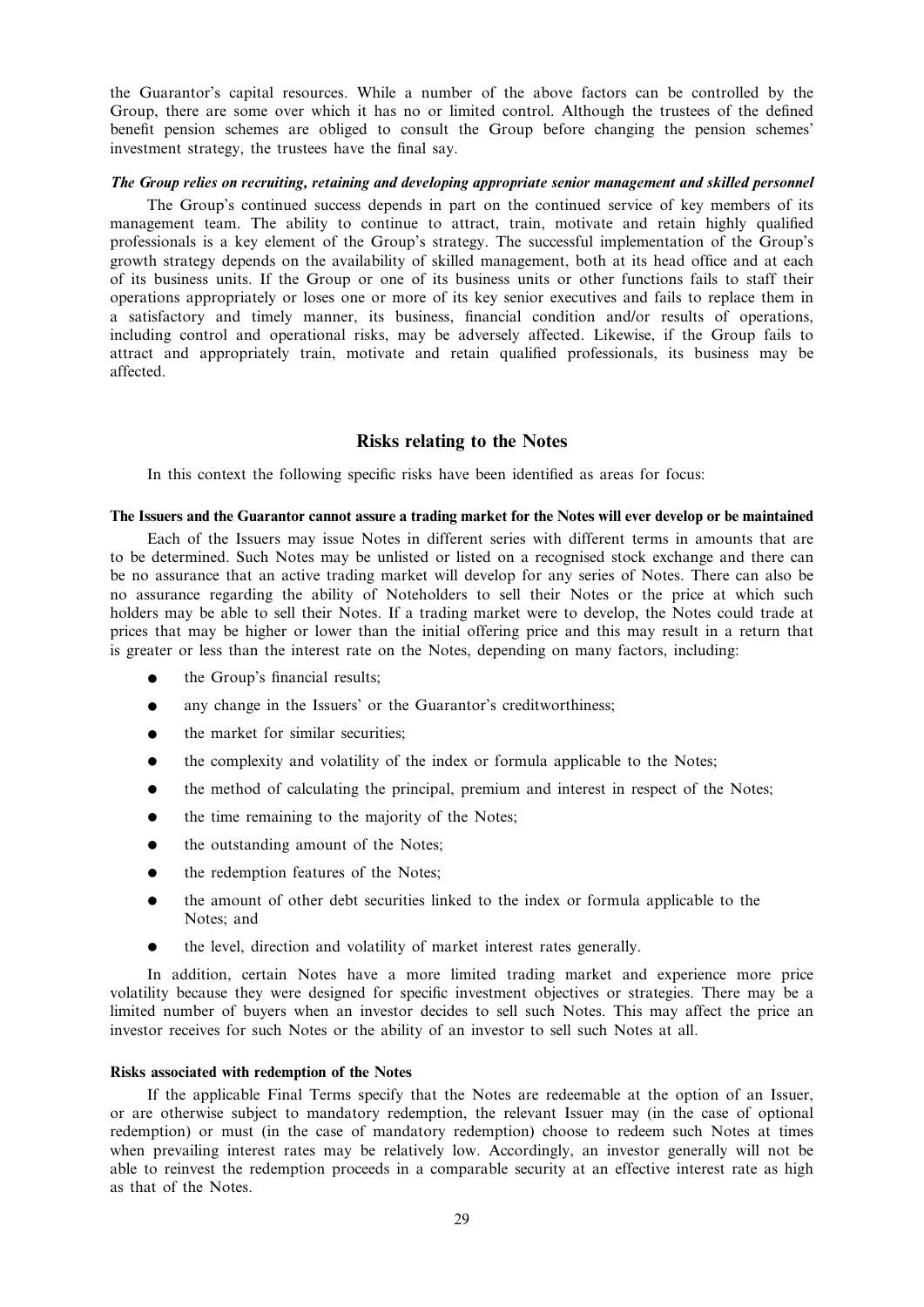the Guarantor's capital resources. While a number of the above factors can be controlled by the Group, there are some over which it has no or limited control. Although the trustees of the defined benefit pension schemes are obliged to consult the Group before changing the pension schemes' investment strategy, the trustees have the final say.

### The Group relies on recruiting, retaining and developing appropriate senior management and skilled personnel

The Group's continued success depends in part on the continued service of key members of its management team. The ability to continue to attract, train, motivate and retain highly qualified professionals is a key element of the Group's strategy. The successful implementation of the Group's growth strategy depends on the availability of skilled management, both at its head office and at each of its business units. If the Group or one of its business units or other functions fails to staff their operations appropriately or loses one or more of its key senior executives and fails to replace them in a satisfactory and timely manner, its business, financial condition and/or results of operations, including control and operational risks, may be adversely affected. Likewise, if the Group fails to attract and appropriately train, motivate and retain qualified professionals, its business may be affected.

# Risks relating to the Notes

In this context the following specific risks have been identified as areas for focus:

### The Issuers and the Guarantor cannot assure a trading market for the Notes will ever develop or be maintained

Each of the Issuers may issue Notes in different series with different terms in amounts that are to be determined. Such Notes may be unlisted or listed on a recognised stock exchange and there can be no assurance that an active trading market will develop for any series of Notes. There can also be no assurance regarding the ability of Noteholders to sell their Notes or the price at which such holders may be able to sell their Notes. If a trading market were to develop, the Notes could trade at prices that may be higher or lower than the initial offering price and this may result in a return that is greater or less than the interest rate on the Notes, depending on many factors, including:

- the Group's financial results;
- any change in the Issuers' or the Guarantor's creditworthiness;
- the market for similar securities;
- $\bullet$  the complexity and volatility of the index or formula applicable to the Notes;
- the method of calculating the principal, premium and interest in respect of the Notes;
- $\bullet$  the time remaining to the majority of the Notes;
- the outstanding amount of the Notes:
- the redemption features of the Notes;
- the amount of other debt securities linked to the index or formula applicable to the Notes; and
- $\bullet$  the level, direction and volatility of market interest rates generally.

In addition, certain Notes have a more limited trading market and experience more price volatility because they were designed for specific investment objectives or strategies. There may be a limited number of buyers when an investor decides to sell such Notes. This may affect the price an investor receives for such Notes or the ability of an investor to sell such Notes at all.

### Risks associated with redemption of the Notes

If the applicable Final Terms specify that the Notes are redeemable at the option of an Issuer, or are otherwise subject to mandatory redemption, the relevant Issuer may (in the case of optional redemption) or must (in the case of mandatory redemption) choose to redeem such Notes at times when prevailing interest rates may be relatively low. Accordingly, an investor generally will not be able to reinvest the redemption proceeds in a comparable security at an effective interest rate as high as that of the Notes.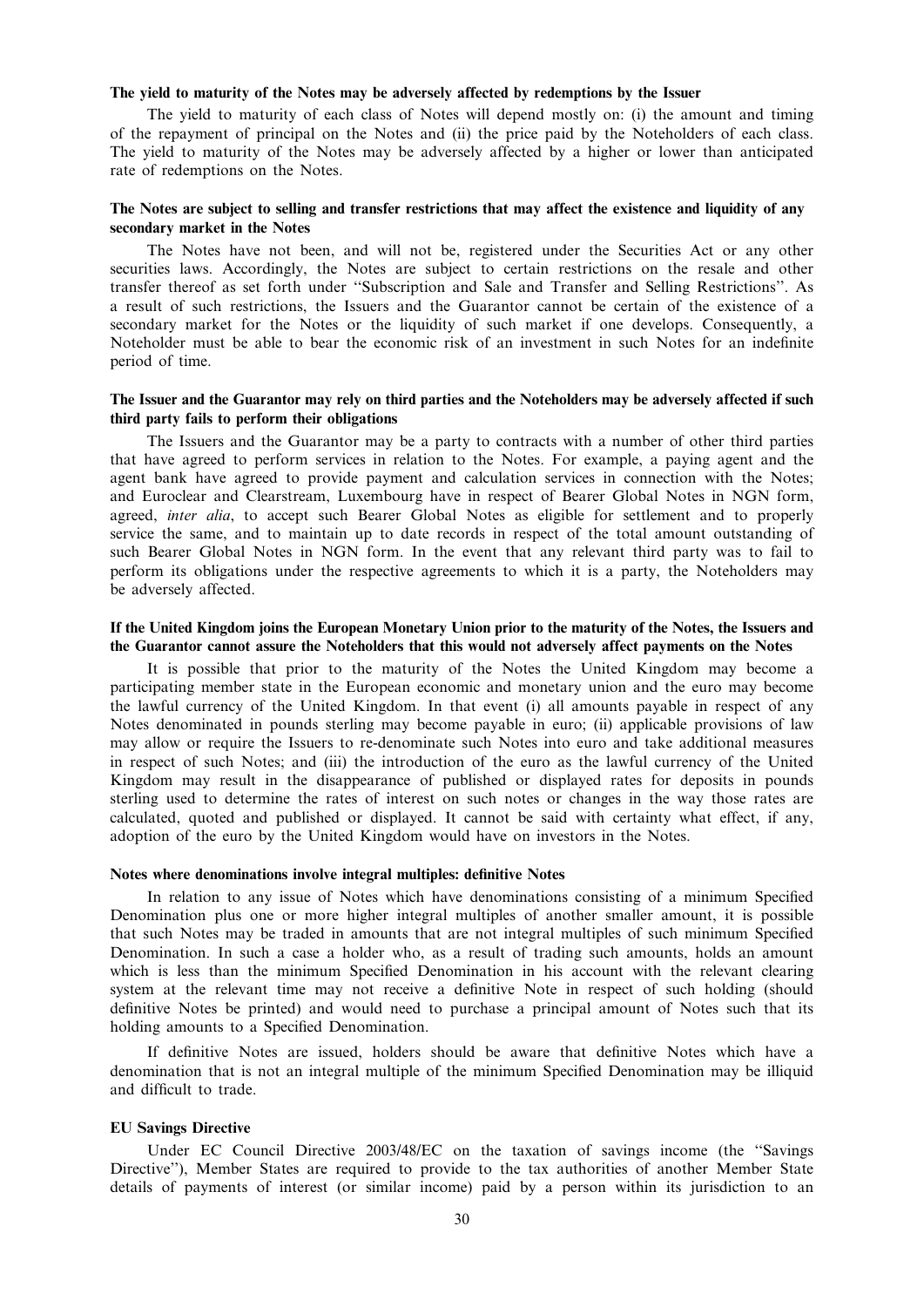## The yield to maturity of the Notes may be adversely affected by redemptions by the Issuer

The yield to maturity of each class of Notes will depend mostly on: (i) the amount and timing of the repayment of principal on the Notes and (ii) the price paid by the Noteholders of each class. The yield to maturity of the Notes may be adversely affected by a higher or lower than anticipated rate of redemptions on the Notes.

## The Notes are subject to selling and transfer restrictions that may affect the existence and liquidity of any secondary market in the Notes

The Notes have not been, and will not be, registered under the Securities Act or any other securities laws. Accordingly, the Notes are subject to certain restrictions on the resale and other transfer thereof as set forth under ''Subscription and Sale and Transfer and Selling Restrictions''. As a result of such restrictions, the Issuers and the Guarantor cannot be certain of the existence of a secondary market for the Notes or the liquidity of such market if one develops. Consequently, a Noteholder must be able to bear the economic risk of an investment in such Notes for an indefinite period of time.

# The Issuer and the Guarantor may rely on third parties and the Noteholders may be adversely affected if such third party fails to perform their obligations

The Issuers and the Guarantor may be a party to contracts with a number of other third parties that have agreed to perform services in relation to the Notes. For example, a paying agent and the agent bank have agreed to provide payment and calculation services in connection with the Notes; and Euroclear and Clearstream, Luxembourg have in respect of Bearer Global Notes in NGN form, agreed, inter alia, to accept such Bearer Global Notes as eligible for settlement and to properly service the same, and to maintain up to date records in respect of the total amount outstanding of such Bearer Global Notes in NGN form. In the event that any relevant third party was to fail to perform its obligations under the respective agreements to which it is a party, the Noteholders may be adversely affected.

## If the United Kingdom joins the European Monetary Union prior to the maturity of the Notes, the Issuers and the Guarantor cannot assure the Noteholders that this would not adversely affect payments on the Notes

It is possible that prior to the maturity of the Notes the United Kingdom may become a participating member state in the European economic and monetary union and the euro may become the lawful currency of the United Kingdom. In that event (i) all amounts payable in respect of any Notes denominated in pounds sterling may become payable in euro; (ii) applicable provisions of law may allow or require the Issuers to re-denominate such Notes into euro and take additional measures in respect of such Notes; and (iii) the introduction of the euro as the lawful currency of the United Kingdom may result in the disappearance of published or displayed rates for deposits in pounds sterling used to determine the rates of interest on such notes or changes in the way those rates are calculated, quoted and published or displayed. It cannot be said with certainty what effect, if any, adoption of the euro by the United Kingdom would have on investors in the Notes.

#### Notes where denominations involve integral multiples: definitive Notes

In relation to any issue of Notes which have denominations consisting of a minimum Specified Denomination plus one or more higher integral multiples of another smaller amount, it is possible that such Notes may be traded in amounts that are not integral multiples of such minimum Specified Denomination. In such a case a holder who, as a result of trading such amounts, holds an amount which is less than the minimum Specified Denomination in his account with the relevant clearing system at the relevant time may not receive a definitive Note in respect of such holding (should definitive Notes be printed) and would need to purchase a principal amount of Notes such that its holding amounts to a Specified Denomination.

If definitive Notes are issued, holders should be aware that definitive Notes which have a denomination that is not an integral multiple of the minimum Specified Denomination may be illiquid and difficult to trade.

### EU Savings Directive

Under EC Council Directive 2003/48/EC on the taxation of savings income (the ''Savings Directive''), Member States are required to provide to the tax authorities of another Member State details of payments of interest (or similar income) paid by a person within its jurisdiction to an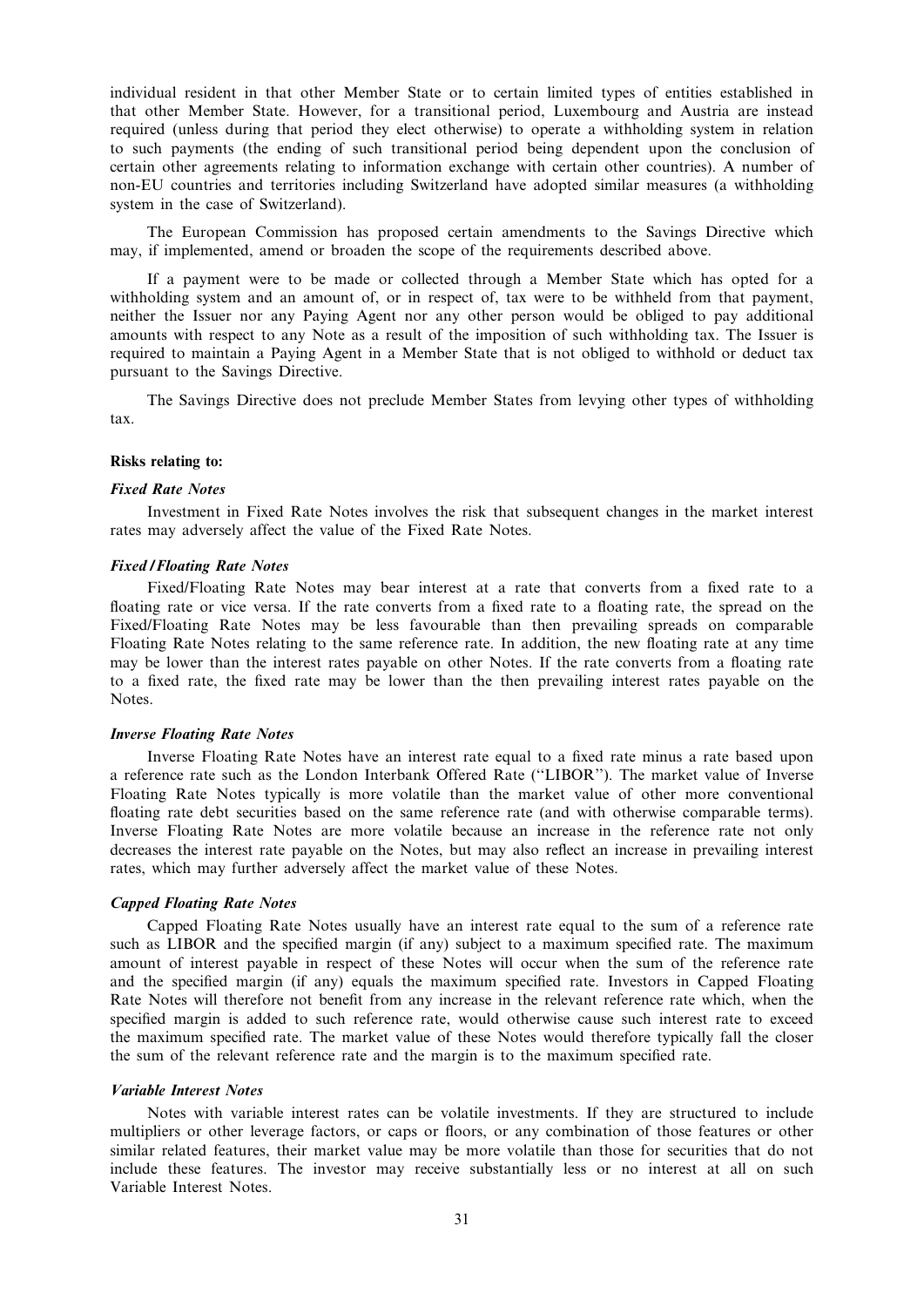individual resident in that other Member State or to certain limited types of entities established in that other Member State. However, for a transitional period, Luxembourg and Austria are instead required (unless during that period they elect otherwise) to operate a withholding system in relation to such payments (the ending of such transitional period being dependent upon the conclusion of certain other agreements relating to information exchange with certain other countries). A number of non-EU countries and territories including Switzerland have adopted similar measures (a withholding system in the case of Switzerland).

The European Commission has proposed certain amendments to the Savings Directive which may, if implemented, amend or broaden the scope of the requirements described above.

If a payment were to be made or collected through a Member State which has opted for a withholding system and an amount of, or in respect of, tax were to be withheld from that payment, neither the Issuer nor any Paying Agent nor any other person would be obliged to pay additional amounts with respect to any Note as a result of the imposition of such withholding tax. The Issuer is required to maintain a Paying Agent in a Member State that is not obliged to withhold or deduct tax pursuant to the Savings Directive.

The Savings Directive does not preclude Member States from levying other types of withholding tax.

#### Risks relating to:

### Fixed Rate Notes

Investment in Fixed Rate Notes involves the risk that subsequent changes in the market interest rates may adversely affect the value of the Fixed Rate Notes.

#### Fixed / Floating Rate Notes

Fixed/Floating Rate Notes may bear interest at a rate that converts from a fixed rate to a floating rate or vice versa. If the rate converts from a fixed rate to a floating rate, the spread on the Fixed/Floating Rate Notes may be less favourable than then prevailing spreads on comparable Floating Rate Notes relating to the same reference rate. In addition, the new floating rate at any time may be lower than the interest rates payable on other Notes. If the rate converts from a floating rate to a fixed rate, the fixed rate may be lower than the then prevailing interest rates payable on the Notes.

#### Inverse Floating Rate Notes

Inverse Floating Rate Notes have an interest rate equal to a fixed rate minus a rate based upon a reference rate such as the London Interbank Offered Rate (''LIBOR''). The market value of Inverse Floating Rate Notes typically is more volatile than the market value of other more conventional floating rate debt securities based on the same reference rate (and with otherwise comparable terms). Inverse Floating Rate Notes are more volatile because an increase in the reference rate not only decreases the interest rate payable on the Notes, but may also reflect an increase in prevailing interest rates, which may further adversely affect the market value of these Notes.

#### Capped Floating Rate Notes

Capped Floating Rate Notes usually have an interest rate equal to the sum of a reference rate such as LIBOR and the specified margin (if any) subject to a maximum specified rate. The maximum amount of interest payable in respect of these Notes will occur when the sum of the reference rate and the specified margin (if any) equals the maximum specified rate. Investors in Capped Floating Rate Notes will therefore not benefit from any increase in the relevant reference rate which, when the specified margin is added to such reference rate, would otherwise cause such interest rate to exceed the maximum specified rate. The market value of these Notes would therefore typically fall the closer the sum of the relevant reference rate and the margin is to the maximum specified rate.

#### Variable Interest Notes

Notes with variable interest rates can be volatile investments. If they are structured to include multipliers or other leverage factors, or caps or floors, or any combination of those features or other similar related features, their market value may be more volatile than those for securities that do not include these features. The investor may receive substantially less or no interest at all on such Variable Interest Notes.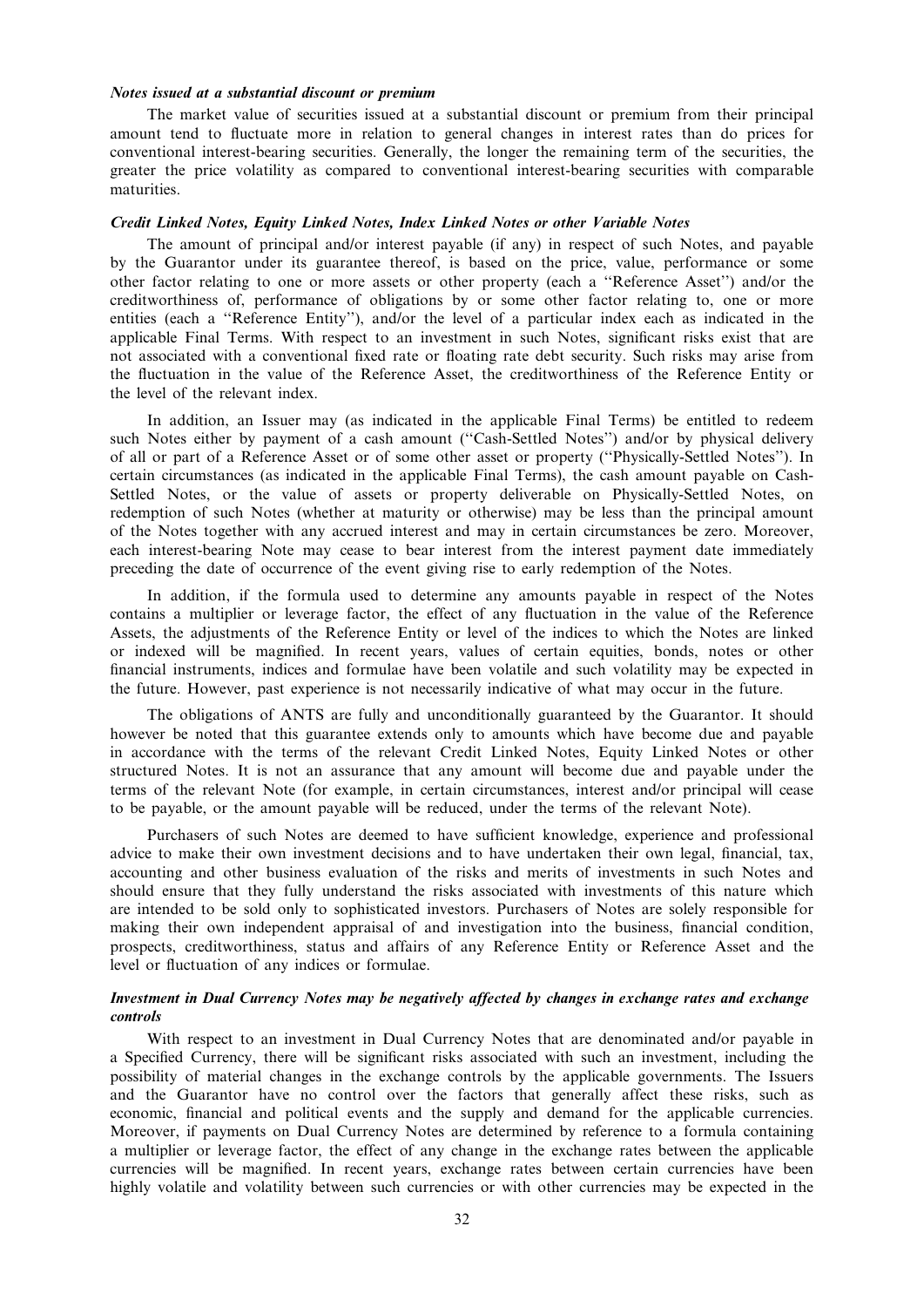## Notes issued at a substantial discount or premium

The market value of securities issued at a substantial discount or premium from their principal amount tend to fluctuate more in relation to general changes in interest rates than do prices for conventional interest-bearing securities. Generally, the longer the remaining term of the securities, the greater the price volatility as compared to conventional interest-bearing securities with comparable maturities.

### Credit Linked Notes, Equity Linked Notes, Index Linked Notes or other Variable Notes

The amount of principal and/or interest payable (if any) in respect of such Notes, and payable by the Guarantor under its guarantee thereof, is based on the price, value, performance or some other factor relating to one or more assets or other property (each a ''Reference Asset'') and/or the creditworthiness of, performance of obligations by or some other factor relating to, one or more entities (each a ''Reference Entity''), and/or the level of a particular index each as indicated in the applicable Final Terms. With respect to an investment in such Notes, significant risks exist that are not associated with a conventional fixed rate or floating rate debt security. Such risks may arise from the fluctuation in the value of the Reference Asset, the creditworthiness of the Reference Entity or the level of the relevant index.

In addition, an Issuer may (as indicated in the applicable Final Terms) be entitled to redeem such Notes either by payment of a cash amount ("Cash-Settled Notes") and/or by physical delivery of all or part of a Reference Asset or of some other asset or property (''Physically-Settled Notes''). In certain circumstances (as indicated in the applicable Final Terms), the cash amount payable on Cash-Settled Notes, or the value of assets or property deliverable on Physically-Settled Notes, on redemption of such Notes (whether at maturity or otherwise) may be less than the principal amount of the Notes together with any accrued interest and may in certain circumstances be zero. Moreover, each interest-bearing Note may cease to bear interest from the interest payment date immediately preceding the date of occurrence of the event giving rise to early redemption of the Notes.

In addition, if the formula used to determine any amounts payable in respect of the Notes contains a multiplier or leverage factor, the effect of any fluctuation in the value of the Reference Assets, the adjustments of the Reference Entity or level of the indices to which the Notes are linked or indexed will be magnified. In recent years, values of certain equities, bonds, notes or other financial instruments, indices and formulae have been volatile and such volatility may be expected in the future. However, past experience is not necessarily indicative of what may occur in the future.

The obligations of ANTS are fully and unconditionally guaranteed by the Guarantor. It should however be noted that this guarantee extends only to amounts which have become due and payable in accordance with the terms of the relevant Credit Linked Notes, Equity Linked Notes or other structured Notes. It is not an assurance that any amount will become due and payable under the terms of the relevant Note (for example, in certain circumstances, interest and/or principal will cease to be payable, or the amount payable will be reduced, under the terms of the relevant Note).

Purchasers of such Notes are deemed to have sufficient knowledge, experience and professional advice to make their own investment decisions and to have undertaken their own legal, financial, tax, accounting and other business evaluation of the risks and merits of investments in such Notes and should ensure that they fully understand the risks associated with investments of this nature which are intended to be sold only to sophisticated investors. Purchasers of Notes are solely responsible for making their own independent appraisal of and investigation into the business, financial condition, prospects, creditworthiness, status and affairs of any Reference Entity or Reference Asset and the level or fluctuation of any indices or formulae.

# Investment in Dual Currency Notes may be negatively affected by changes in exchange rates and exchange controls

With respect to an investment in Dual Currency Notes that are denominated and/or payable in a Specified Currency, there will be significant risks associated with such an investment, including the possibility of material changes in the exchange controls by the applicable governments. The Issuers and the Guarantor have no control over the factors that generally affect these risks, such as economic, financial and political events and the supply and demand for the applicable currencies. Moreover, if payments on Dual Currency Notes are determined by reference to a formula containing a multiplier or leverage factor, the effect of any change in the exchange rates between the applicable currencies will be magnified. In recent years, exchange rates between certain currencies have been highly volatile and volatility between such currencies or with other currencies may be expected in the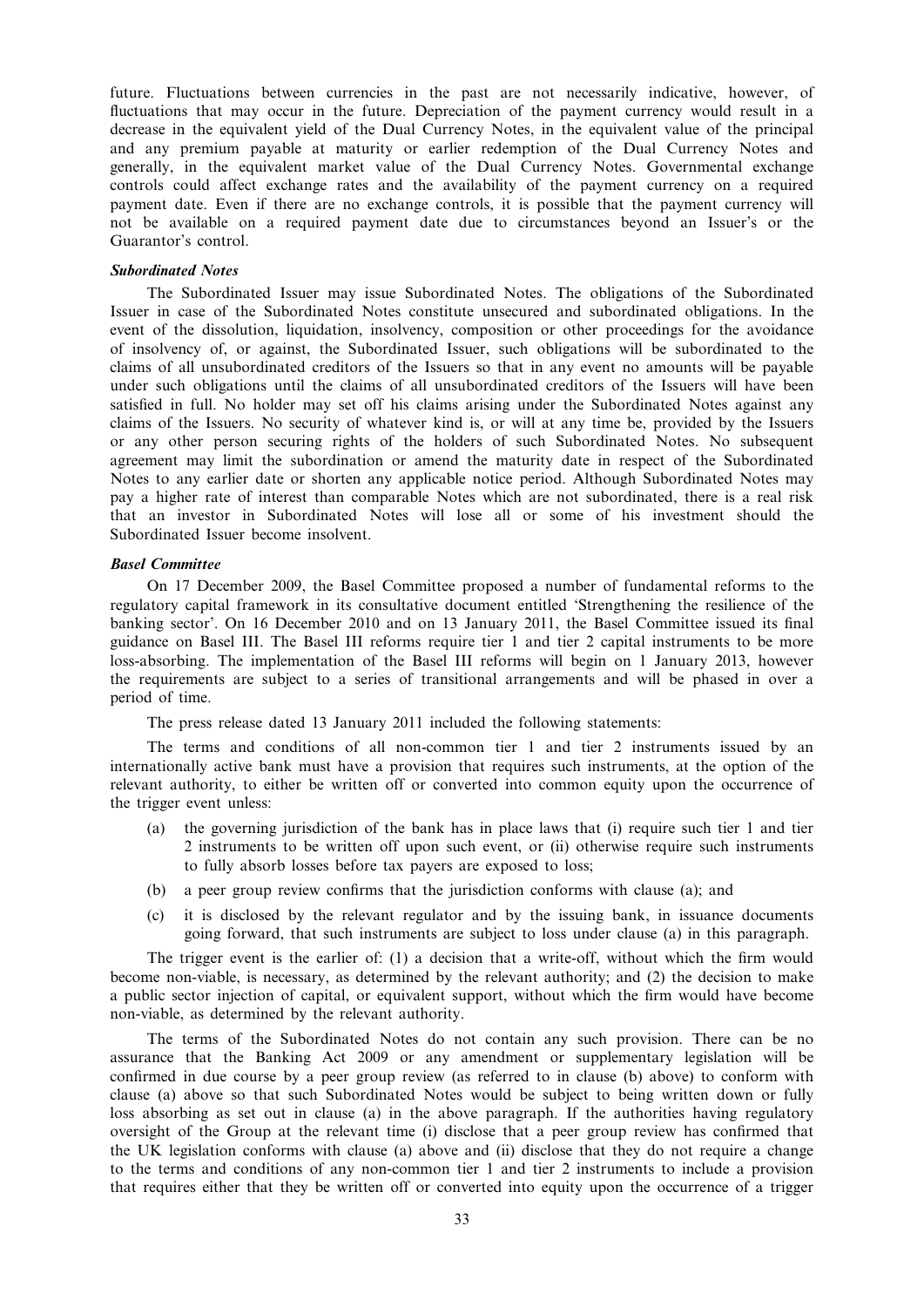future. Fluctuations between currencies in the past are not necessarily indicative, however, of fluctuations that may occur in the future. Depreciation of the payment currency would result in a decrease in the equivalent yield of the Dual Currency Notes, in the equivalent value of the principal and any premium payable at maturity or earlier redemption of the Dual Currency Notes and generally, in the equivalent market value of the Dual Currency Notes. Governmental exchange controls could affect exchange rates and the availability of the payment currency on a required payment date. Even if there are no exchange controls, it is possible that the payment currency will not be available on a required payment date due to circumstances beyond an Issuer's or the Guarantor's control.

#### Subordinated Notes

The Subordinated Issuer may issue Subordinated Notes. The obligations of the Subordinated Issuer in case of the Subordinated Notes constitute unsecured and subordinated obligations. In the event of the dissolution, liquidation, insolvency, composition or other proceedings for the avoidance of insolvency of, or against, the Subordinated Issuer, such obligations will be subordinated to the claims of all unsubordinated creditors of the Issuers so that in any event no amounts will be payable under such obligations until the claims of all unsubordinated creditors of the Issuers will have been satisfied in full. No holder may set off his claims arising under the Subordinated Notes against any claims of the Issuers. No security of whatever kind is, or will at any time be, provided by the Issuers or any other person securing rights of the holders of such Subordinated Notes. No subsequent agreement may limit the subordination or amend the maturity date in respect of the Subordinated Notes to any earlier date or shorten any applicable notice period. Although Subordinated Notes may pay a higher rate of interest than comparable Notes which are not subordinated, there is a real risk that an investor in Subordinated Notes will lose all or some of his investment should the Subordinated Issuer become insolvent.

#### Basel Committee

On 17 December 2009, the Basel Committee proposed a number of fundamental reforms to the regulatory capital framework in its consultative document entitled 'Strengthening the resilience of the banking sector'. On 16 December 2010 and on 13 January 2011, the Basel Committee issued its final guidance on Basel III. The Basel III reforms require tier 1 and tier 2 capital instruments to be more loss-absorbing. The implementation of the Basel III reforms will begin on 1 January 2013, however the requirements are subject to a series of transitional arrangements and will be phased in over a period of time.

The press release dated 13 January 2011 included the following statements:

The terms and conditions of all non-common tier 1 and tier 2 instruments issued by an internationally active bank must have a provision that requires such instruments, at the option of the relevant authority, to either be written off or converted into common equity upon the occurrence of the trigger event unless:

- (a) the governing jurisdiction of the bank has in place laws that (i) require such tier 1 and tier 2 instruments to be written off upon such event, or (ii) otherwise require such instruments to fully absorb losses before tax payers are exposed to loss;
- (b) a peer group review confirms that the jurisdiction conforms with clause (a); and
- (c) it is disclosed by the relevant regulator and by the issuing bank, in issuance documents going forward, that such instruments are subject to loss under clause (a) in this paragraph.

The trigger event is the earlier of: (1) a decision that a write-off, without which the firm would become non-viable, is necessary, as determined by the relevant authority; and (2) the decision to make a public sector injection of capital, or equivalent support, without which the firm would have become non-viable, as determined by the relevant authority.

The terms of the Subordinated Notes do not contain any such provision. There can be no assurance that the Banking Act 2009 or any amendment or supplementary legislation will be confirmed in due course by a peer group review (as referred to in clause (b) above) to conform with clause (a) above so that such Subordinated Notes would be subject to being written down or fully loss absorbing as set out in clause (a) in the above paragraph. If the authorities having regulatory oversight of the Group at the relevant time (i) disclose that a peer group review has confirmed that the UK legislation conforms with clause (a) above and (ii) disclose that they do not require a change to the terms and conditions of any non-common tier 1 and tier 2 instruments to include a provision that requires either that they be written off or converted into equity upon the occurrence of a trigger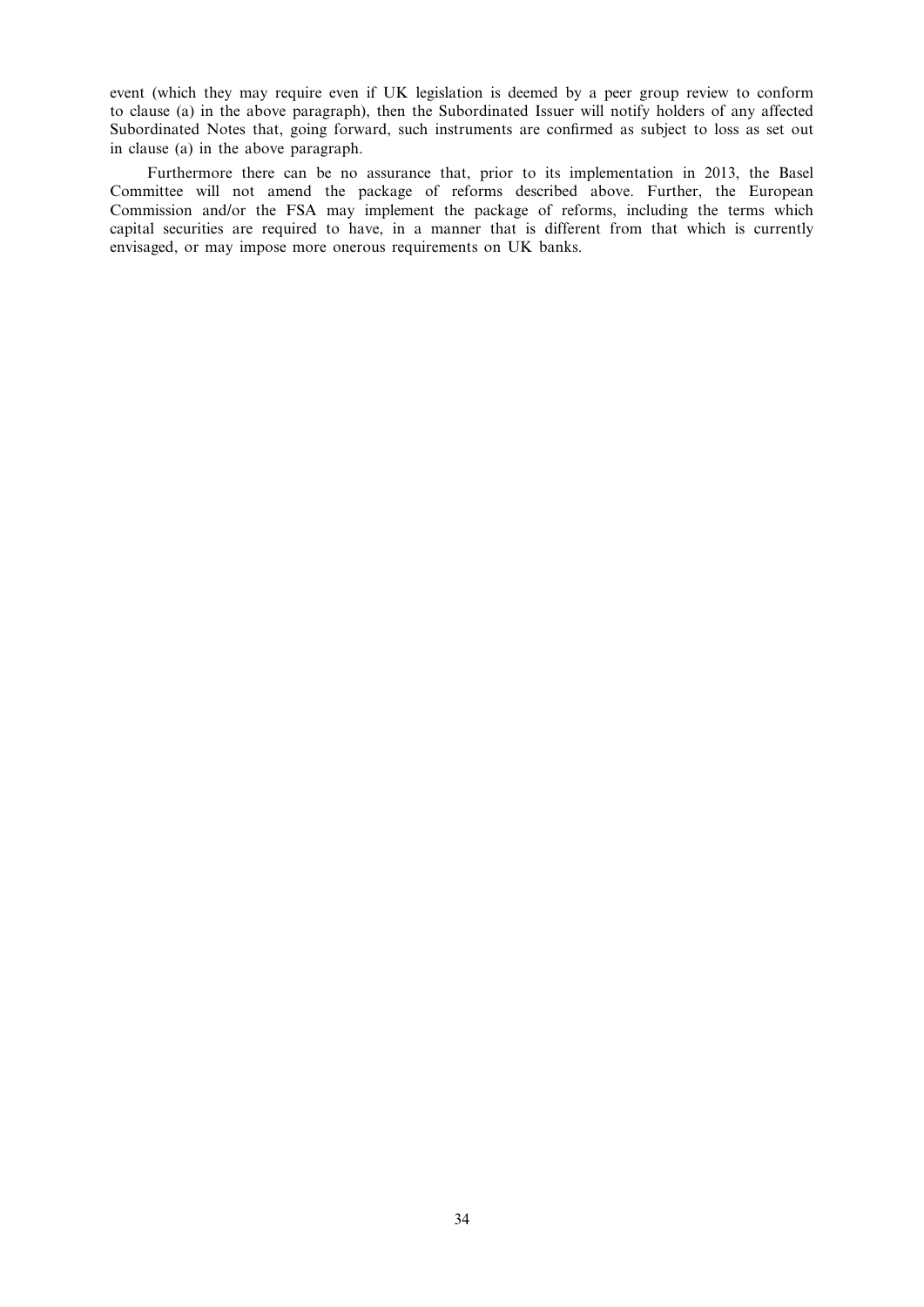event (which they may require even if UK legislation is deemed by a peer group review to conform to clause (a) in the above paragraph), then the Subordinated Issuer will notify holders of any affected Subordinated Notes that, going forward, such instruments are confirmed as subject to loss as set out in clause (a) in the above paragraph.

Furthermore there can be no assurance that, prior to its implementation in 2013, the Basel Committee will not amend the package of reforms described above. Further, the European Commission and/or the FSA may implement the package of reforms, including the terms which capital securities are required to have, in a manner that is different from that which is currently envisaged, or may impose more onerous requirements on UK banks.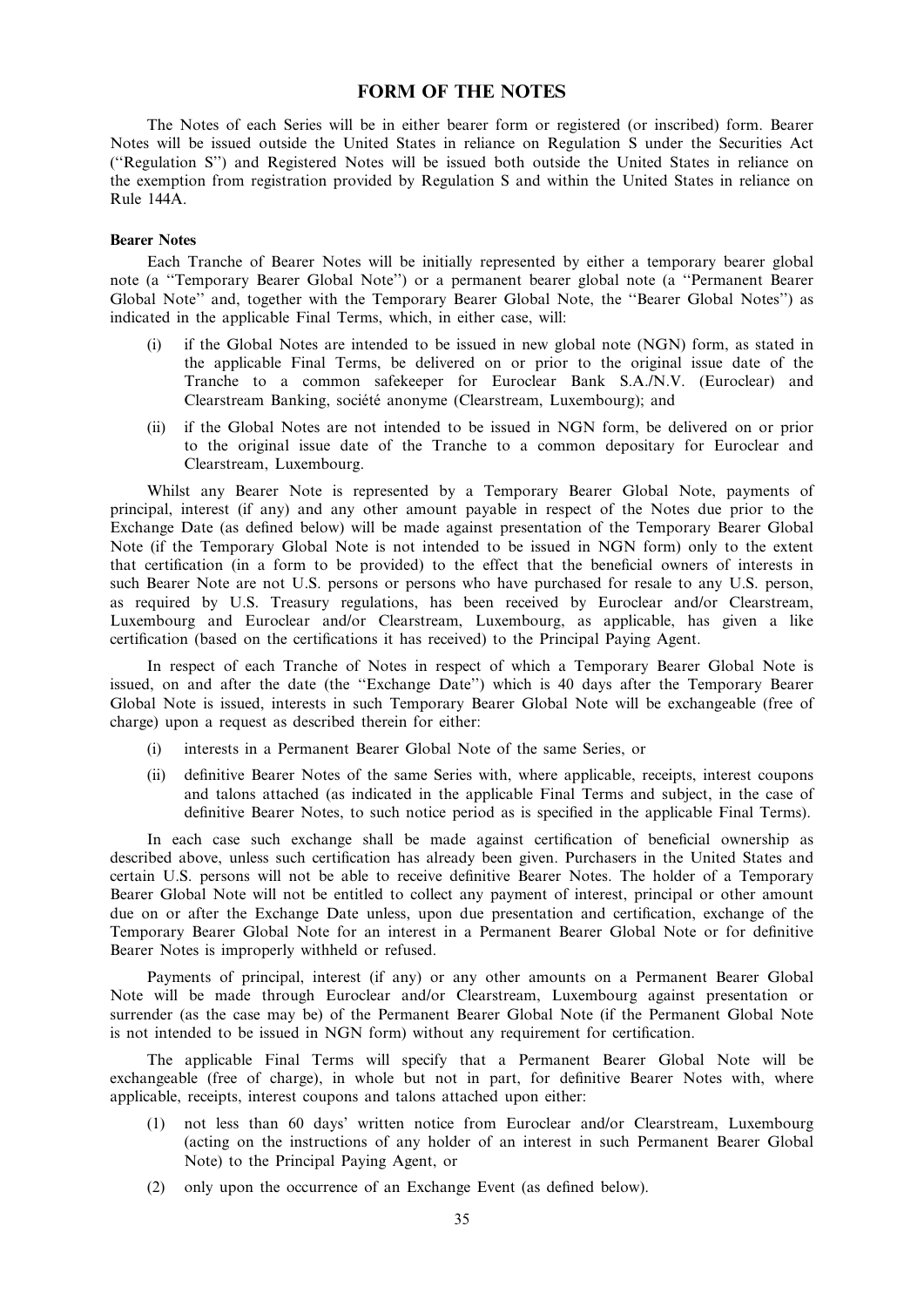# FORM OF THE NOTES

The Notes of each Series will be in either bearer form or registered (or inscribed) form. Bearer Notes will be issued outside the United States in reliance on Regulation S under the Securities Act (''Regulation S'') and Registered Notes will be issued both outside the United States in reliance on the exemption from registration provided by Regulation S and within the United States in reliance on Rule 144A.

#### Bearer Notes

Each Tranche of Bearer Notes will be initially represented by either a temporary bearer global note (a ''Temporary Bearer Global Note'') or a permanent bearer global note (a ''Permanent Bearer Global Note'' and, together with the Temporary Bearer Global Note, the ''Bearer Global Notes'') as indicated in the applicable Final Terms, which, in either case, will:

- (i) if the Global Notes are intended to be issued in new global note (NGN) form, as stated in the applicable Final Terms, be delivered on or prior to the original issue date of the Tranche to a common safekeeper for Euroclear Bank S.A./N.V. (Euroclear) and Clearstream Banking, société anonyme (Clearstream, Luxembourg); and
- (ii) if the Global Notes are not intended to be issued in NGN form, be delivered on or prior to the original issue date of the Tranche to a common depositary for Euroclear and Clearstream, Luxembourg.

Whilst any Bearer Note is represented by a Temporary Bearer Global Note, payments of principal, interest (if any) and any other amount payable in respect of the Notes due prior to the Exchange Date (as defined below) will be made against presentation of the Temporary Bearer Global Note (if the Temporary Global Note is not intended to be issued in NGN form) only to the extent that certification (in a form to be provided) to the effect that the beneficial owners of interests in such Bearer Note are not U.S. persons or persons who have purchased for resale to any U.S. person, as required by U.S. Treasury regulations, has been received by Euroclear and/or Clearstream, Luxembourg and Euroclear and/or Clearstream, Luxembourg, as applicable, has given a like certification (based on the certifications it has received) to the Principal Paying Agent.

In respect of each Tranche of Notes in respect of which a Temporary Bearer Global Note is issued, on and after the date (the ''Exchange Date'') which is 40 days after the Temporary Bearer Global Note is issued, interests in such Temporary Bearer Global Note will be exchangeable (free of charge) upon a request as described therein for either:

- interests in a Permanent Bearer Global Note of the same Series, or
- (ii) definitive Bearer Notes of the same Series with, where applicable, receipts, interest coupons and talons attached (as indicated in the applicable Final Terms and subject, in the case of definitive Bearer Notes, to such notice period as is specified in the applicable Final Terms).

In each case such exchange shall be made against certification of beneficial ownership as described above, unless such certification has already been given. Purchasers in the United States and certain U.S. persons will not be able to receive definitive Bearer Notes. The holder of a Temporary Bearer Global Note will not be entitled to collect any payment of interest, principal or other amount due on or after the Exchange Date unless, upon due presentation and certification, exchange of the Temporary Bearer Global Note for an interest in a Permanent Bearer Global Note or for definitive Bearer Notes is improperly withheld or refused.

Payments of principal, interest (if any) or any other amounts on a Permanent Bearer Global Note will be made through Euroclear and/or Clearstream, Luxembourg against presentation or surrender (as the case may be) of the Permanent Bearer Global Note (if the Permanent Global Note is not intended to be issued in NGN form) without any requirement for certification.

The applicable Final Terms will specify that a Permanent Bearer Global Note will be exchangeable (free of charge), in whole but not in part, for definitive Bearer Notes with, where applicable, receipts, interest coupons and talons attached upon either:

- (1) not less than 60 days' written notice from Euroclear and/or Clearstream, Luxembourg (acting on the instructions of any holder of an interest in such Permanent Bearer Global Note) to the Principal Paying Agent, or
- (2) only upon the occurrence of an Exchange Event (as defined below).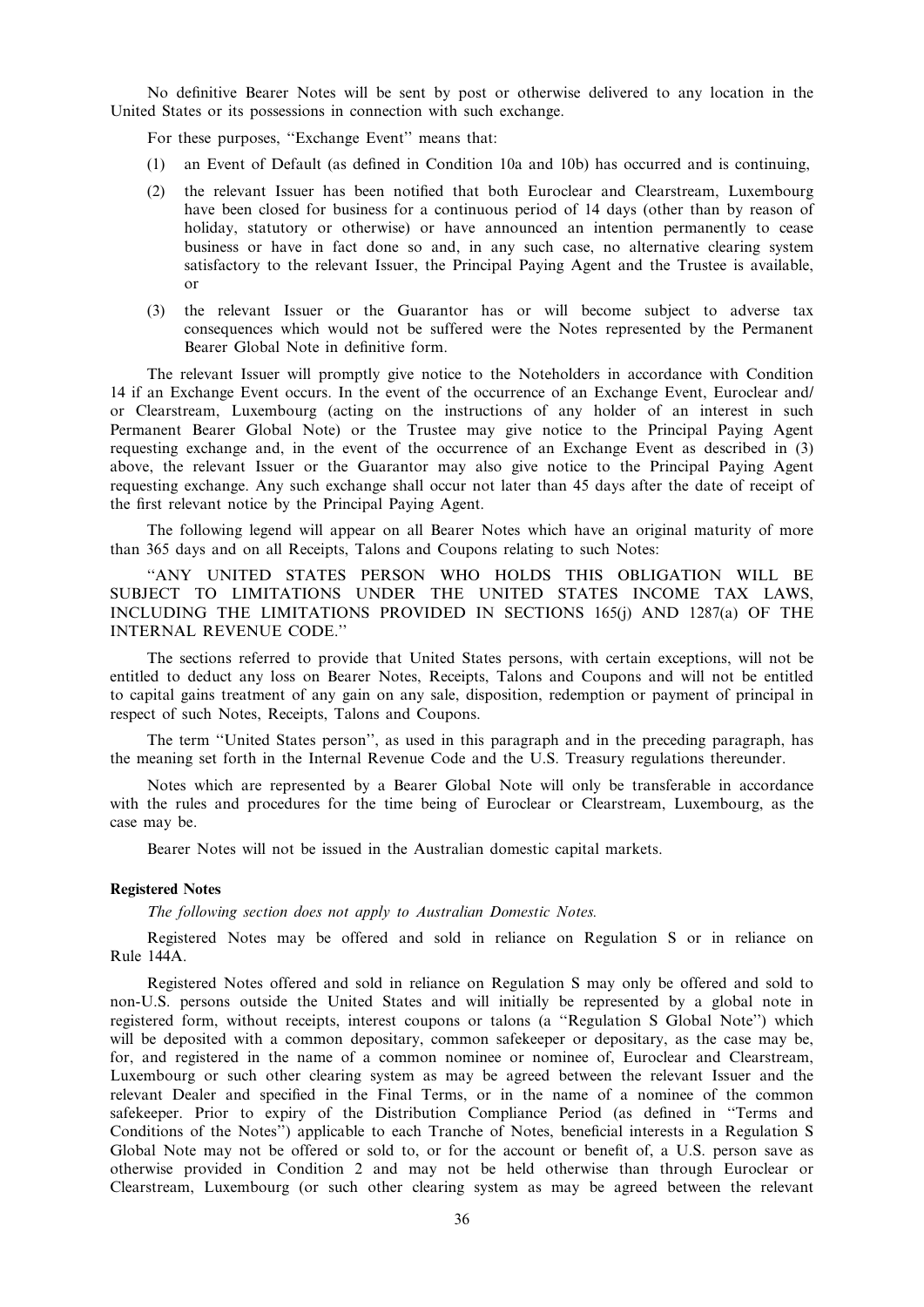No definitive Bearer Notes will be sent by post or otherwise delivered to any location in the United States or its possessions in connection with such exchange.

For these purposes, ''Exchange Event'' means that:

- (1) an Event of Default (as defined in Condition 10a and 10b) has occurred and is continuing,
- (2) the relevant Issuer has been notified that both Euroclear and Clearstream, Luxembourg have been closed for business for a continuous period of 14 days (other than by reason of holiday, statutory or otherwise) or have announced an intention permanently to cease business or have in fact done so and, in any such case, no alternative clearing system satisfactory to the relevant Issuer, the Principal Paying Agent and the Trustee is available, or
- (3) the relevant Issuer or the Guarantor has or will become subject to adverse tax consequences which would not be suffered were the Notes represented by the Permanent Bearer Global Note in definitive form.

The relevant Issuer will promptly give notice to the Noteholders in accordance with Condition 14 if an Exchange Event occurs. In the event of the occurrence of an Exchange Event, Euroclear and/ or Clearstream, Luxembourg (acting on the instructions of any holder of an interest in such Permanent Bearer Global Note) or the Trustee may give notice to the Principal Paying Agent requesting exchange and, in the event of the occurrence of an Exchange Event as described in (3) above, the relevant Issuer or the Guarantor may also give notice to the Principal Paying Agent requesting exchange. Any such exchange shall occur not later than 45 days after the date of receipt of the first relevant notice by the Principal Paying Agent.

The following legend will appear on all Bearer Notes which have an original maturity of more than 365 days and on all Receipts, Talons and Coupons relating to such Notes:

''ANY UNITED STATES PERSON WHO HOLDS THIS OBLIGATION WILL BE SUBJECT TO LIMITATIONS UNDER THE UNITED STATES INCOME TAX LAWS, INCLUDING THE LIMITATIONS PROVIDED IN SECTIONS 165(j) AND 1287(a) OF THE INTERNAL REVENUE CODE.''

The sections referred to provide that United States persons, with certain exceptions, will not be entitled to deduct any loss on Bearer Notes, Receipts, Talons and Coupons and will not be entitled to capital gains treatment of any gain on any sale, disposition, redemption or payment of principal in respect of such Notes, Receipts, Talons and Coupons.

The term ''United States person'', as used in this paragraph and in the preceding paragraph, has the meaning set forth in the Internal Revenue Code and the U.S. Treasury regulations thereunder.

Notes which are represented by a Bearer Global Note will only be transferable in accordance with the rules and procedures for the time being of Euroclear or Clearstream, Luxembourg, as the case may be.

Bearer Notes will not be issued in the Australian domestic capital markets.

### Registered Notes

The following section does not apply to Australian Domestic Notes.

Registered Notes may be offered and sold in reliance on Regulation S or in reliance on Rule 144A.

Registered Notes offered and sold in reliance on Regulation S may only be offered and sold to non-U.S. persons outside the United States and will initially be represented by a global note in registered form, without receipts, interest coupons or talons (a ''Regulation S Global Note'') which will be deposited with a common depositary, common safekeeper or depositary, as the case may be, for, and registered in the name of a common nominee or nominee of, Euroclear and Clearstream, Luxembourg or such other clearing system as may be agreed between the relevant Issuer and the relevant Dealer and specified in the Final Terms, or in the name of a nominee of the common safekeeper. Prior to expiry of the Distribution Compliance Period (as defined in ''Terms and Conditions of the Notes'') applicable to each Tranche of Notes, beneficial interests in a Regulation S Global Note may not be offered or sold to, or for the account or benefit of, a U.S. person save as otherwise provided in Condition 2 and may not be held otherwise than through Euroclear or Clearstream, Luxembourg (or such other clearing system as may be agreed between the relevant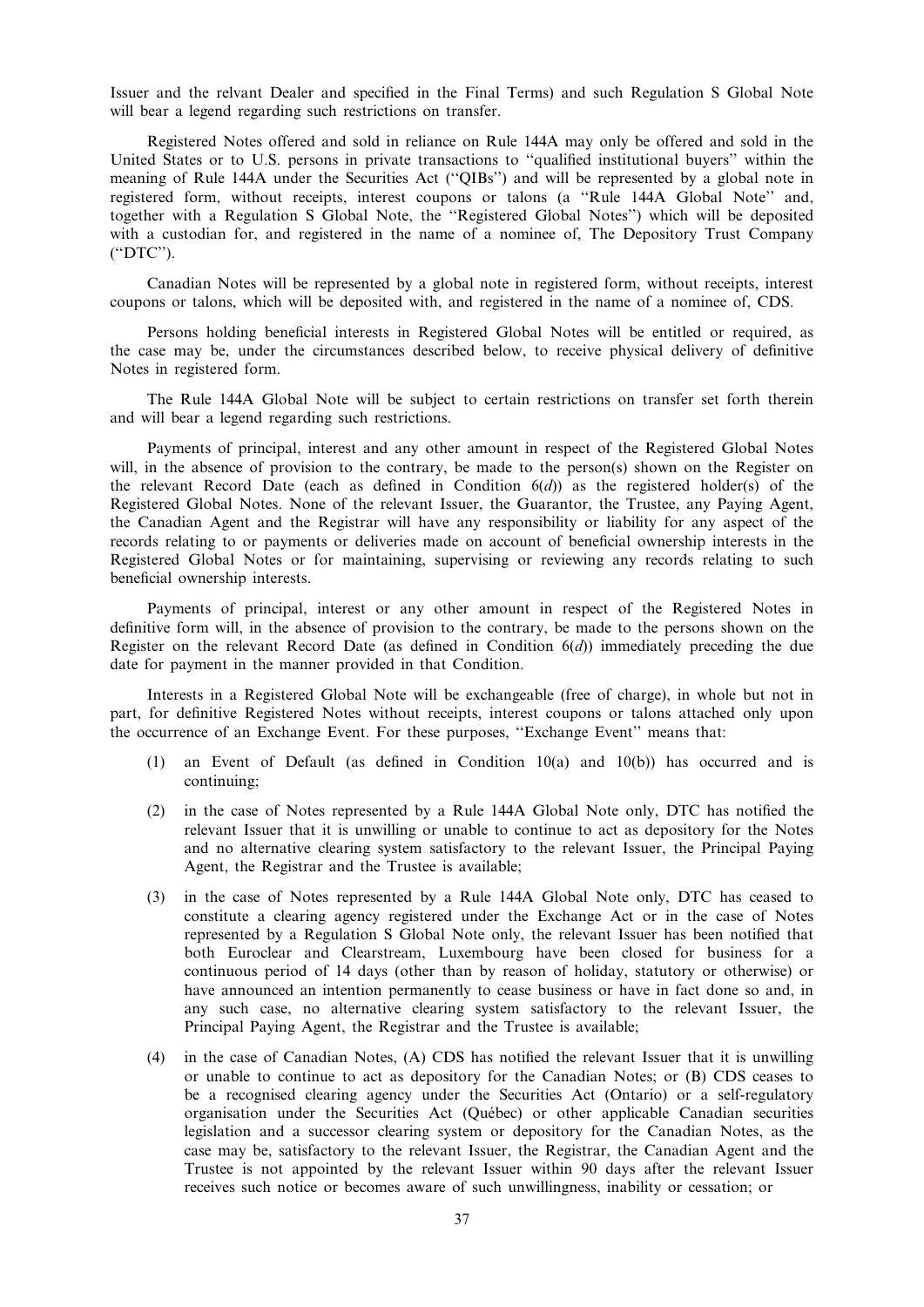Issuer and the relvant Dealer and specified in the Final Terms) and such Regulation S Global Note will bear a legend regarding such restrictions on transfer.

Registered Notes offered and sold in reliance on Rule 144A may only be offered and sold in the United States or to U.S. persons in private transactions to ''qualified institutional buyers'' within the meaning of Rule 144A under the Securities Act (''QIBs'') and will be represented by a global note in registered form, without receipts, interest coupons or talons (a ''Rule 144A Global Note'' and, together with a Regulation S Global Note, the ''Registered Global Notes'') which will be deposited with a custodian for, and registered in the name of a nominee of, The Depository Trust Company (''DTC'').

Canadian Notes will be represented by a global note in registered form, without receipts, interest coupons or talons, which will be deposited with, and registered in the name of a nominee of, CDS.

Persons holding beneficial interests in Registered Global Notes will be entitled or required, as the case may be, under the circumstances described below, to receive physical delivery of definitive Notes in registered form.

The Rule 144A Global Note will be subject to certain restrictions on transfer set forth therein and will bear a legend regarding such restrictions.

Payments of principal, interest and any other amount in respect of the Registered Global Notes will, in the absence of provision to the contrary, be made to the person(s) shown on the Register on the relevant Record Date (each as defined in Condition  $6(d)$ ) as the registered holder(s) of the Registered Global Notes. None of the relevant Issuer, the Guarantor, the Trustee, any Paying Agent, the Canadian Agent and the Registrar will have any responsibility or liability for any aspect of the records relating to or payments or deliveries made on account of beneficial ownership interests in the Registered Global Notes or for maintaining, supervising or reviewing any records relating to such beneficial ownership interests.

Payments of principal, interest or any other amount in respect of the Registered Notes in definitive form will, in the absence of provision to the contrary, be made to the persons shown on the Register on the relevant Record Date (as defined in Condition  $6(d)$ ) immediately preceding the due date for payment in the manner provided in that Condition.

Interests in a Registered Global Note will be exchangeable (free of charge), in whole but not in part, for definitive Registered Notes without receipts, interest coupons or talons attached only upon the occurrence of an Exchange Event. For these purposes, ''Exchange Event'' means that:

- (1) an Event of Default (as defined in Condition 10(a) and 10(b)) has occurred and is continuing;
- (2) in the case of Notes represented by a Rule 144A Global Note only, DTC has notified the relevant Issuer that it is unwilling or unable to continue to act as depository for the Notes and no alternative clearing system satisfactory to the relevant Issuer, the Principal Paying Agent, the Registrar and the Trustee is available;
- (3) in the case of Notes represented by a Rule 144A Global Note only, DTC has ceased to constitute a clearing agency registered under the Exchange Act or in the case of Notes represented by a Regulation S Global Note only, the relevant Issuer has been notified that both Euroclear and Clearstream, Luxembourg have been closed for business for a continuous period of 14 days (other than by reason of holiday, statutory or otherwise) or have announced an intention permanently to cease business or have in fact done so and, in any such case, no alternative clearing system satisfactory to the relevant Issuer, the Principal Paying Agent, the Registrar and the Trustee is available;
- (4) in the case of Canadian Notes, (A) CDS has notified the relevant Issuer that it is unwilling or unable to continue to act as depository for the Canadian Notes; or (B) CDS ceases to be a recognised clearing agency under the Securities Act (Ontario) or a self-regulatory organisation under the Securities Act (Que´bec) or other applicable Canadian securities legislation and a successor clearing system or depository for the Canadian Notes, as the case may be, satisfactory to the relevant Issuer, the Registrar, the Canadian Agent and the Trustee is not appointed by the relevant Issuer within 90 days after the relevant Issuer receives such notice or becomes aware of such unwillingness, inability or cessation; or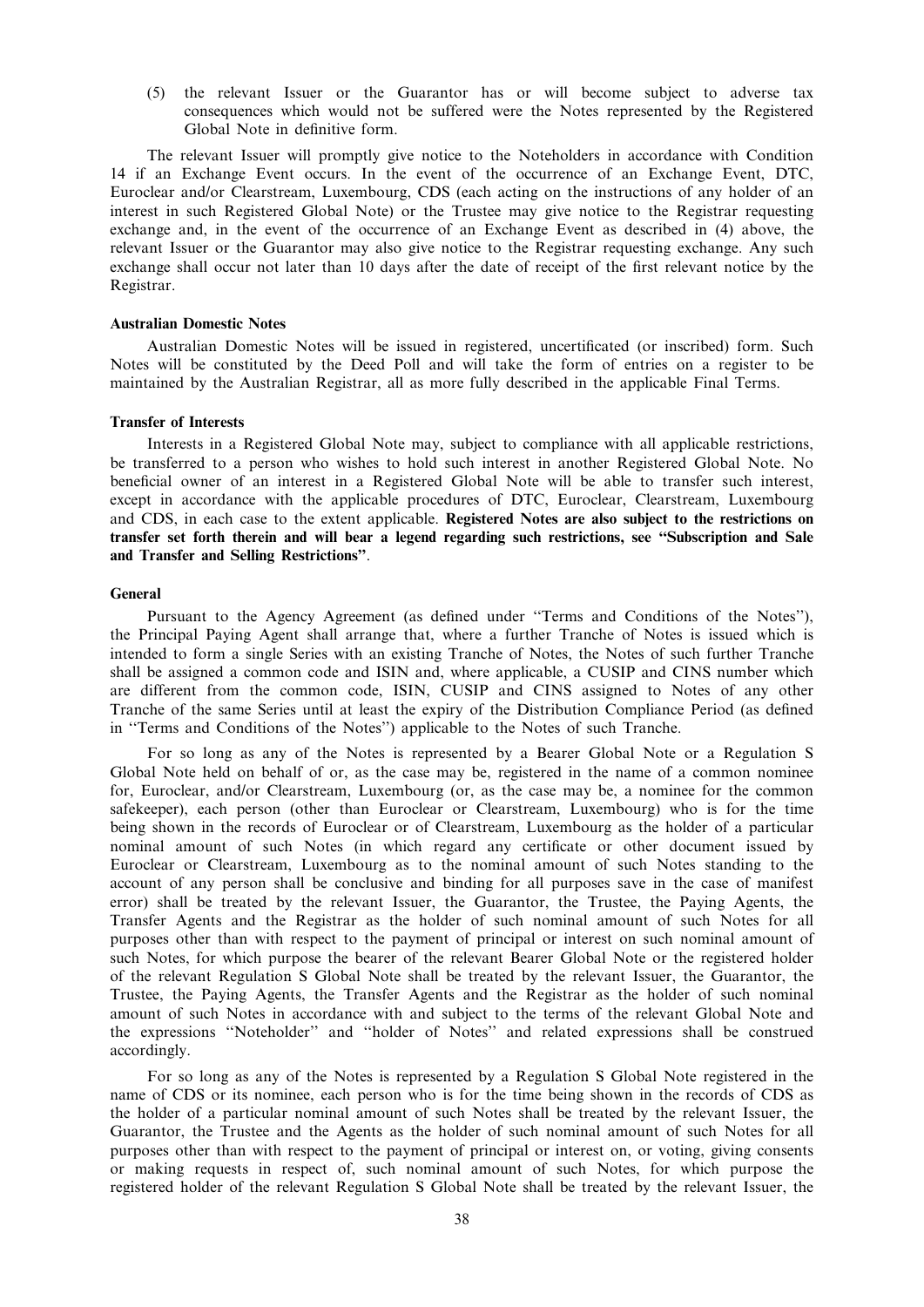(5) the relevant Issuer or the Guarantor has or will become subject to adverse tax consequences which would not be suffered were the Notes represented by the Registered Global Note in definitive form.

The relevant Issuer will promptly give notice to the Noteholders in accordance with Condition 14 if an Exchange Event occurs. In the event of the occurrence of an Exchange Event, DTC, Euroclear and/or Clearstream, Luxembourg, CDS (each acting on the instructions of any holder of an interest in such Registered Global Note) or the Trustee may give notice to the Registrar requesting exchange and, in the event of the occurrence of an Exchange Event as described in (4) above, the relevant Issuer or the Guarantor may also give notice to the Registrar requesting exchange. Any such exchange shall occur not later than 10 days after the date of receipt of the first relevant notice by the Registrar.

### Australian Domestic Notes

Australian Domestic Notes will be issued in registered, uncertificated (or inscribed) form. Such Notes will be constituted by the Deed Poll and will take the form of entries on a register to be maintained by the Australian Registrar, all as more fully described in the applicable Final Terms.

#### Transfer of Interests

Interests in a Registered Global Note may, subject to compliance with all applicable restrictions, be transferred to a person who wishes to hold such interest in another Registered Global Note. No beneficial owner of an interest in a Registered Global Note will be able to transfer such interest, except in accordance with the applicable procedures of DTC, Euroclear, Clearstream, Luxembourg and CDS, in each case to the extent applicable. Registered Notes are also subject to the restrictions on transfer set forth therein and will bear a legend regarding such restrictions, see ''Subscription and Sale and Transfer and Selling Restrictions''.

#### General

Pursuant to the Agency Agreement (as defined under ''Terms and Conditions of the Notes''), the Principal Paying Agent shall arrange that, where a further Tranche of Notes is issued which is intended to form a single Series with an existing Tranche of Notes, the Notes of such further Tranche shall be assigned a common code and ISIN and, where applicable, a CUSIP and CINS number which are different from the common code, ISIN, CUSIP and CINS assigned to Notes of any other Tranche of the same Series until at least the expiry of the Distribution Compliance Period (as defined in ''Terms and Conditions of the Notes'') applicable to the Notes of such Tranche.

For so long as any of the Notes is represented by a Bearer Global Note or a Regulation S Global Note held on behalf of or, as the case may be, registered in the name of a common nominee for, Euroclear, and/or Clearstream, Luxembourg (or, as the case may be, a nominee for the common safekeeper), each person (other than Euroclear or Clearstream, Luxembourg) who is for the time being shown in the records of Euroclear or of Clearstream, Luxembourg as the holder of a particular nominal amount of such Notes (in which regard any certificate or other document issued by Euroclear or Clearstream, Luxembourg as to the nominal amount of such Notes standing to the account of any person shall be conclusive and binding for all purposes save in the case of manifest error) shall be treated by the relevant Issuer, the Guarantor, the Trustee, the Paying Agents, the Transfer Agents and the Registrar as the holder of such nominal amount of such Notes for all purposes other than with respect to the payment of principal or interest on such nominal amount of such Notes, for which purpose the bearer of the relevant Bearer Global Note or the registered holder of the relevant Regulation S Global Note shall be treated by the relevant Issuer, the Guarantor, the Trustee, the Paying Agents, the Transfer Agents and the Registrar as the holder of such nominal amount of such Notes in accordance with and subject to the terms of the relevant Global Note and the expressions ''Noteholder'' and ''holder of Notes'' and related expressions shall be construed accordingly.

For so long as any of the Notes is represented by a Regulation S Global Note registered in the name of CDS or its nominee, each person who is for the time being shown in the records of CDS as the holder of a particular nominal amount of such Notes shall be treated by the relevant Issuer, the Guarantor, the Trustee and the Agents as the holder of such nominal amount of such Notes for all purposes other than with respect to the payment of principal or interest on, or voting, giving consents or making requests in respect of, such nominal amount of such Notes, for which purpose the registered holder of the relevant Regulation S Global Note shall be treated by the relevant Issuer, the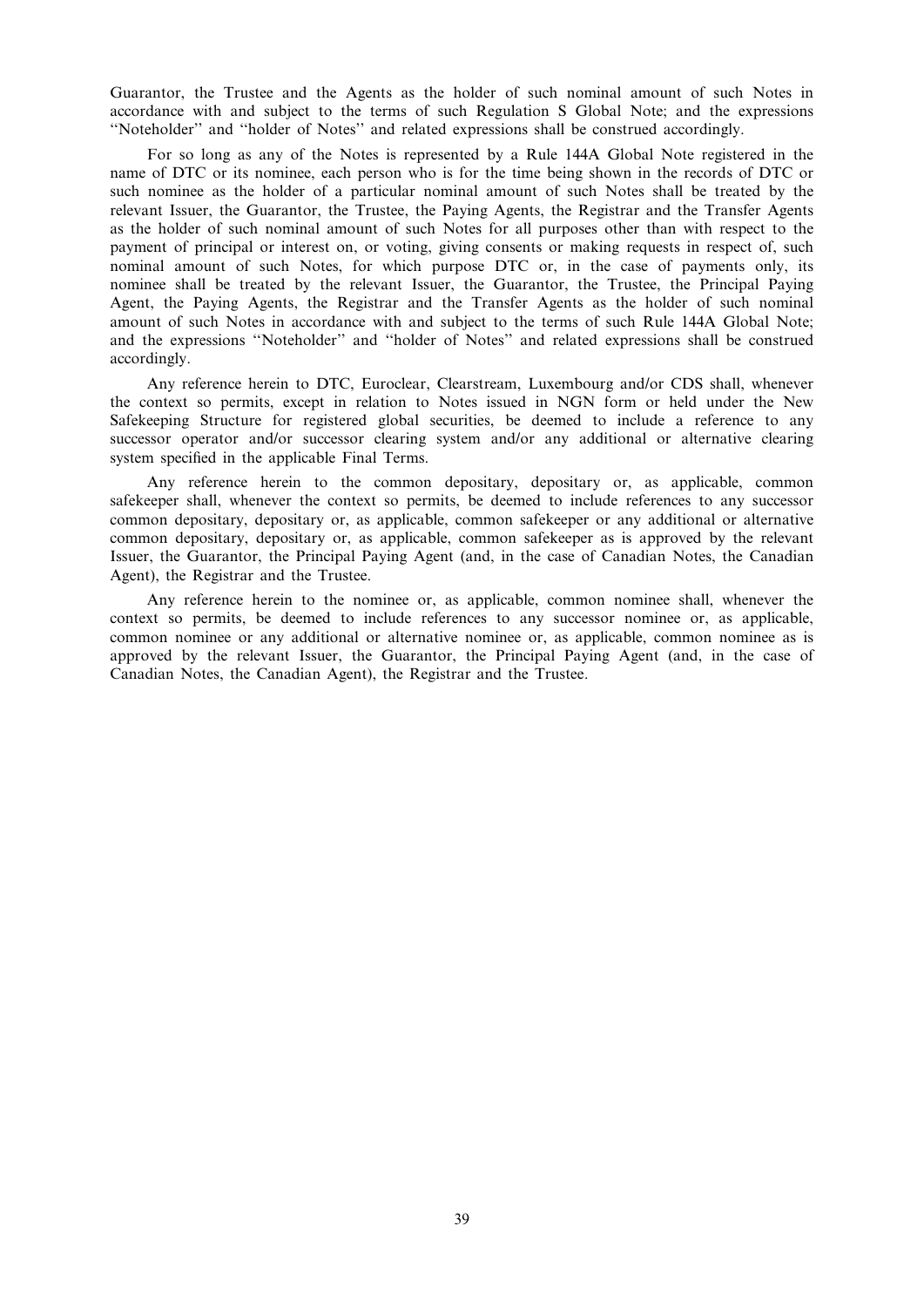Guarantor, the Trustee and the Agents as the holder of such nominal amount of such Notes in accordance with and subject to the terms of such Regulation S Global Note; and the expressions ''Noteholder'' and ''holder of Notes'' and related expressions shall be construed accordingly.

For so long as any of the Notes is represented by a Rule 144A Global Note registered in the name of DTC or its nominee, each person who is for the time being shown in the records of DTC or such nominee as the holder of a particular nominal amount of such Notes shall be treated by the relevant Issuer, the Guarantor, the Trustee, the Paying Agents, the Registrar and the Transfer Agents as the holder of such nominal amount of such Notes for all purposes other than with respect to the payment of principal or interest on, or voting, giving consents or making requests in respect of, such nominal amount of such Notes, for which purpose DTC or, in the case of payments only, its nominee shall be treated by the relevant Issuer, the Guarantor, the Trustee, the Principal Paying Agent, the Paying Agents, the Registrar and the Transfer Agents as the holder of such nominal amount of such Notes in accordance with and subject to the terms of such Rule 144A Global Note; and the expressions ''Noteholder'' and ''holder of Notes'' and related expressions shall be construed accordingly.

Any reference herein to DTC, Euroclear, Clearstream, Luxembourg and/or CDS shall, whenever the context so permits, except in relation to Notes issued in NGN form or held under the New Safekeeping Structure for registered global securities, be deemed to include a reference to any successor operator and/or successor clearing system and/or any additional or alternative clearing system specified in the applicable Final Terms.

Any reference herein to the common depositary, depositary or, as applicable, common safekeeper shall, whenever the context so permits, be deemed to include references to any successor common depositary, depositary or, as applicable, common safekeeper or any additional or alternative common depositary, depositary or, as applicable, common safekeeper as is approved by the relevant Issuer, the Guarantor, the Principal Paying Agent (and, in the case of Canadian Notes, the Canadian Agent), the Registrar and the Trustee.

Any reference herein to the nominee or, as applicable, common nominee shall, whenever the context so permits, be deemed to include references to any successor nominee or, as applicable, common nominee or any additional or alternative nominee or, as applicable, common nominee as is approved by the relevant Issuer, the Guarantor, the Principal Paying Agent (and, in the case of Canadian Notes, the Canadian Agent), the Registrar and the Trustee.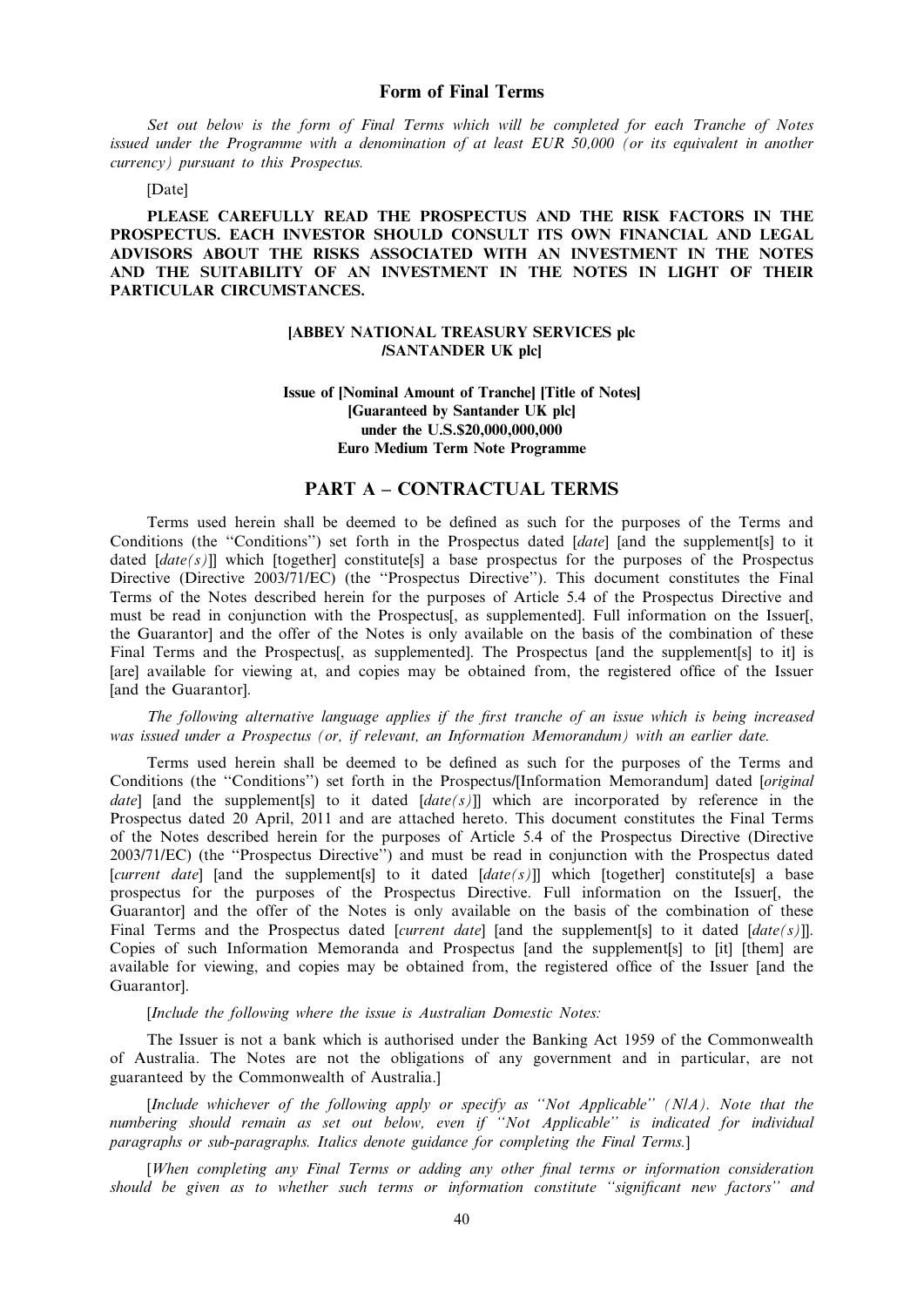Set out below is the form of Final Terms which will be completed for each Tranche of Notes issued under the Programme with a denomination of at least EUR 50,000 (or its equivalent in another currency) pursuant to this Prospectus.

### [Date]

PLEASE CAREFULLY READ THE PROSPECTUS AND THE RISK FACTORS IN THE PROSPECTUS. EACH INVESTOR SHOULD CONSULT ITS OWN FINANCIAL AND LEGAL ADVISORS ABOUT THE RISKS ASSOCIATED WITH AN INVESTMENT IN THE NOTES AND THE SUITABILITY OF AN INVESTMENT IN THE NOTES IN LIGHT OF THEIR PARTICULAR CIRCUMSTANCES.

## [ABBEY NATIONAL TREASURY SERVICES plc /SANTANDER UK plc]

# Issue of [Nominal Amount of Tranche] [Title of Notes] [Guaranteed by Santander UK plc] under the U.S.\$20,000,000,000 Euro Medium Term Note Programme

# PART A – CONTRACTUAL TERMS

Terms used herein shall be deemed to be defined as such for the purposes of the Terms and Conditions (the "Conditions") set forth in the Prospectus dated [date] [and the supplement[s] to it dated  $[date(s)]$ ] which [together] constitute[s] a base prospectus for the purposes of the Prospectus Directive (Directive 2003/71/EC) (the ''Prospectus Directive''). This document constitutes the Final Terms of the Notes described herein for the purposes of Article 5.4 of the Prospectus Directive and must be read in conjunction with the Prospectus[, as supplemented]. Full information on the Issuer[, the Guarantor] and the offer of the Notes is only available on the basis of the combination of these Final Terms and the Prospectus<sup>[</sup>, as supplemented]. The Prospectus [and the supplement<sup>[s]</sup> to it] is [are] available for viewing at, and copies may be obtained from, the registered office of the Issuer [and the Guarantor].

The following alternative language applies if the first tranche of an issue which is being increased was issued under a Prospectus (or, if relevant, an Information Memorandum) with an earlier date.

Terms used herein shall be deemed to be defined as such for the purposes of the Terms and Conditions (the ''Conditions'') set forth in the Prospectus/[Information Memorandum] dated [original date] [and the supplement[s] to it dated  $\left[ \frac{date(s)}{s} \right]$ ] which are incorporated by reference in the Prospectus dated 20 April, 2011 and are attached hereto. This document constitutes the Final Terms of the Notes described herein for the purposes of Article 5.4 of the Prospectus Directive (Directive 2003/71/EC) (the ''Prospectus Directive'') and must be read in conjunction with the Prospectus dated [current date] [and the supplement[s] to it dated  $[date(s)]$ ] which [together] constitute[s] a base prospectus for the purposes of the Prospectus Directive. Full information on the Issuer[, the Guarantor] and the offer of the Notes is only available on the basis of the combination of these Final Terms and the Prospectus dated [*current date*] [and the supplement[s] to it dated  $\left[ \frac{date(s)}{]} \right]$ . Copies of such Information Memoranda and Prospectus [and the supplement[s] to [it] [them] are available for viewing, and copies may be obtained from, the registered office of the Issuer [and the Guarantor].

### [Include the following where the issue is Australian Domestic Notes:

The Issuer is not a bank which is authorised under the Banking Act 1959 of the Commonwealth of Australia. The Notes are not the obligations of any government and in particular, are not guaranteed by the Commonwealth of Australia.]

[Include whichever of the following apply or specify as ''Not Applicable'' (N/A). Note that the numbering should remain as set out below, even if ''Not Applicable'' is indicated for individual paragraphs or sub-paragraphs. Italics denote guidance for completing the Final Terms.]

[When completing any Final Terms or adding any other final terms or information consideration should be given as to whether such terms or information constitute ''significant new factors'' and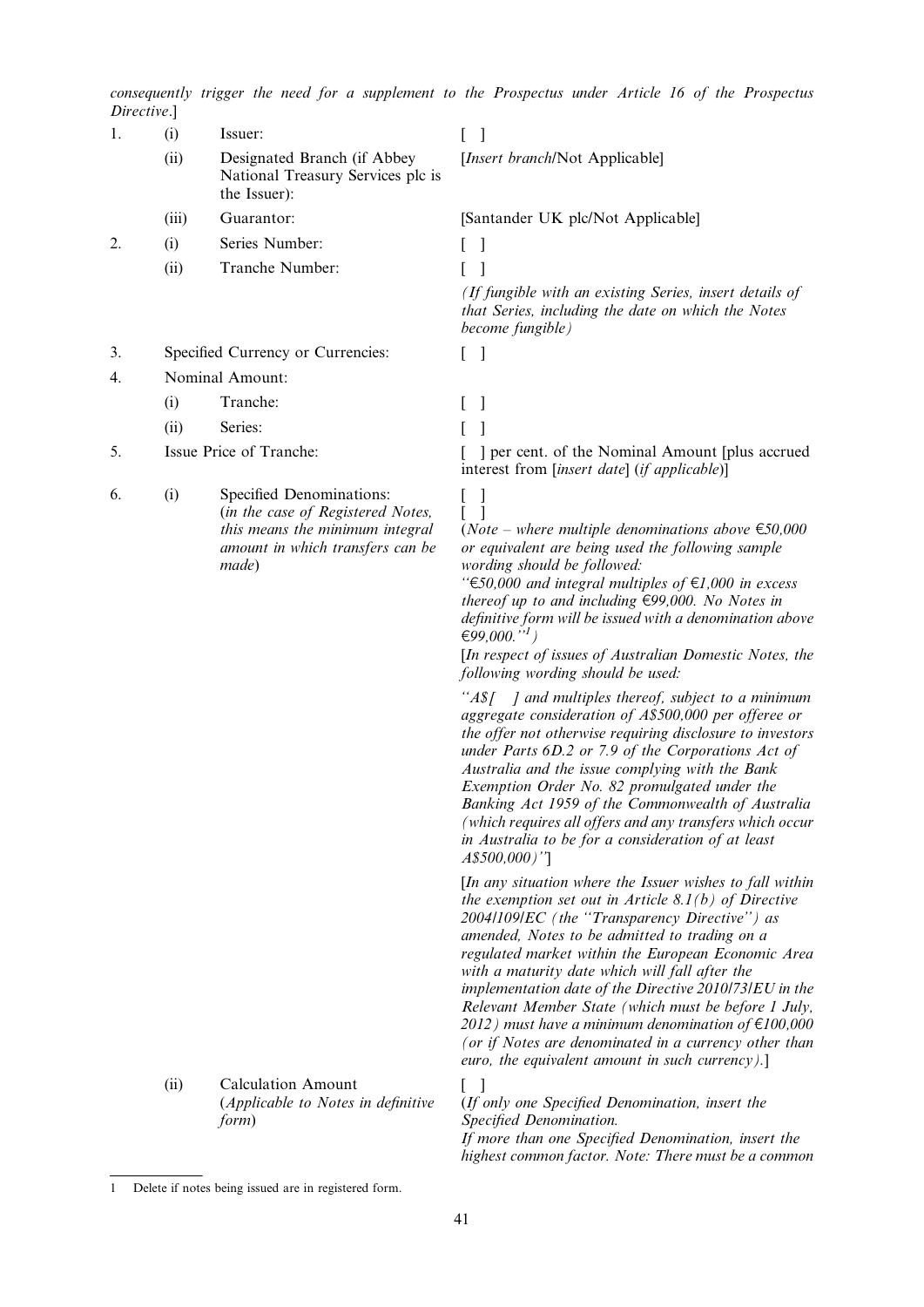consequently trigger the need for a supplement to the Prospectus under Article 16 of the Prospectus Directive.]

| Directive. |       |                                                                                                                                               |                                                                                                                                                                                                                                                                                                                                                                                                                                                                                                                                                                                                                         |
|------------|-------|-----------------------------------------------------------------------------------------------------------------------------------------------|-------------------------------------------------------------------------------------------------------------------------------------------------------------------------------------------------------------------------------------------------------------------------------------------------------------------------------------------------------------------------------------------------------------------------------------------------------------------------------------------------------------------------------------------------------------------------------------------------------------------------|
| 1.         | (i)   | Issuer:                                                                                                                                       | -1                                                                                                                                                                                                                                                                                                                                                                                                                                                                                                                                                                                                                      |
|            | (ii)  | Designated Branch (if Abbey<br>National Treasury Services plc is<br>the Issuer):                                                              | [Insert branch/Not Applicable]                                                                                                                                                                                                                                                                                                                                                                                                                                                                                                                                                                                          |
|            | (iii) | Guarantor:                                                                                                                                    | [Santander UK plc/Not Applicable]                                                                                                                                                                                                                                                                                                                                                                                                                                                                                                                                                                                       |
| 2.         | (i)   | Series Number:                                                                                                                                |                                                                                                                                                                                                                                                                                                                                                                                                                                                                                                                                                                                                                         |
|            | (ii)  | Tranche Number:                                                                                                                               |                                                                                                                                                                                                                                                                                                                                                                                                                                                                                                                                                                                                                         |
|            |       |                                                                                                                                               | (If fungible with an existing Series, insert details of<br>that Series, including the date on which the Notes<br>become fungible)                                                                                                                                                                                                                                                                                                                                                                                                                                                                                       |
| 3.         |       | Specified Currency or Currencies:                                                                                                             | $\lceil$<br>L                                                                                                                                                                                                                                                                                                                                                                                                                                                                                                                                                                                                           |
| 4.         |       | Nominal Amount:                                                                                                                               |                                                                                                                                                                                                                                                                                                                                                                                                                                                                                                                                                                                                                         |
|            | (i)   | Tranche:                                                                                                                                      |                                                                                                                                                                                                                                                                                                                                                                                                                                                                                                                                                                                                                         |
|            | (ii)  | Series:                                                                                                                                       |                                                                                                                                                                                                                                                                                                                                                                                                                                                                                                                                                                                                                         |
| 5.         |       | Issue Price of Tranche:                                                                                                                       | ] per cent. of the Nominal Amount [plus accrued]<br>interest from [insert date] (if applicable)]                                                                                                                                                                                                                                                                                                                                                                                                                                                                                                                        |
| 6.         | (i)   | Specified Denominations:<br>(in the case of Registered Notes,<br>this means the minimum integral<br>amount in which transfers can be<br>made) | $\perp$<br>( <i>Note – where multiple denominations above</i> $\epsilon$ 50,000<br>or equivalent are being used the following sample<br>wording should be followed:<br>" $\text{\textsterling}50,000$ and integral multiples of $\text{\textsterling}1,000$ in excess<br>thereof up to and including $\epsilon$ 99,000. No Notes in<br>definitive form will be issued with a denomination above<br>€99,000." <sup>1</sup> )<br>[In respect of issues of Australian Domestic Notes, the<br>following wording should be used:                                                                                             |
|            |       |                                                                                                                                               | " $A\$ [ ] and multiples thereof, subject to a minimum<br>aggregate consideration of A\$500,000 per offeree or<br>the offer not otherwise requiring disclosure to investors<br>under Parts 6D.2 or 7.9 of the Corporations Act of<br>Australia and the issue complying with the Bank<br>Exemption Order No. 82 promulgated under the<br>Banking Act 1959 of the Commonwealth of Australia<br>(which requires all offers and any transfers which occur<br>in Australia to be for a consideration of at least<br>A\$500,000)"]                                                                                            |
|            |       |                                                                                                                                               | [In any situation where the Issuer wishes to fall within<br>the exemption set out in Article 8.1(b) of Directive<br>2004/109/EC (the "Transparency Directive") as<br>amended, Notes to be admitted to trading on a<br>regulated market within the European Economic Area<br>with a maturity date which will fall after the<br>implementation date of the Directive 2010/73/EU in the<br>Relevant Member State (which must be before 1 July,<br>2012) must have a minimum denomination of $\epsilon$ 100,000<br>(or if Notes are denominated in a currency other than<br>euro, the equivalent amount in such currency).] |

(ii) Calculation Amount (Applicable to Notes in definitive form)

[ ]  $\overrightarrow{H}$  only one Specified Denomination, insert the Specified Denomination. If more than one Specified Denomination, insert the highest common factor. Note: There must be a common

<sup>1</sup> Delete if notes being issued are in registered form.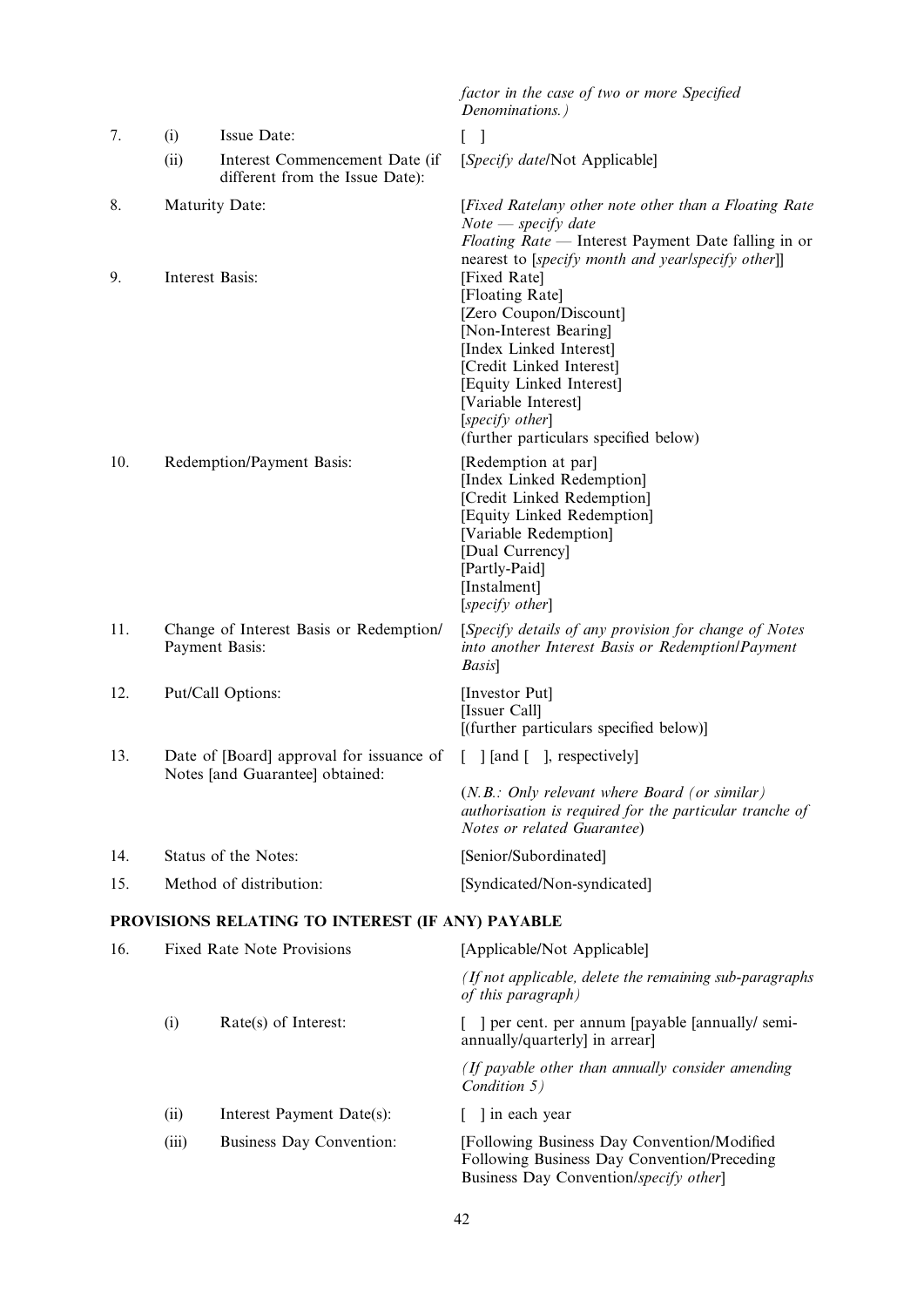|     |                                                           |                                                                             | factor in the case of two or more Specified<br>Denominations.)                                                                                                                                                                                            |
|-----|-----------------------------------------------------------|-----------------------------------------------------------------------------|-----------------------------------------------------------------------------------------------------------------------------------------------------------------------------------------------------------------------------------------------------------|
| 7.  | (i)                                                       | Issue Date:                                                                 | $\lceil$<br>L                                                                                                                                                                                                                                             |
|     | (ii)                                                      | Interest Commencement Date (if<br>different from the Issue Date):           | [Specify date/Not Applicable]                                                                                                                                                                                                                             |
| 8.  | <b>Maturity Date:</b>                                     |                                                                             | [Fixed Ratelany other note other than a Floating Rate<br>$Note - specify$ date<br>Floating Rate - Interest Payment Date falling in or<br>nearest to [specify month and yearlspecify other]]                                                               |
| 9.  | Interest Basis:                                           |                                                                             | [Fixed Rate]<br>[Floating Rate]<br>[Zero Coupon/Discount]<br>[Non-Interest Bearing]<br>[Index Linked Interest]<br>[Credit Linked Interest]<br>[Equity Linked Interest]<br>[Variable Interest]<br>[specify other]<br>(further particulars specified below) |
| 10. | Redemption/Payment Basis:                                 |                                                                             | [Redemption at par]<br>[Index Linked Redemption]<br>[Credit Linked Redemption]<br>[Equity Linked Redemption]<br>[Variable Redemption]<br>[Dual Currency]<br>[Partly-Paid]<br>[Instalment]<br>[specify other]                                              |
| 11. | Change of Interest Basis or Redemption/<br>Payment Basis: |                                                                             | [Specify details of any provision for change of Notes<br>into another Interest Basis or Redemption/Payment<br>Basis]                                                                                                                                      |
| 12. | Put/Call Options:                                         |                                                                             | [Investor Put]<br>[Issuer Call]<br>[(further particulars specified below)]                                                                                                                                                                                |
| 13. |                                                           | Date of [Board] approval for issuance of<br>Notes [and Guarantee] obtained: | $\lceil$ [and $\lceil \cdot \rceil$ , respectively]<br>$\mathbf{L}$                                                                                                                                                                                       |
|     |                                                           |                                                                             | $(N.B.: Only relevant where Board (or similar))$<br>authorisation is required for the particular tranche of<br>Notes or related Guarantee)                                                                                                                |
| 14. |                                                           | Status of the Notes:                                                        | [Senior/Subordinated]                                                                                                                                                                                                                                     |
| 15. | Method of distribution:                                   |                                                                             | [Syndicated/Non-syndicated]                                                                                                                                                                                                                               |
|     |                                                           | PROVISIONS RELATING TO INTEREST (IF ANY) PAYABLE                            |                                                                                                                                                                                                                                                           |
| 16. | <b>Fixed Rate Note Provisions</b>                         |                                                                             | [Applicable/Not Applicable]                                                                                                                                                                                                                               |
|     |                                                           |                                                                             | (If not applicable, delete the remaining sub-paragraphs<br>of this paragraph)                                                                                                                                                                             |
|     | (i)                                                       | Rate(s) of Interest:                                                        | ] per cent. per annum [payable [annually/ semi-<br>annually/quarterly] in arrear]                                                                                                                                                                         |
|     |                                                           |                                                                             | (If payable other than annually consider amending<br>Condition 5)                                                                                                                                                                                         |
|     | (ii)                                                      | Interest Payment Date(s):                                                   | ] in each year                                                                                                                                                                                                                                            |

(iii) Business Day Convention: [Following Business Day Convention/Modified Following Business Day Convention/Preceding Business Day Convention/specify other]